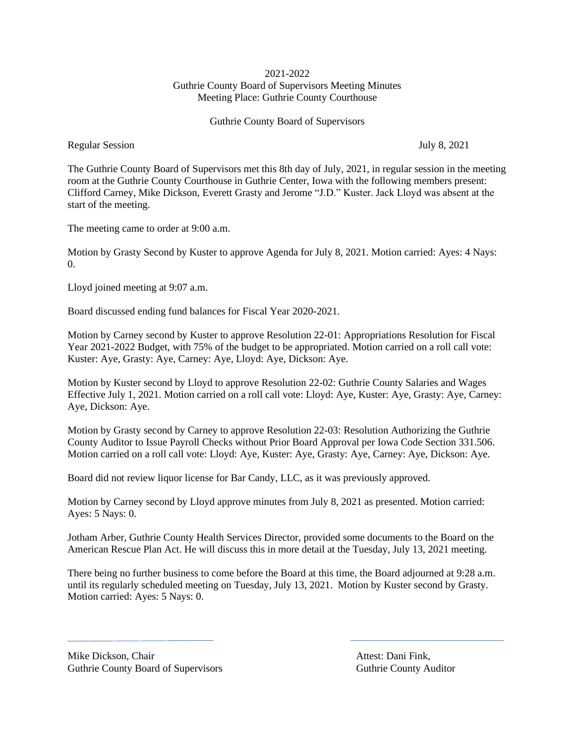# 2021-2022 Guthrie County Board of Supervisors Meeting Minutes Meeting Place: Guthrie County Courthouse

Guthrie County Board of Supervisors

Regular Session July 8, 2021

The Guthrie County Board of Supervisors met this 8th day of July, 2021, in regular session in the meeting room at the Guthrie County Courthouse in Guthrie Center, Iowa with the following members present: Clifford Carney, Mike Dickson, Everett Grasty and Jerome "J.D." Kuster. Jack Lloyd was absent at the start of the meeting.

The meeting came to order at 9:00 a.m.

Motion by Grasty Second by Kuster to approve Agenda for July 8, 2021. Motion carried: Ayes: 4 Nays: 0.

Lloyd joined meeting at 9:07 a.m.

Board discussed ending fund balances for Fiscal Year 2020-2021.

Motion by Carney second by Kuster to approve Resolution 22-01: Appropriations Resolution for Fiscal Year 2021-2022 Budget, with 75% of the budget to be appropriated. Motion carried on a roll call vote: Kuster: Aye, Grasty: Aye, Carney: Aye, Lloyd: Aye, Dickson: Aye.

Motion by Kuster second by Lloyd to approve Resolution 22-02: Guthrie County Salaries and Wages Effective July 1, 2021. Motion carried on a roll call vote: Lloyd: Aye, Kuster: Aye, Grasty: Aye, Carney: Aye, Dickson: Aye.

Motion by Grasty second by Carney to approve Resolution 22-03: Resolution Authorizing the Guthrie County Auditor to Issue Payroll Checks without Prior Board Approval per Iowa Code Section 331.506. Motion carried on a roll call vote: Lloyd: Aye, Kuster: Aye, Grasty: Aye, Carney: Aye, Dickson: Aye.

Board did not review liquor license for Bar Candy, LLC, as it was previously approved.

Motion by Carney second by Lloyd approve minutes from July 8, 2021 as presented. Motion carried: Ayes: 5 Nays: 0.

Jotham Arber, Guthrie County Health Services Director, provided some documents to the Board on the American Rescue Plan Act. He will discuss this in more detail at the Tuesday, July 13, 2021 meeting.

There being no further business to come before the Board at this time, the Board adjourned at 9:28 a.m. until its regularly scheduled meeting on Tuesday, July 13, 2021. Motion by Kuster second by Grasty. Motion carried: Ayes: 5 Nays: 0.

Mike Dickson, Chair **Attest: Dani Fink**, Guthrie County Board of Supervisors Guthrie County Auditor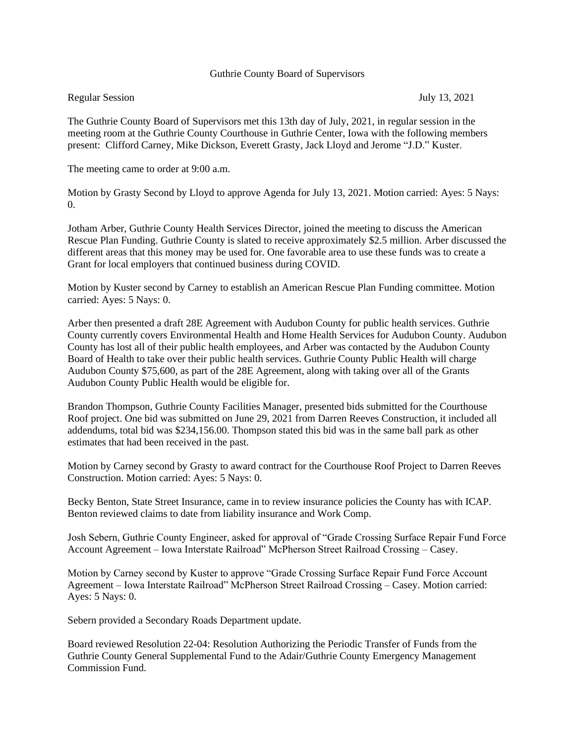### Guthrie County Board of Supervisors

# Regular Session July 13, 2021

The Guthrie County Board of Supervisors met this 13th day of July, 2021, in regular session in the meeting room at the Guthrie County Courthouse in Guthrie Center, Iowa with the following members present: Clifford Carney, Mike Dickson, Everett Grasty, Jack Lloyd and Jerome "J.D." Kuster.

The meeting came to order at 9:00 a.m.

Motion by Grasty Second by Lloyd to approve Agenda for July 13, 2021. Motion carried: Ayes: 5 Nays:  $\Omega$ .

Jotham Arber, Guthrie County Health Services Director, joined the meeting to discuss the American Rescue Plan Funding. Guthrie County is slated to receive approximately \$2.5 million. Arber discussed the different areas that this money may be used for. One favorable area to use these funds was to create a Grant for local employers that continued business during COVID.

Motion by Kuster second by Carney to establish an American Rescue Plan Funding committee. Motion carried: Ayes: 5 Nays: 0.

Arber then presented a draft 28E Agreement with Audubon County for public health services. Guthrie County currently covers Environmental Health and Home Health Services for Audubon County. Audubon County has lost all of their public health employees, and Arber was contacted by the Audubon County Board of Health to take over their public health services. Guthrie County Public Health will charge Audubon County \$75,600, as part of the 28E Agreement, along with taking over all of the Grants Audubon County Public Health would be eligible for.

Brandon Thompson, Guthrie County Facilities Manager, presented bids submitted for the Courthouse Roof project. One bid was submitted on June 29, 2021 from Darren Reeves Construction, it included all addendums, total bid was \$234,156.00. Thompson stated this bid was in the same ball park as other estimates that had been received in the past.

Motion by Carney second by Grasty to award contract for the Courthouse Roof Project to Darren Reeves Construction. Motion carried: Ayes: 5 Nays: 0.

Becky Benton, State Street Insurance, came in to review insurance policies the County has with ICAP. Benton reviewed claims to date from liability insurance and Work Comp.

Josh Sebern, Guthrie County Engineer, asked for approval of "Grade Crossing Surface Repair Fund Force Account Agreement – Iowa Interstate Railroad" McPherson Street Railroad Crossing – Casey.

Motion by Carney second by Kuster to approve "Grade Crossing Surface Repair Fund Force Account Agreement – Iowa Interstate Railroad" McPherson Street Railroad Crossing – Casey. Motion carried: Ayes: 5 Nays: 0.

Sebern provided a Secondary Roads Department update.

Board reviewed Resolution 22-04: Resolution Authorizing the Periodic Transfer of Funds from the Guthrie County General Supplemental Fund to the Adair/Guthrie County Emergency Management Commission Fund.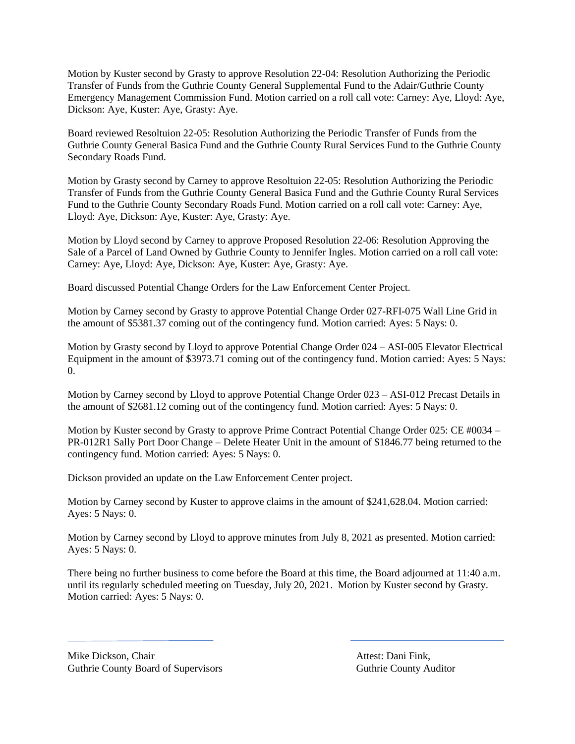Motion by Kuster second by Grasty to approve Resolution 22-04: Resolution Authorizing the Periodic Transfer of Funds from the Guthrie County General Supplemental Fund to the Adair/Guthrie County Emergency Management Commission Fund. Motion carried on a roll call vote: Carney: Aye, Lloyd: Aye, Dickson: Aye, Kuster: Aye, Grasty: Aye.

Board reviewed Resoltuion 22-05: Resolution Authorizing the Periodic Transfer of Funds from the Guthrie County General Basica Fund and the Guthrie County Rural Services Fund to the Guthrie County Secondary Roads Fund.

Motion by Grasty second by Carney to approve Resoltuion 22-05: Resolution Authorizing the Periodic Transfer of Funds from the Guthrie County General Basica Fund and the Guthrie County Rural Services Fund to the Guthrie County Secondary Roads Fund. Motion carried on a roll call vote: Carney: Aye, Lloyd: Aye, Dickson: Aye, Kuster: Aye, Grasty: Aye.

Motion by Lloyd second by Carney to approve Proposed Resolution 22-06: Resolution Approving the Sale of a Parcel of Land Owned by Guthrie County to Jennifer Ingles. Motion carried on a roll call vote: Carney: Aye, Lloyd: Aye, Dickson: Aye, Kuster: Aye, Grasty: Aye.

Board discussed Potential Change Orders for the Law Enforcement Center Project.

Motion by Carney second by Grasty to approve Potential Change Order 027-RFI-075 Wall Line Grid in the amount of \$5381.37 coming out of the contingency fund. Motion carried: Ayes: 5 Nays: 0.

Motion by Grasty second by Lloyd to approve Potential Change Order 024 – ASI-005 Elevator Electrical Equipment in the amount of \$3973.71 coming out of the contingency fund. Motion carried: Ayes: 5 Nays: 0.

Motion by Carney second by Lloyd to approve Potential Change Order 023 – ASI-012 Precast Details in the amount of \$2681.12 coming out of the contingency fund. Motion carried: Ayes: 5 Nays: 0.

Motion by Kuster second by Grasty to approve Prime Contract Potential Change Order 025: CE #0034 – PR-012R1 Sally Port Door Change – Delete Heater Unit in the amount of \$1846.77 being returned to the contingency fund. Motion carried: Ayes: 5 Nays: 0.

Dickson provided an update on the Law Enforcement Center project.

Motion by Carney second by Kuster to approve claims in the amount of \$241,628.04. Motion carried: Ayes: 5 Nays: 0.

Motion by Carney second by Lloyd to approve minutes from July 8, 2021 as presented. Motion carried: Ayes: 5 Nays: 0.

There being no further business to come before the Board at this time, the Board adjourned at 11:40 a.m. until its regularly scheduled meeting on Tuesday, July 20, 2021. Motion by Kuster second by Grasty. Motion carried: Ayes: 5 Nays: 0.

Mike Dickson, Chair **Attest: Dani Fink**, Guthrie County Board of Supervisors **Guthrie County Auditor** Guthrie County Auditor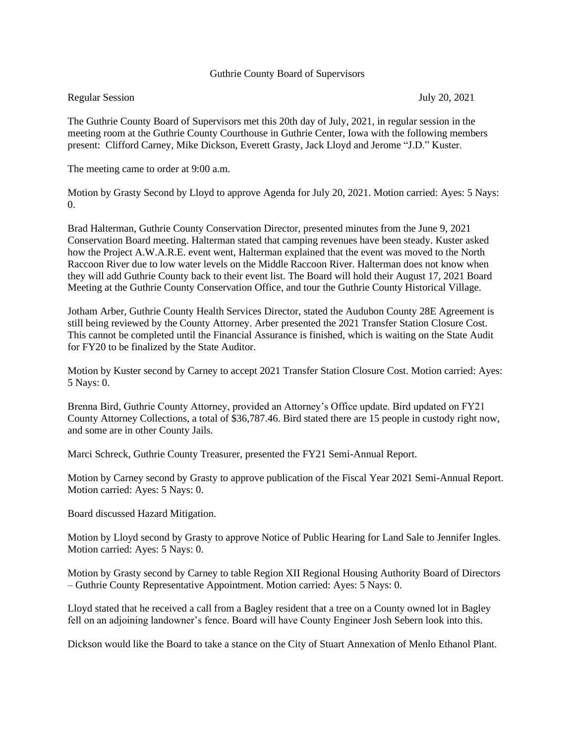### Guthrie County Board of Supervisors

### Regular Session July 20, 2021

The Guthrie County Board of Supervisors met this 20th day of July, 2021, in regular session in the meeting room at the Guthrie County Courthouse in Guthrie Center, Iowa with the following members present: Clifford Carney, Mike Dickson, Everett Grasty, Jack Lloyd and Jerome "J.D." Kuster.

The meeting came to order at 9:00 a.m.

Motion by Grasty Second by Lloyd to approve Agenda for July 20, 2021. Motion carried: Ayes: 5 Nays:  $\Omega$ .

Brad Halterman, Guthrie County Conservation Director, presented minutes from the June 9, 2021 Conservation Board meeting. Halterman stated that camping revenues have been steady. Kuster asked how the Project A.W.A.R.E. event went, Halterman explained that the event was moved to the North Raccoon River due to low water levels on the Middle Raccoon River. Halterman does not know when they will add Guthrie County back to their event list. The Board will hold their August 17, 2021 Board Meeting at the Guthrie County Conservation Office, and tour the Guthrie County Historical Village.

Jotham Arber, Guthrie County Health Services Director, stated the Audubon County 28E Agreement is still being reviewed by the County Attorney. Arber presented the 2021 Transfer Station Closure Cost. This cannot be completed until the Financial Assurance is finished, which is waiting on the State Audit for FY20 to be finalized by the State Auditor.

Motion by Kuster second by Carney to accept 2021 Transfer Station Closure Cost. Motion carried: Ayes: 5 Nays: 0.

Brenna Bird, Guthrie County Attorney, provided an Attorney's Office update. Bird updated on FY21 County Attorney Collections, a total of \$36,787.46. Bird stated there are 15 people in custody right now, and some are in other County Jails.

Marci Schreck, Guthrie County Treasurer, presented the FY21 Semi-Annual Report.

Motion by Carney second by Grasty to approve publication of the Fiscal Year 2021 Semi-Annual Report. Motion carried: Ayes: 5 Nays: 0.

Board discussed Hazard Mitigation.

Motion by Lloyd second by Grasty to approve Notice of Public Hearing for Land Sale to Jennifer Ingles. Motion carried: Ayes: 5 Nays: 0.

Motion by Grasty second by Carney to table Region XII Regional Housing Authority Board of Directors – Guthrie County Representative Appointment. Motion carried: Ayes: 5 Nays: 0.

Lloyd stated that he received a call from a Bagley resident that a tree on a County owned lot in Bagley fell on an adjoining landowner's fence. Board will have County Engineer Josh Sebern look into this.

Dickson would like the Board to take a stance on the City of Stuart Annexation of Menlo Ethanol Plant.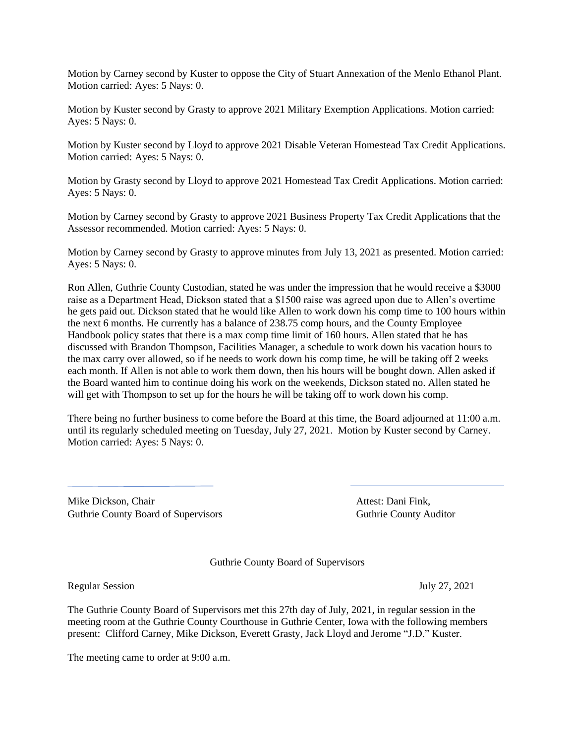Motion by Carney second by Kuster to oppose the City of Stuart Annexation of the Menlo Ethanol Plant. Motion carried: Ayes: 5 Nays: 0.

Motion by Kuster second by Grasty to approve 2021 Military Exemption Applications. Motion carried: Ayes: 5 Nays: 0.

Motion by Kuster second by Lloyd to approve 2021 Disable Veteran Homestead Tax Credit Applications. Motion carried: Ayes: 5 Nays: 0.

Motion by Grasty second by Lloyd to approve 2021 Homestead Tax Credit Applications. Motion carried: Ayes: 5 Nays: 0.

Motion by Carney second by Grasty to approve 2021 Business Property Tax Credit Applications that the Assessor recommended. Motion carried: Ayes: 5 Nays: 0.

Motion by Carney second by Grasty to approve minutes from July 13, 2021 as presented. Motion carried: Ayes: 5 Nays: 0.

Ron Allen, Guthrie County Custodian, stated he was under the impression that he would receive a \$3000 raise as a Department Head, Dickson stated that a \$1500 raise was agreed upon due to Allen's overtime he gets paid out. Dickson stated that he would like Allen to work down his comp time to 100 hours within the next 6 months. He currently has a balance of 238.75 comp hours, and the County Employee Handbook policy states that there is a max comp time limit of 160 hours. Allen stated that he has discussed with Brandon Thompson, Facilities Manager, a schedule to work down his vacation hours to the max carry over allowed, so if he needs to work down his comp time, he will be taking off 2 weeks each month. If Allen is not able to work them down, then his hours will be bought down. Allen asked if the Board wanted him to continue doing his work on the weekends, Dickson stated no. Allen stated he will get with Thompson to set up for the hours he will be taking off to work down his comp.

There being no further business to come before the Board at this time, the Board adjourned at 11:00 a.m. until its regularly scheduled meeting on Tuesday, July 27, 2021. Motion by Kuster second by Carney. Motion carried: Ayes: 5 Nays: 0.

Mike Dickson, Chair **Attest: Dani Fink**, Attest: Dani Fink, Guthrie County Board of Supervisors **Guthrie County Auditor** Guthrie County Auditor

Guthrie County Board of Supervisors

Regular Session July 27, 2021

The Guthrie County Board of Supervisors met this 27th day of July, 2021, in regular session in the meeting room at the Guthrie County Courthouse in Guthrie Center, Iowa with the following members present: Clifford Carney, Mike Dickson, Everett Grasty, Jack Lloyd and Jerome "J.D." Kuster.

The meeting came to order at 9:00 a.m.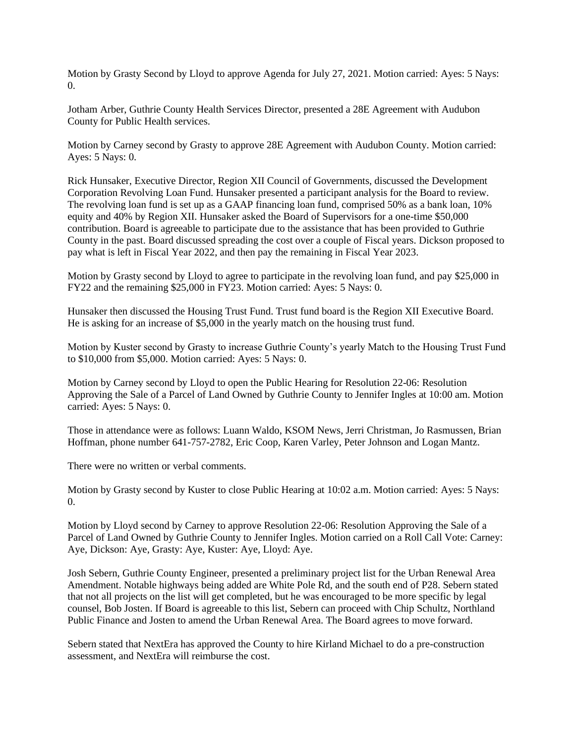Motion by Grasty Second by Lloyd to approve Agenda for July 27, 2021. Motion carried: Ayes: 5 Nays: 0.

Jotham Arber, Guthrie County Health Services Director, presented a 28E Agreement with Audubon County for Public Health services.

Motion by Carney second by Grasty to approve 28E Agreement with Audubon County. Motion carried: Ayes: 5 Nays: 0.

Rick Hunsaker, Executive Director, Region XII Council of Governments, discussed the Development Corporation Revolving Loan Fund. Hunsaker presented a participant analysis for the Board to review. The revolving loan fund is set up as a GAAP financing loan fund, comprised 50% as a bank loan, 10% equity and 40% by Region XII. Hunsaker asked the Board of Supervisors for a one-time \$50,000 contribution. Board is agreeable to participate due to the assistance that has been provided to Guthrie County in the past. Board discussed spreading the cost over a couple of Fiscal years. Dickson proposed to pay what is left in Fiscal Year 2022, and then pay the remaining in Fiscal Year 2023.

Motion by Grasty second by Lloyd to agree to participate in the revolving loan fund, and pay \$25,000 in FY22 and the remaining \$25,000 in FY23. Motion carried: Ayes: 5 Nays: 0.

Hunsaker then discussed the Housing Trust Fund. Trust fund board is the Region XII Executive Board. He is asking for an increase of \$5,000 in the yearly match on the housing trust fund.

Motion by Kuster second by Grasty to increase Guthrie County's yearly Match to the Housing Trust Fund to \$10,000 from \$5,000. Motion carried: Ayes: 5 Nays: 0.

Motion by Carney second by Lloyd to open the Public Hearing for Resolution 22-06: Resolution Approving the Sale of a Parcel of Land Owned by Guthrie County to Jennifer Ingles at 10:00 am. Motion carried: Ayes: 5 Nays: 0.

Those in attendance were as follows: Luann Waldo, KSOM News, Jerri Christman, Jo Rasmussen, Brian Hoffman, phone number 641-757-2782, Eric Coop, Karen Varley, Peter Johnson and Logan Mantz.

There were no written or verbal comments.

Motion by Grasty second by Kuster to close Public Hearing at 10:02 a.m. Motion carried: Ayes: 5 Nays: 0.

Motion by Lloyd second by Carney to approve Resolution 22-06: Resolution Approving the Sale of a Parcel of Land Owned by Guthrie County to Jennifer Ingles. Motion carried on a Roll Call Vote: Carney: Aye, Dickson: Aye, Grasty: Aye, Kuster: Aye, Lloyd: Aye.

Josh Sebern, Guthrie County Engineer, presented a preliminary project list for the Urban Renewal Area Amendment. Notable highways being added are White Pole Rd, and the south end of P28. Sebern stated that not all projects on the list will get completed, but he was encouraged to be more specific by legal counsel, Bob Josten. If Board is agreeable to this list, Sebern can proceed with Chip Schultz, Northland Public Finance and Josten to amend the Urban Renewal Area. The Board agrees to move forward.

Sebern stated that NextEra has approved the County to hire Kirland Michael to do a pre-construction assessment, and NextEra will reimburse the cost.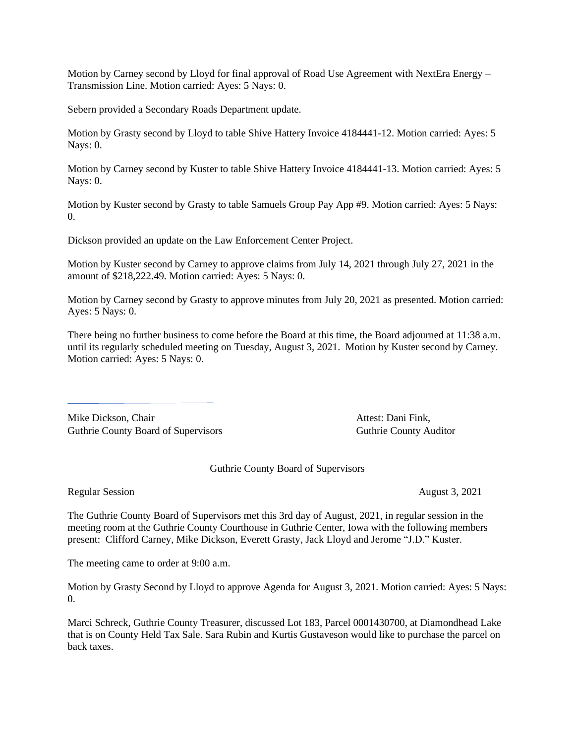Motion by Carney second by Lloyd for final approval of Road Use Agreement with NextEra Energy – Transmission Line. Motion carried: Ayes: 5 Nays: 0.

Sebern provided a Secondary Roads Department update.

Motion by Grasty second by Lloyd to table Shive Hattery Invoice 4184441-12. Motion carried: Ayes: 5 Nays: 0.

Motion by Carney second by Kuster to table Shive Hattery Invoice 4184441-13. Motion carried: Ayes: 5 Nays: 0.

Motion by Kuster second by Grasty to table Samuels Group Pay App #9. Motion carried: Ayes: 5 Nays:  $\Omega$ .

Dickson provided an update on the Law Enforcement Center Project.

Motion by Kuster second by Carney to approve claims from July 14, 2021 through July 27, 2021 in the amount of \$218,222.49. Motion carried: Ayes: 5 Nays: 0.

Motion by Carney second by Grasty to approve minutes from July 20, 2021 as presented. Motion carried: Ayes: 5 Nays: 0.

There being no further business to come before the Board at this time, the Board adjourned at 11:38 a.m. until its regularly scheduled meeting on Tuesday, August 3, 2021. Motion by Kuster second by Carney. Motion carried: Ayes: 5 Nays: 0.

Mike Dickson, Chair **Attest: Dani Fink**, Guthrie County Board of Supervisors **Guthrie County Auditor** Guthrie County Auditor

Guthrie County Board of Supervisors

Regular Session August 3, 2021

The Guthrie County Board of Supervisors met this 3rd day of August, 2021, in regular session in the meeting room at the Guthrie County Courthouse in Guthrie Center, Iowa with the following members present: Clifford Carney, Mike Dickson, Everett Grasty, Jack Lloyd and Jerome "J.D." Kuster.

The meeting came to order at 9:00 a.m.

Motion by Grasty Second by Lloyd to approve Agenda for August 3, 2021. Motion carried: Ayes: 5 Nays:  $\overline{0}$ .

Marci Schreck, Guthrie County Treasurer, discussed Lot 183, Parcel 0001430700, at Diamondhead Lake that is on County Held Tax Sale. Sara Rubin and Kurtis Gustaveson would like to purchase the parcel on back taxes.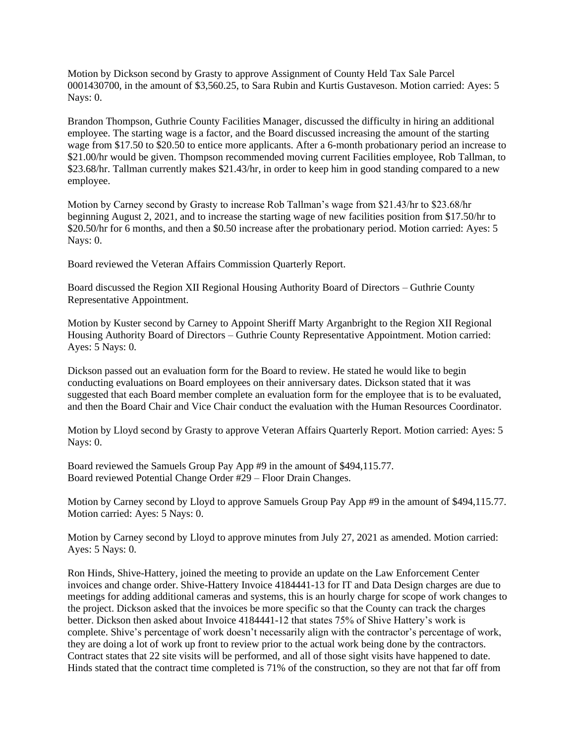Motion by Dickson second by Grasty to approve Assignment of County Held Tax Sale Parcel 0001430700, in the amount of \$3,560.25, to Sara Rubin and Kurtis Gustaveson. Motion carried: Ayes: 5 Nays: 0.

Brandon Thompson, Guthrie County Facilities Manager, discussed the difficulty in hiring an additional employee. The starting wage is a factor, and the Board discussed increasing the amount of the starting wage from \$17.50 to \$20.50 to entice more applicants. After a 6-month probationary period an increase to \$21.00/hr would be given. Thompson recommended moving current Facilities employee, Rob Tallman, to \$23.68/hr. Tallman currently makes \$21.43/hr, in order to keep him in good standing compared to a new employee.

Motion by Carney second by Grasty to increase Rob Tallman's wage from \$21.43/hr to \$23.68/hr beginning August 2, 2021, and to increase the starting wage of new facilities position from \$17.50/hr to \$20.50/hr for 6 months, and then a \$0.50 increase after the probationary period. Motion carried: Ayes: 5 Nays: 0.

Board reviewed the Veteran Affairs Commission Quarterly Report.

Board discussed the Region XII Regional Housing Authority Board of Directors – Guthrie County Representative Appointment.

Motion by Kuster second by Carney to Appoint Sheriff Marty Arganbright to the Region XII Regional Housing Authority Board of Directors – Guthrie County Representative Appointment. Motion carried: Ayes: 5 Nays: 0.

Dickson passed out an evaluation form for the Board to review. He stated he would like to begin conducting evaluations on Board employees on their anniversary dates. Dickson stated that it was suggested that each Board member complete an evaluation form for the employee that is to be evaluated, and then the Board Chair and Vice Chair conduct the evaluation with the Human Resources Coordinator.

Motion by Lloyd second by Grasty to approve Veteran Affairs Quarterly Report. Motion carried: Ayes: 5 Nays: 0.

Board reviewed the Samuels Group Pay App #9 in the amount of \$494,115.77. Board reviewed Potential Change Order #29 – Floor Drain Changes.

Motion by Carney second by Lloyd to approve Samuels Group Pay App #9 in the amount of \$494,115.77. Motion carried: Ayes: 5 Nays: 0.

Motion by Carney second by Lloyd to approve minutes from July 27, 2021 as amended. Motion carried: Ayes: 5 Nays: 0.

Ron Hinds, Shive-Hattery, joined the meeting to provide an update on the Law Enforcement Center invoices and change order. Shive-Hattery Invoice 4184441-13 for IT and Data Design charges are due to meetings for adding additional cameras and systems, this is an hourly charge for scope of work changes to the project. Dickson asked that the invoices be more specific so that the County can track the charges better. Dickson then asked about Invoice 4184441-12 that states 75% of Shive Hattery's work is complete. Shive's percentage of work doesn't necessarily align with the contractor's percentage of work, they are doing a lot of work up front to review prior to the actual work being done by the contractors. Contract states that 22 site visits will be performed, and all of those sight visits have happened to date. Hinds stated that the contract time completed is 71% of the construction, so they are not that far off from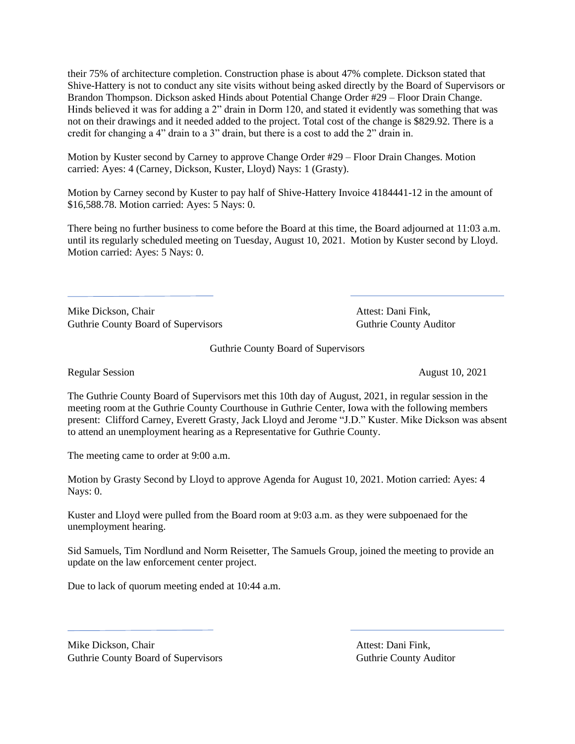their 75% of architecture completion. Construction phase is about 47% complete. Dickson stated that Shive-Hattery is not to conduct any site visits without being asked directly by the Board of Supervisors or Brandon Thompson. Dickson asked Hinds about Potential Change Order #29 – Floor Drain Change. Hinds believed it was for adding a 2" drain in Dorm 120, and stated it evidently was something that was not on their drawings and it needed added to the project. Total cost of the change is \$829.92. There is a credit for changing a 4" drain to a 3" drain, but there is a cost to add the 2" drain in.

Motion by Kuster second by Carney to approve Change Order #29 – Floor Drain Changes. Motion carried: Ayes: 4 (Carney, Dickson, Kuster, Lloyd) Nays: 1 (Grasty).

Motion by Carney second by Kuster to pay half of Shive-Hattery Invoice 4184441-12 in the amount of \$16,588.78. Motion carried: Ayes: 5 Nays: 0.

There being no further business to come before the Board at this time, the Board adjourned at 11:03 a.m. until its regularly scheduled meeting on Tuesday, August 10, 2021. Motion by Kuster second by Lloyd. Motion carried: Ayes: 5 Nays: 0.

Mike Dickson, Chair **Attest: Dani Fink**, Guthrie County Board of Supervisors **Guthrie County Auditor** Guthrie County Auditor

Guthrie County Board of Supervisors

Regular Session August 10, 2021

The Guthrie County Board of Supervisors met this 10th day of August, 2021, in regular session in the meeting room at the Guthrie County Courthouse in Guthrie Center, Iowa with the following members present: Clifford Carney, Everett Grasty, Jack Lloyd and Jerome "J.D." Kuster. Mike Dickson was absent to attend an unemployment hearing as a Representative for Guthrie County.

The meeting came to order at 9:00 a.m.

Motion by Grasty Second by Lloyd to approve Agenda for August 10, 2021. Motion carried: Ayes: 4 Nays: 0.

Kuster and Lloyd were pulled from the Board room at 9:03 a.m. as they were subpoenaed for the unemployment hearing.

Sid Samuels, Tim Nordlund and Norm Reisetter, The Samuels Group, joined the meeting to provide an update on the law enforcement center project.

Due to lack of quorum meeting ended at 10:44 a.m.

Mike Dickson, Chair **Attest: Dani Fink**, Guthrie County Board of Supervisors **Guthrie County Auditor** Guthrie County Auditor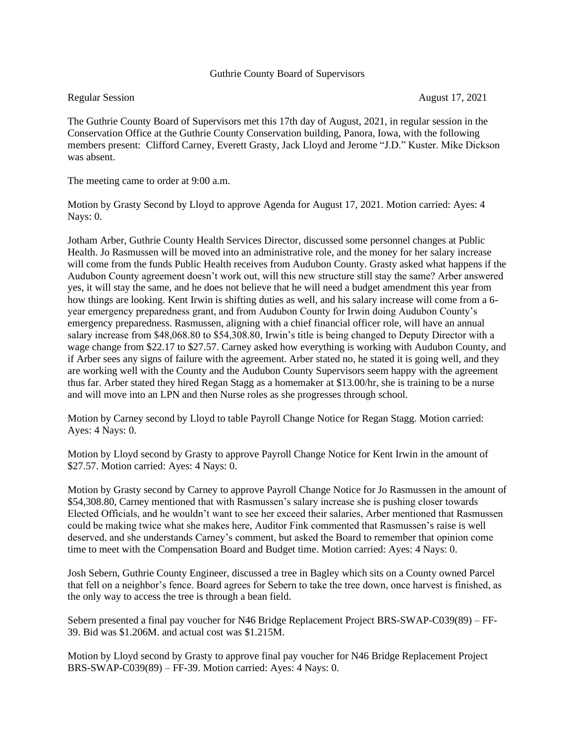## Guthrie County Board of Supervisors

Regular Session August 17, 2021

The Guthrie County Board of Supervisors met this 17th day of August, 2021, in regular session in the Conservation Office at the Guthrie County Conservation building, Panora, Iowa, with the following members present: Clifford Carney, Everett Grasty, Jack Lloyd and Jerome "J.D." Kuster. Mike Dickson was absent.

The meeting came to order at 9:00 a.m.

Motion by Grasty Second by Lloyd to approve Agenda for August 17, 2021. Motion carried: Ayes: 4 Nays: 0.

Jotham Arber, Guthrie County Health Services Director, discussed some personnel changes at Public Health. Jo Rasmussen will be moved into an administrative role, and the money for her salary increase will come from the funds Public Health receives from Audubon County. Grasty asked what happens if the Audubon County agreement doesn't work out, will this new structure still stay the same? Arber answered yes, it will stay the same, and he does not believe that he will need a budget amendment this year from how things are looking. Kent Irwin is shifting duties as well, and his salary increase will come from a 6 year emergency preparedness grant, and from Audubon County for Irwin doing Audubon County's emergency preparedness. Rasmussen, aligning with a chief financial officer role, will have an annual salary increase from \$48,068.80 to \$54,308.80, Irwin's title is being changed to Deputy Director with a wage change from \$22.17 to \$27.57. Carney asked how everything is working with Audubon County, and if Arber sees any signs of failure with the agreement. Arber stated no, he stated it is going well, and they are working well with the County and the Audubon County Supervisors seem happy with the agreement thus far. Arber stated they hired Regan Stagg as a homemaker at \$13.00/hr, she is training to be a nurse and will move into an LPN and then Nurse roles as she progresses through school.

Motion by Carney second by Lloyd to table Payroll Change Notice for Regan Stagg. Motion carried: Ayes: 4 Nays: 0.

Motion by Lloyd second by Grasty to approve Payroll Change Notice for Kent Irwin in the amount of \$27.57. Motion carried: Ayes: 4 Nays: 0.

Motion by Grasty second by Carney to approve Payroll Change Notice for Jo Rasmussen in the amount of \$54,308.80, Carney mentioned that with Rasmussen's salary increase she is pushing closer towards Elected Officials, and he wouldn't want to see her exceed their salaries, Arber mentioned that Rasmussen could be making twice what she makes here, Auditor Fink commented that Rasmussen's raise is well deserved, and she understands Carney's comment, but asked the Board to remember that opinion come time to meet with the Compensation Board and Budget time. Motion carried: Ayes: 4 Nays: 0.

Josh Sebern, Guthrie County Engineer, discussed a tree in Bagley which sits on a County owned Parcel that fell on a neighbor's fence. Board agrees for Sebern to take the tree down, once harvest is finished, as the only way to access the tree is through a bean field.

Sebern presented a final pay voucher for N46 Bridge Replacement Project BRS-SWAP-C039(89) – FF-39. Bid was \$1.206M. and actual cost was \$1.215M.

Motion by Lloyd second by Grasty to approve final pay voucher for N46 Bridge Replacement Project BRS-SWAP-C039(89) – FF-39. Motion carried: Ayes: 4 Nays: 0.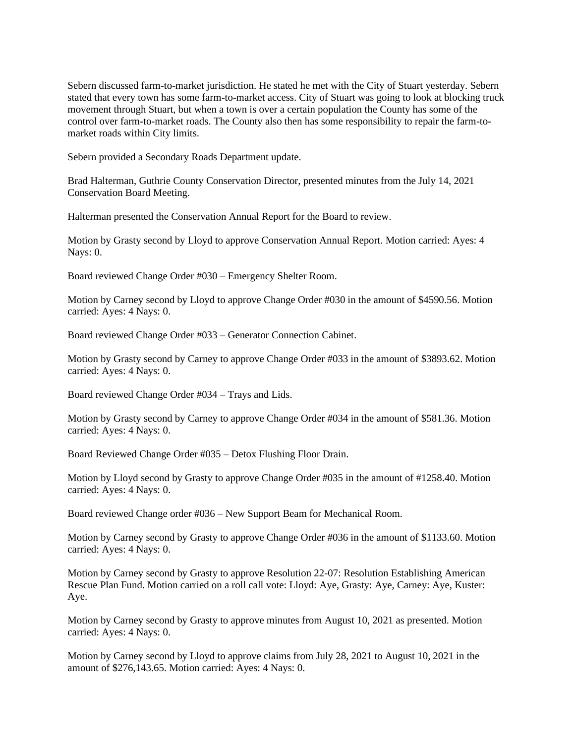Sebern discussed farm-to-market jurisdiction. He stated he met with the City of Stuart yesterday. Sebern stated that every town has some farm-to-market access. City of Stuart was going to look at blocking truck movement through Stuart, but when a town is over a certain population the County has some of the control over farm-to-market roads. The County also then has some responsibility to repair the farm-tomarket roads within City limits.

Sebern provided a Secondary Roads Department update.

Brad Halterman, Guthrie County Conservation Director, presented minutes from the July 14, 2021 Conservation Board Meeting.

Halterman presented the Conservation Annual Report for the Board to review.

Motion by Grasty second by Lloyd to approve Conservation Annual Report. Motion carried: Ayes: 4 Nays: 0.

Board reviewed Change Order #030 – Emergency Shelter Room.

Motion by Carney second by Lloyd to approve Change Order #030 in the amount of \$4590.56. Motion carried: Ayes: 4 Nays: 0.

Board reviewed Change Order #033 – Generator Connection Cabinet.

Motion by Grasty second by Carney to approve Change Order #033 in the amount of \$3893.62. Motion carried: Ayes: 4 Nays: 0.

Board reviewed Change Order #034 – Trays and Lids.

Motion by Grasty second by Carney to approve Change Order #034 in the amount of \$581.36. Motion carried: Ayes: 4 Nays: 0.

Board Reviewed Change Order #035 – Detox Flushing Floor Drain.

Motion by Lloyd second by Grasty to approve Change Order #035 in the amount of #1258.40. Motion carried: Ayes: 4 Nays: 0.

Board reviewed Change order #036 – New Support Beam for Mechanical Room.

Motion by Carney second by Grasty to approve Change Order #036 in the amount of \$1133.60. Motion carried: Ayes: 4 Nays: 0.

Motion by Carney second by Grasty to approve Resolution 22-07: Resolution Establishing American Rescue Plan Fund. Motion carried on a roll call vote: Lloyd: Aye, Grasty: Aye, Carney: Aye, Kuster: Aye.

Motion by Carney second by Grasty to approve minutes from August 10, 2021 as presented. Motion carried: Ayes: 4 Nays: 0.

Motion by Carney second by Lloyd to approve claims from July 28, 2021 to August 10, 2021 in the amount of \$276,143.65. Motion carried: Ayes: 4 Nays: 0.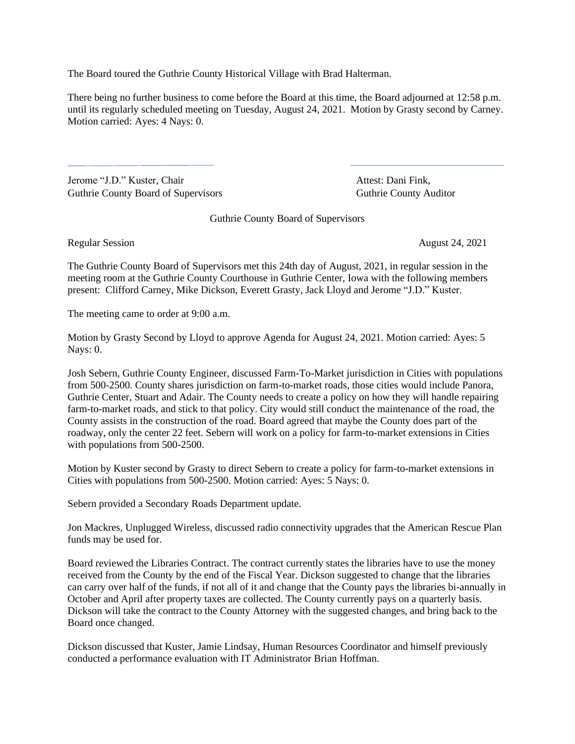The Board toured the Guthrie County Historical Village with Brad Halterman.

There being no further business to come before the Board at this time, the Board adjourned at 12:58 p.m. until its regularly scheduled meeting on Tuesday, August 24, 2021. Motion by Grasty second by Carney. Motion carried: Ayes: 4 Nays: 0.

Jerome "J.D." Kuster, Chair Attest: Dani Fink, Guthrie County Board of Supervisors **Guthrie County Auditor** Guthrie County Auditor

Guthrie County Board of Supervisors

Regular Session August 24, 2021

The Guthrie County Board of Supervisors met this 24th day of August, 2021, in regular session in the meeting room at the Guthrie County Courthouse in Guthrie Center, Iowa with the following members present: Clifford Carney, Mike Dickson, Everett Grasty, Jack Lloyd and Jerome "J.D." Kuster.

The meeting came to order at 9:00 a.m.

Motion by Grasty Second by Lloyd to approve Agenda for August 24, 2021. Motion carried: Ayes: 5 Nays: 0.

Josh Sebern, Guthrie County Engineer, discussed Farm-To-Market jurisdiction in Cities with populations from 500-2500. County shares jurisdiction on farm-to-market roads, those cities would include Panora, Guthrie Center, Stuart and Adair. The County needs to create a policy on how they will handle repairing farm-to-market roads, and stick to that policy. City would still conduct the maintenance of the road, the County assists in the construction of the road. Board agreed that maybe the County does part of the roadway, only the center 22 feet. Sebern will work on a policy for farm-to-market extensions in Cities with populations from 500-2500.

Motion by Kuster second by Grasty to direct Sebern to create a policy for farm-to-market extensions in Cities with populations from 500-2500. Motion carried: Ayes: 5 Nays: 0.

Sebern provided a Secondary Roads Department update.

Jon Mackres, Unplugged Wireless, discussed radio connectivity upgrades that the American Rescue Plan funds may be used for.

Board reviewed the Libraries Contract. The contract currently states the libraries have to use the money received from the County by the end of the Fiscal Year. Dickson suggested to change that the libraries can carry over half of the funds, if not all of it and change that the County pays the libraries bi-annually in October and April after property taxes are collected. The County currently pays on a quarterly basis. Dickson will take the contract to the County Attorney with the suggested changes, and bring back to the Board once changed.

Dickson discussed that Kuster, Jamie Lindsay, Human Resources Coordinator and himself previously conducted a performance evaluation with IT Administrator Brian Hoffman.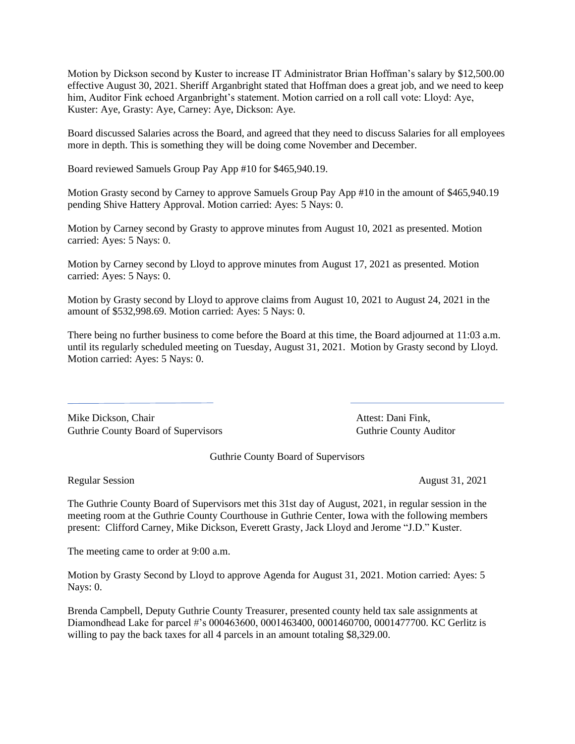Motion by Dickson second by Kuster to increase IT Administrator Brian Hoffman's salary by \$12,500.00 effective August 30, 2021. Sheriff Arganbright stated that Hoffman does a great job, and we need to keep him, Auditor Fink echoed Arganbright's statement. Motion carried on a roll call vote: Lloyd: Aye, Kuster: Aye, Grasty: Aye, Carney: Aye, Dickson: Aye.

Board discussed Salaries across the Board, and agreed that they need to discuss Salaries for all employees more in depth. This is something they will be doing come November and December.

Board reviewed Samuels Group Pay App #10 for \$465,940.19.

Motion Grasty second by Carney to approve Samuels Group Pay App #10 in the amount of \$465,940.19 pending Shive Hattery Approval. Motion carried: Ayes: 5 Nays: 0.

Motion by Carney second by Grasty to approve minutes from August 10, 2021 as presented. Motion carried: Ayes: 5 Nays: 0.

Motion by Carney second by Lloyd to approve minutes from August 17, 2021 as presented. Motion carried: Ayes: 5 Nays: 0.

Motion by Grasty second by Lloyd to approve claims from August 10, 2021 to August 24, 2021 in the amount of \$532,998.69. Motion carried: Ayes: 5 Nays: 0.

There being no further business to come before the Board at this time, the Board adjourned at 11:03 a.m. until its regularly scheduled meeting on Tuesday, August 31, 2021. Motion by Grasty second by Lloyd. Motion carried: Ayes: 5 Nays: 0.

Mike Dickson, Chair **Attest: Dani Fink**, Guthrie County Board of Supervisors **Guthrie County Auditor** Guthrie County Auditor

Guthrie County Board of Supervisors

Regular Session August 31, 2021

The Guthrie County Board of Supervisors met this 31st day of August, 2021, in regular session in the meeting room at the Guthrie County Courthouse in Guthrie Center, Iowa with the following members present: Clifford Carney, Mike Dickson, Everett Grasty, Jack Lloyd and Jerome "J.D." Kuster.

The meeting came to order at 9:00 a.m.

Motion by Grasty Second by Lloyd to approve Agenda for August 31, 2021. Motion carried: Ayes: 5 Nays: 0.

Brenda Campbell, Deputy Guthrie County Treasurer, presented county held tax sale assignments at Diamondhead Lake for parcel #'s 000463600, 0001463400, 0001460700, 0001477700. KC Gerlitz is willing to pay the back taxes for all 4 parcels in an amount totaling \$8,329.00.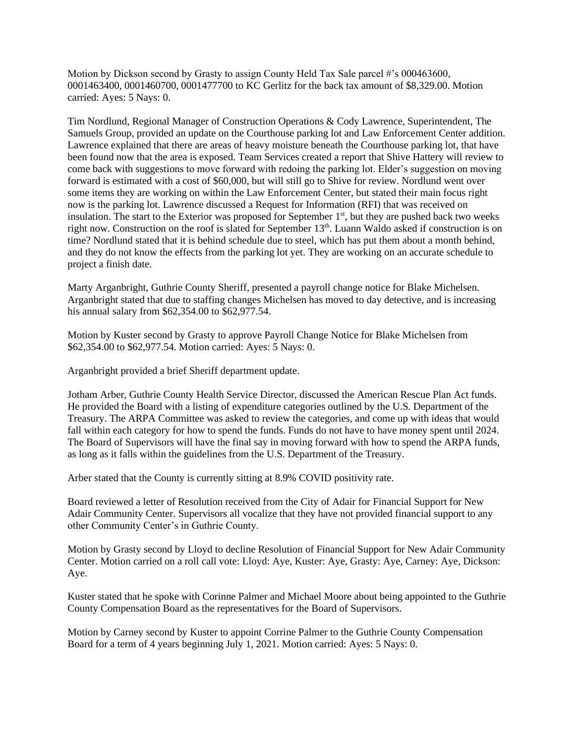Motion by Dickson second by Grasty to assign County Held Tax Sale parcel #'s 000463600, 0001463400, 0001460700, 0001477700 to KC Gerlitz for the back tax amount of \$8,329.00. Motion carried: Ayes: 5 Nays: 0.

Tim Nordlund, Regional Manager of Construction Operations & Cody Lawrence, Superintendent, The Samuels Group, provided an update on the Courthouse parking lot and Law Enforcement Center addition. Lawrence explained that there are areas of heavy moisture beneath the Courthouse parking lot, that have been found now that the area is exposed. Team Services created a report that Shive Hattery will review to come back with suggestions to move forward with redoing the parking lot. Elder's suggestion on moving forward is estimated with a cost of \$60,000, but will still go to Shive for review. Nordlund went over some items they are working on within the Law Enforcement Center, but stated their main focus right now is the parking lot. Lawrence discussed a Request for Information (RFI) that was received on insulation. The start to the Exterior was proposed for September  $1<sup>st</sup>$ , but they are pushed back two weeks right now. Construction on the roof is slated for September 13<sup>th</sup>. Luann Waldo asked if construction is on time? Nordlund stated that it is behind schedule due to steel, which has put them about a month behind, and they do not know the effects from the parking lot yet. They are working on an accurate schedule to project a finish date.

Marty Arganbright, Guthrie County Sheriff, presented a payroll change notice for Blake Michelsen. Arganbright stated that due to staffing changes Michelsen has moved to day detective, and is increasing his annual salary from \$62,354.00 to \$62,977.54.

Motion by Kuster second by Grasty to approve Payroll Change Notice for Blake Michelsen from \$62,354.00 to \$62,977.54. Motion carried: Ayes: 5 Nays: 0.

Arganbright provided a brief Sheriff department update.

Jotham Arber, Guthrie County Health Service Director, discussed the American Rescue Plan Act funds. He provided the Board with a listing of expenditure categories outlined by the U.S. Department of the Treasury. The ARPA Committee was asked to review the categories, and come up with ideas that would fall within each category for how to spend the funds. Funds do not have to have money spent until 2024. The Board of Supervisors will have the final say in moving forward with how to spend the ARPA funds, as long as it falls within the guidelines from the U.S. Department of the Treasury.

Arber stated that the County is currently sitting at 8.9% COVID positivity rate.

Board reviewed a letter of Resolution received from the City of Adair for Financial Support for New Adair Community Center. Supervisors all vocalize that they have not provided financial support to any other Community Center's in Guthrie County.

Motion by Grasty second by Lloyd to decline Resolution of Financial Support for New Adair Community Center. Motion carried on a roll call vote: Lloyd: Aye, Kuster: Aye, Grasty: Aye, Carney: Aye, Dickson: Aye.

Kuster stated that he spoke with Corinne Palmer and Michael Moore about being appointed to the Guthrie County Compensation Board as the representatives for the Board of Supervisors.

Motion by Carney second by Kuster to appoint Corrine Palmer to the Guthrie County Compensation Board for a term of 4 years beginning July 1, 2021. Motion carried: Ayes: 5 Nays: 0.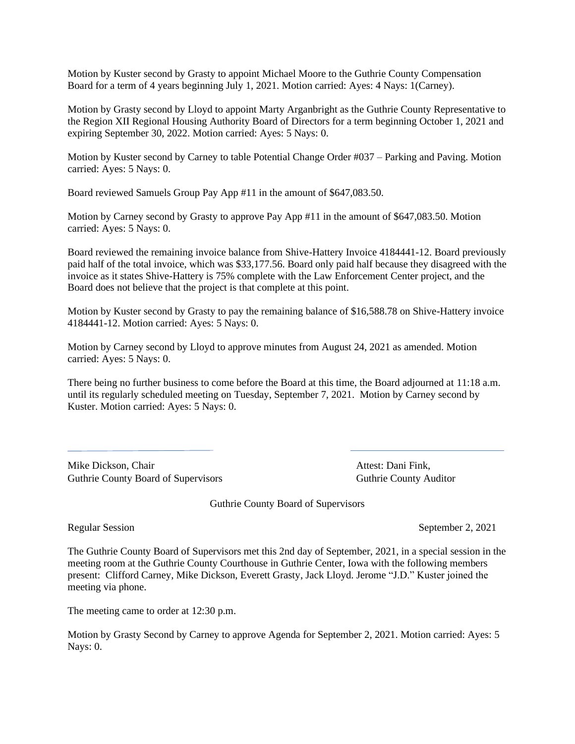Motion by Kuster second by Grasty to appoint Michael Moore to the Guthrie County Compensation Board for a term of 4 years beginning July 1, 2021. Motion carried: Ayes: 4 Nays: 1(Carney).

Motion by Grasty second by Lloyd to appoint Marty Arganbright as the Guthrie County Representative to the Region XII Regional Housing Authority Board of Directors for a term beginning October 1, 2021 and expiring September 30, 2022. Motion carried: Ayes: 5 Nays: 0.

Motion by Kuster second by Carney to table Potential Change Order #037 – Parking and Paving. Motion carried: Ayes: 5 Nays: 0.

Board reviewed Samuels Group Pay App #11 in the amount of \$647,083.50.

Motion by Carney second by Grasty to approve Pay App #11 in the amount of \$647,083.50. Motion carried: Ayes: 5 Nays: 0.

Board reviewed the remaining invoice balance from Shive-Hattery Invoice 4184441-12. Board previously paid half of the total invoice, which was \$33,177.56. Board only paid half because they disagreed with the invoice as it states Shive-Hattery is 75% complete with the Law Enforcement Center project, and the Board does not believe that the project is that complete at this point.

Motion by Kuster second by Grasty to pay the remaining balance of \$16,588.78 on Shive-Hattery invoice 4184441-12. Motion carried: Ayes: 5 Nays: 0.

Motion by Carney second by Lloyd to approve minutes from August 24, 2021 as amended. Motion carried: Ayes: 5 Nays: 0.

There being no further business to come before the Board at this time, the Board adjourned at 11:18 a.m. until its regularly scheduled meeting on Tuesday, September 7, 2021. Motion by Carney second by Kuster. Motion carried: Ayes: 5 Nays: 0.

Mike Dickson, Chair **Attest: Dani Fink**, Guthrie County Board of Supervisors **Guthrie County Auditor** Guthrie County Auditor

Guthrie County Board of Supervisors

Regular Session September 2, 2021

The Guthrie County Board of Supervisors met this 2nd day of September, 2021, in a special session in the meeting room at the Guthrie County Courthouse in Guthrie Center, Iowa with the following members present: Clifford Carney, Mike Dickson, Everett Grasty, Jack Lloyd. Jerome "J.D." Kuster joined the meeting via phone.

The meeting came to order at 12:30 p.m.

Motion by Grasty Second by Carney to approve Agenda for September 2, 2021. Motion carried: Ayes: 5 Nays: 0.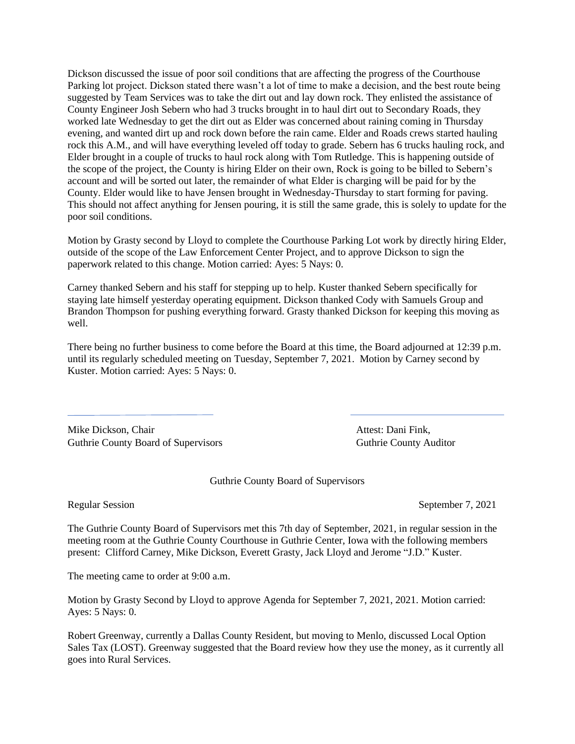Dickson discussed the issue of poor soil conditions that are affecting the progress of the Courthouse Parking lot project. Dickson stated there wasn't a lot of time to make a decision, and the best route being suggested by Team Services was to take the dirt out and lay down rock. They enlisted the assistance of County Engineer Josh Sebern who had 3 trucks brought in to haul dirt out to Secondary Roads, they worked late Wednesday to get the dirt out as Elder was concerned about raining coming in Thursday evening, and wanted dirt up and rock down before the rain came. Elder and Roads crews started hauling rock this A.M., and will have everything leveled off today to grade. Sebern has 6 trucks hauling rock, and Elder brought in a couple of trucks to haul rock along with Tom Rutledge. This is happening outside of the scope of the project, the County is hiring Elder on their own, Rock is going to be billed to Sebern's account and will be sorted out later, the remainder of what Elder is charging will be paid for by the County. Elder would like to have Jensen brought in Wednesday-Thursday to start forming for paving. This should not affect anything for Jensen pouring, it is still the same grade, this is solely to update for the poor soil conditions.

Motion by Grasty second by Lloyd to complete the Courthouse Parking Lot work by directly hiring Elder, outside of the scope of the Law Enforcement Center Project, and to approve Dickson to sign the paperwork related to this change. Motion carried: Ayes: 5 Nays: 0.

Carney thanked Sebern and his staff for stepping up to help. Kuster thanked Sebern specifically for staying late himself yesterday operating equipment. Dickson thanked Cody with Samuels Group and Brandon Thompson for pushing everything forward. Grasty thanked Dickson for keeping this moving as well.

There being no further business to come before the Board at this time, the Board adjourned at 12:39 p.m. until its regularly scheduled meeting on Tuesday, September 7, 2021. Motion by Carney second by Kuster. Motion carried: Ayes: 5 Nays: 0.

Mike Dickson, Chair **Attest: Dani Fink**, Guthrie County Board of Supervisors **Guthrie County Auditor** Guthrie County Auditor

Guthrie County Board of Supervisors

Regular Session September 7, 2021

The Guthrie County Board of Supervisors met this 7th day of September, 2021, in regular session in the meeting room at the Guthrie County Courthouse in Guthrie Center, Iowa with the following members present: Clifford Carney, Mike Dickson, Everett Grasty, Jack Lloyd and Jerome "J.D." Kuster.

The meeting came to order at 9:00 a.m.

Motion by Grasty Second by Lloyd to approve Agenda for September 7, 2021, 2021. Motion carried: Ayes: 5 Nays: 0.

Robert Greenway, currently a Dallas County Resident, but moving to Menlo, discussed Local Option Sales Tax (LOST). Greenway suggested that the Board review how they use the money, as it currently all goes into Rural Services.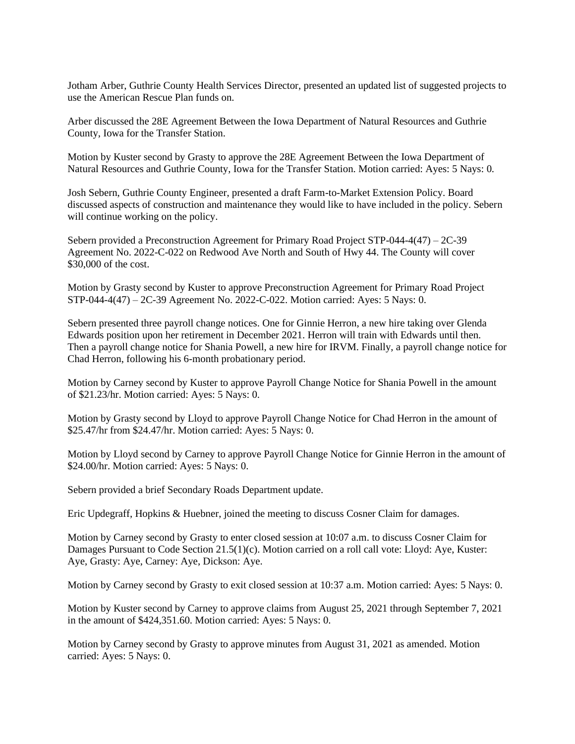Jotham Arber, Guthrie County Health Services Director, presented an updated list of suggested projects to use the American Rescue Plan funds on.

Arber discussed the 28E Agreement Between the Iowa Department of Natural Resources and Guthrie County, Iowa for the Transfer Station.

Motion by Kuster second by Grasty to approve the 28E Agreement Between the Iowa Department of Natural Resources and Guthrie County, Iowa for the Transfer Station. Motion carried: Ayes: 5 Nays: 0.

Josh Sebern, Guthrie County Engineer, presented a draft Farm-to-Market Extension Policy. Board discussed aspects of construction and maintenance they would like to have included in the policy. Sebern will continue working on the policy.

Sebern provided a Preconstruction Agreement for Primary Road Project STP-044-4(47) – 2C-39 Agreement No. 2022-C-022 on Redwood Ave North and South of Hwy 44. The County will cover \$30,000 of the cost.

Motion by Grasty second by Kuster to approve Preconstruction Agreement for Primary Road Project STP-044-4(47) – 2C-39 Agreement No. 2022-C-022. Motion carried: Ayes: 5 Nays: 0.

Sebern presented three payroll change notices. One for Ginnie Herron, a new hire taking over Glenda Edwards position upon her retirement in December 2021. Herron will train with Edwards until then. Then a payroll change notice for Shania Powell, a new hire for IRVM. Finally, a payroll change notice for Chad Herron, following his 6-month probationary period.

Motion by Carney second by Kuster to approve Payroll Change Notice for Shania Powell in the amount of \$21.23/hr. Motion carried: Ayes: 5 Nays: 0.

Motion by Grasty second by Lloyd to approve Payroll Change Notice for Chad Herron in the amount of \$25.47/hr from \$24.47/hr. Motion carried: Ayes: 5 Nays: 0.

Motion by Lloyd second by Carney to approve Payroll Change Notice for Ginnie Herron in the amount of \$24.00/hr. Motion carried: Ayes: 5 Nays: 0.

Sebern provided a brief Secondary Roads Department update.

Eric Updegraff, Hopkins & Huebner, joined the meeting to discuss Cosner Claim for damages.

Motion by Carney second by Grasty to enter closed session at 10:07 a.m. to discuss Cosner Claim for Damages Pursuant to Code Section 21.5(1)(c). Motion carried on a roll call vote: Lloyd: Aye, Kuster: Aye, Grasty: Aye, Carney: Aye, Dickson: Aye.

Motion by Carney second by Grasty to exit closed session at 10:37 a.m. Motion carried: Ayes: 5 Nays: 0.

Motion by Kuster second by Carney to approve claims from August 25, 2021 through September 7, 2021 in the amount of \$424,351.60. Motion carried: Ayes: 5 Nays: 0.

Motion by Carney second by Grasty to approve minutes from August 31, 2021 as amended. Motion carried: Ayes: 5 Nays: 0.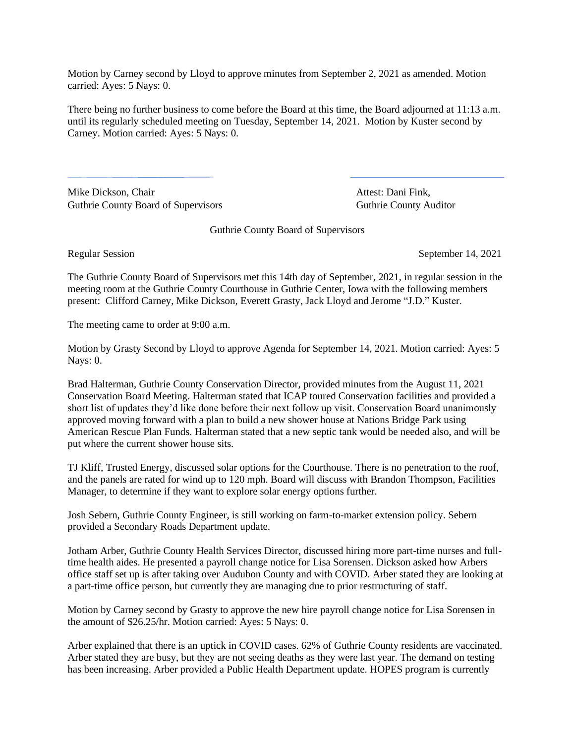Motion by Carney second by Lloyd to approve minutes from September 2, 2021 as amended. Motion carried: Ayes: 5 Nays: 0.

There being no further business to come before the Board at this time, the Board adjourned at 11:13 a.m. until its regularly scheduled meeting on Tuesday, September 14, 2021. Motion by Kuster second by Carney. Motion carried: Ayes: 5 Nays: 0.

Mike Dickson, Chair **Attest: Dani Fink**, Guthrie County Board of Supervisors **Guthrie County Auditor** Guthrie County Auditor

Guthrie County Board of Supervisors

Regular Session September 14, 2021

The Guthrie County Board of Supervisors met this 14th day of September, 2021, in regular session in the meeting room at the Guthrie County Courthouse in Guthrie Center, Iowa with the following members present: Clifford Carney, Mike Dickson, Everett Grasty, Jack Lloyd and Jerome "J.D." Kuster.

The meeting came to order at 9:00 a.m.

Motion by Grasty Second by Lloyd to approve Agenda for September 14, 2021. Motion carried: Ayes: 5 Nays: 0.

Brad Halterman, Guthrie County Conservation Director, provided minutes from the August 11, 2021 Conservation Board Meeting. Halterman stated that ICAP toured Conservation facilities and provided a short list of updates they'd like done before their next follow up visit. Conservation Board unanimously approved moving forward with a plan to build a new shower house at Nations Bridge Park using American Rescue Plan Funds. Halterman stated that a new septic tank would be needed also, and will be put where the current shower house sits.

TJ Kliff, Trusted Energy, discussed solar options for the Courthouse. There is no penetration to the roof, and the panels are rated for wind up to 120 mph. Board will discuss with Brandon Thompson, Facilities Manager, to determine if they want to explore solar energy options further.

Josh Sebern, Guthrie County Engineer, is still working on farm-to-market extension policy. Sebern provided a Secondary Roads Department update.

Jotham Arber, Guthrie County Health Services Director, discussed hiring more part-time nurses and fulltime health aides. He presented a payroll change notice for Lisa Sorensen. Dickson asked how Arbers office staff set up is after taking over Audubon County and with COVID. Arber stated they are looking at a part-time office person, but currently they are managing due to prior restructuring of staff.

Motion by Carney second by Grasty to approve the new hire payroll change notice for Lisa Sorensen in the amount of \$26.25/hr. Motion carried: Ayes: 5 Nays: 0.

Arber explained that there is an uptick in COVID cases. 62% of Guthrie County residents are vaccinated. Arber stated they are busy, but they are not seeing deaths as they were last year. The demand on testing has been increasing. Arber provided a Public Health Department update. HOPES program is currently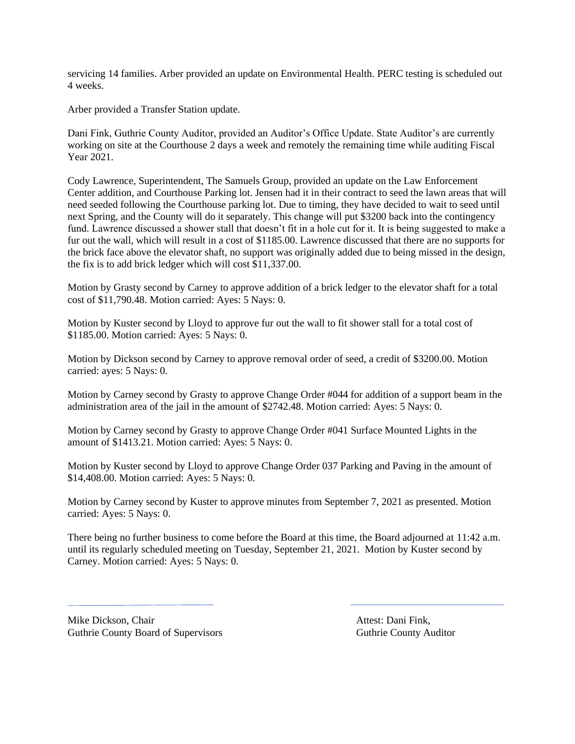servicing 14 families. Arber provided an update on Environmental Health. PERC testing is scheduled out 4 weeks.

Arber provided a Transfer Station update.

Dani Fink, Guthrie County Auditor, provided an Auditor's Office Update. State Auditor's are currently working on site at the Courthouse 2 days a week and remotely the remaining time while auditing Fiscal Year 2021.

Cody Lawrence, Superintendent, The Samuels Group, provided an update on the Law Enforcement Center addition, and Courthouse Parking lot. Jensen had it in their contract to seed the lawn areas that will need seeded following the Courthouse parking lot. Due to timing, they have decided to wait to seed until next Spring, and the County will do it separately. This change will put \$3200 back into the contingency fund. Lawrence discussed a shower stall that doesn't fit in a hole cut for it. It is being suggested to make a fur out the wall, which will result in a cost of \$1185.00. Lawrence discussed that there are no supports for the brick face above the elevator shaft, no support was originally added due to being missed in the design, the fix is to add brick ledger which will cost \$11,337.00.

Motion by Grasty second by Carney to approve addition of a brick ledger to the elevator shaft for a total cost of \$11,790.48. Motion carried: Ayes: 5 Nays: 0.

Motion by Kuster second by Lloyd to approve fur out the wall to fit shower stall for a total cost of \$1185.00. Motion carried: Ayes: 5 Nays: 0.

Motion by Dickson second by Carney to approve removal order of seed, a credit of \$3200.00. Motion carried: ayes: 5 Nays: 0.

Motion by Carney second by Grasty to approve Change Order #044 for addition of a support beam in the administration area of the jail in the amount of \$2742.48. Motion carried: Ayes: 5 Nays: 0.

Motion by Carney second by Grasty to approve Change Order #041 Surface Mounted Lights in the amount of \$1413.21. Motion carried: Ayes: 5 Nays: 0.

Motion by Kuster second by Lloyd to approve Change Order 037 Parking and Paving in the amount of \$14,408.00. Motion carried: Ayes: 5 Nays: 0.

Motion by Carney second by Kuster to approve minutes from September 7, 2021 as presented. Motion carried: Ayes: 5 Nays: 0.

There being no further business to come before the Board at this time, the Board adjourned at 11:42 a.m. until its regularly scheduled meeting on Tuesday, September 21, 2021. Motion by Kuster second by Carney. Motion carried: Ayes: 5 Nays: 0.

Mike Dickson, Chair **Attest: Dani Fink**, Attest: Dani Fink, Guthrie County Board of Supervisors **Guthrie County Auditor** Guthrie County Auditor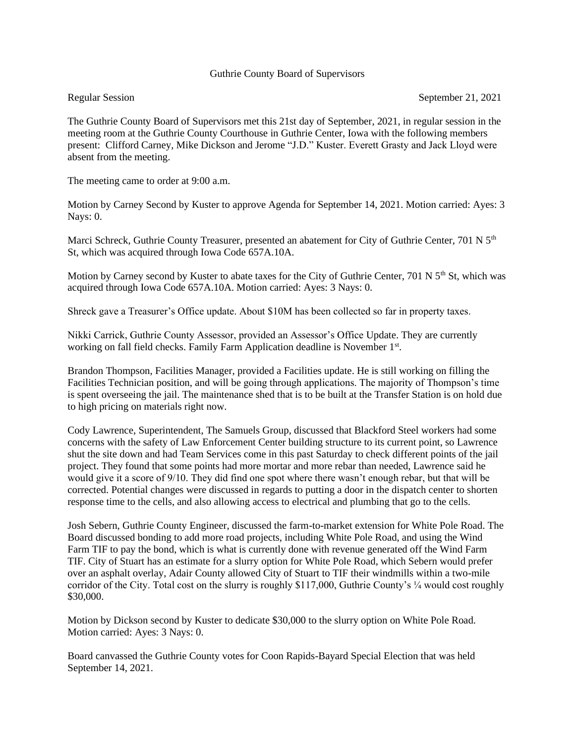# Guthrie County Board of Supervisors

The Guthrie County Board of Supervisors met this 21st day of September, 2021, in regular session in the meeting room at the Guthrie County Courthouse in Guthrie Center, Iowa with the following members present: Clifford Carney, Mike Dickson and Jerome "J.D." Kuster. Everett Grasty and Jack Lloyd were absent from the meeting.

The meeting came to order at 9:00 a.m.

Motion by Carney Second by Kuster to approve Agenda for September 14, 2021. Motion carried: Ayes: 3 Nays: 0.

Marci Schreck, Guthrie County Treasurer, presented an abatement for City of Guthrie Center, 701 N 5<sup>th</sup> St, which was acquired through Iowa Code 657A.10A.

Motion by Carney second by Kuster to abate taxes for the City of Guthrie Center, 701 N  $5<sup>th</sup>$  St, which was acquired through Iowa Code 657A.10A. Motion carried: Ayes: 3 Nays: 0.

Shreck gave a Treasurer's Office update. About \$10M has been collected so far in property taxes.

Nikki Carrick, Guthrie County Assessor, provided an Assessor's Office Update. They are currently working on fall field checks. Family Farm Application deadline is November 1<sup>st</sup>.

Brandon Thompson, Facilities Manager, provided a Facilities update. He is still working on filling the Facilities Technician position, and will be going through applications. The majority of Thompson's time is spent overseeing the jail. The maintenance shed that is to be built at the Transfer Station is on hold due to high pricing on materials right now.

Cody Lawrence, Superintendent, The Samuels Group, discussed that Blackford Steel workers had some concerns with the safety of Law Enforcement Center building structure to its current point, so Lawrence shut the site down and had Team Services come in this past Saturday to check different points of the jail project. They found that some points had more mortar and more rebar than needed, Lawrence said he would give it a score of 9/10. They did find one spot where there wasn't enough rebar, but that will be corrected. Potential changes were discussed in regards to putting a door in the dispatch center to shorten response time to the cells, and also allowing access to electrical and plumbing that go to the cells.

Josh Sebern, Guthrie County Engineer, discussed the farm-to-market extension for White Pole Road. The Board discussed bonding to add more road projects, including White Pole Road, and using the Wind Farm TIF to pay the bond, which is what is currently done with revenue generated off the Wind Farm TIF. City of Stuart has an estimate for a slurry option for White Pole Road, which Sebern would prefer over an asphalt overlay, Adair County allowed City of Stuart to TIF their windmills within a two-mile corridor of the City. Total cost on the slurry is roughly \$117,000, Guthrie County's ¼ would cost roughly \$30,000.

Motion by Dickson second by Kuster to dedicate \$30,000 to the slurry option on White Pole Road. Motion carried: Ayes: 3 Nays: 0.

Board canvassed the Guthrie County votes for Coon Rapids-Bayard Special Election that was held September 14, 2021.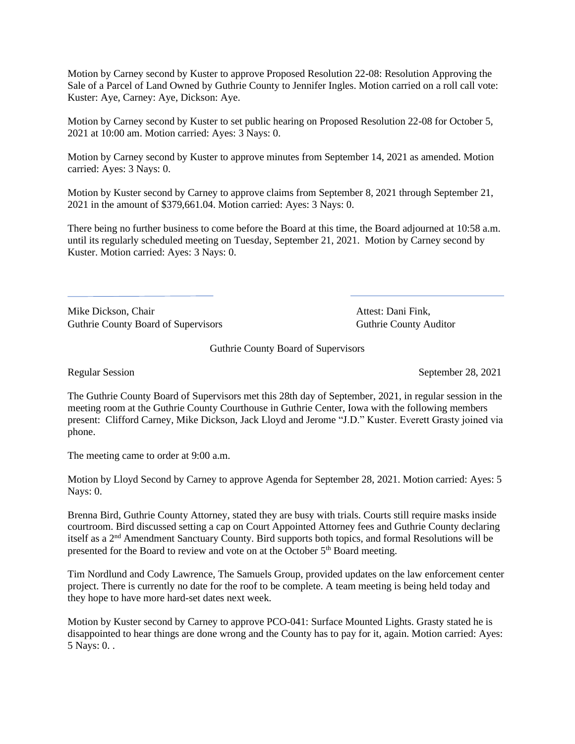Motion by Carney second by Kuster to approve Proposed Resolution 22-08: Resolution Approving the Sale of a Parcel of Land Owned by Guthrie County to Jennifer Ingles. Motion carried on a roll call vote: Kuster: Aye, Carney: Aye, Dickson: Aye.

Motion by Carney second by Kuster to set public hearing on Proposed Resolution 22-08 for October 5, 2021 at 10:00 am. Motion carried: Ayes: 3 Nays: 0.

Motion by Carney second by Kuster to approve minutes from September 14, 2021 as amended. Motion carried: Ayes: 3 Nays: 0.

Motion by Kuster second by Carney to approve claims from September 8, 2021 through September 21, 2021 in the amount of \$379,661.04. Motion carried: Ayes: 3 Nays: 0.

There being no further business to come before the Board at this time, the Board adjourned at 10:58 a.m. until its regularly scheduled meeting on Tuesday, September 21, 2021. Motion by Carney second by Kuster. Motion carried: Ayes: 3 Nays: 0.

Mike Dickson, Chair **Attest: Dani Fink**, Guthrie County Board of Supervisors **Guthrie County Auditor** Guthrie County Auditor

Guthrie County Board of Supervisors

Regular Session September 28, 2021

The Guthrie County Board of Supervisors met this 28th day of September, 2021, in regular session in the meeting room at the Guthrie County Courthouse in Guthrie Center, Iowa with the following members present: Clifford Carney, Mike Dickson, Jack Lloyd and Jerome "J.D." Kuster. Everett Grasty joined via phone.

The meeting came to order at 9:00 a.m.

Motion by Lloyd Second by Carney to approve Agenda for September 28, 2021. Motion carried: Ayes: 5 Nays: 0.

Brenna Bird, Guthrie County Attorney, stated they are busy with trials. Courts still require masks inside courtroom. Bird discussed setting a cap on Court Appointed Attorney fees and Guthrie County declaring itself as a 2nd Amendment Sanctuary County. Bird supports both topics, and formal Resolutions will be presented for the Board to review and vote on at the October 5<sup>th</sup> Board meeting.

Tim Nordlund and Cody Lawrence, The Samuels Group, provided updates on the law enforcement center project. There is currently no date for the roof to be complete. A team meeting is being held today and they hope to have more hard-set dates next week.

Motion by Kuster second by Carney to approve PCO-041: Surface Mounted Lights. Grasty stated he is disappointed to hear things are done wrong and the County has to pay for it, again. Motion carried: Ayes: 5 Nays: 0. .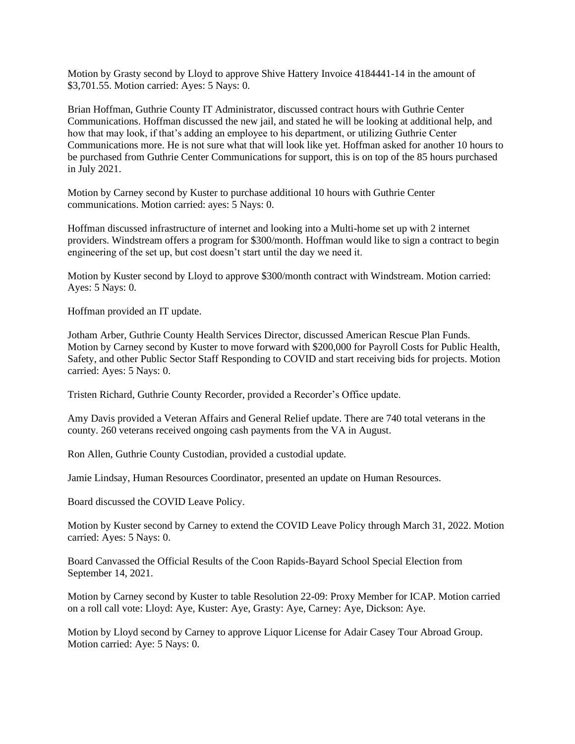Motion by Grasty second by Lloyd to approve Shive Hattery Invoice 4184441-14 in the amount of \$3,701.55. Motion carried: Ayes: 5 Nays: 0.

Brian Hoffman, Guthrie County IT Administrator, discussed contract hours with Guthrie Center Communications. Hoffman discussed the new jail, and stated he will be looking at additional help, and how that may look, if that's adding an employee to his department, or utilizing Guthrie Center Communications more. He is not sure what that will look like yet. Hoffman asked for another 10 hours to be purchased from Guthrie Center Communications for support, this is on top of the 85 hours purchased in July 2021.

Motion by Carney second by Kuster to purchase additional 10 hours with Guthrie Center communications. Motion carried: ayes: 5 Nays: 0.

Hoffman discussed infrastructure of internet and looking into a Multi-home set up with 2 internet providers. Windstream offers a program for \$300/month. Hoffman would like to sign a contract to begin engineering of the set up, but cost doesn't start until the day we need it.

Motion by Kuster second by Lloyd to approve \$300/month contract with Windstream. Motion carried: Ayes: 5 Nays: 0.

Hoffman provided an IT update.

Jotham Arber, Guthrie County Health Services Director, discussed American Rescue Plan Funds. Motion by Carney second by Kuster to move forward with \$200,000 for Payroll Costs for Public Health, Safety, and other Public Sector Staff Responding to COVID and start receiving bids for projects. Motion carried: Ayes: 5 Nays: 0.

Tristen Richard, Guthrie County Recorder, provided a Recorder's Office update.

Amy Davis provided a Veteran Affairs and General Relief update. There are 740 total veterans in the county. 260 veterans received ongoing cash payments from the VA in August.

Ron Allen, Guthrie County Custodian, provided a custodial update.

Jamie Lindsay, Human Resources Coordinator, presented an update on Human Resources.

Board discussed the COVID Leave Policy.

Motion by Kuster second by Carney to extend the COVID Leave Policy through March 31, 2022. Motion carried: Ayes: 5 Nays: 0.

Board Canvassed the Official Results of the Coon Rapids-Bayard School Special Election from September 14, 2021.

Motion by Carney second by Kuster to table Resolution 22-09: Proxy Member for ICAP. Motion carried on a roll call vote: Lloyd: Aye, Kuster: Aye, Grasty: Aye, Carney: Aye, Dickson: Aye.

Motion by Lloyd second by Carney to approve Liquor License for Adair Casey Tour Abroad Group. Motion carried: Aye: 5 Nays: 0.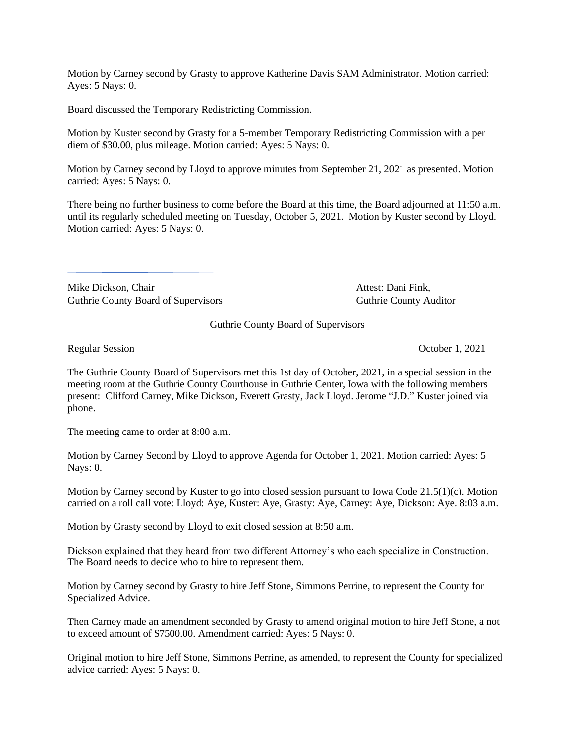Motion by Carney second by Grasty to approve Katherine Davis SAM Administrator. Motion carried: Ayes: 5 Nays: 0.

Board discussed the Temporary Redistricting Commission.

Motion by Kuster second by Grasty for a 5-member Temporary Redistricting Commission with a per diem of \$30.00, plus mileage. Motion carried: Ayes: 5 Nays: 0.

Motion by Carney second by Lloyd to approve minutes from September 21, 2021 as presented. Motion carried: Ayes: 5 Nays: 0.

There being no further business to come before the Board at this time, the Board adjourned at 11:50 a.m. until its regularly scheduled meeting on Tuesday, October 5, 2021. Motion by Kuster second by Lloyd. Motion carried: Ayes: 5 Nays: 0.

Mike Dickson, Chair **Attest:** Dani Fink, Guthrie County Board of Supervisors **Guthrie County Auditor** Guthrie County Auditor

Guthrie County Board of Supervisors

Regular Session Contract Contract Contract Contract Contract Contract Contract Contract Contract Contract Contract Contract Contract Contract Contract Contract Contract Contract Contract Contract Contract Contract Contract

The Guthrie County Board of Supervisors met this 1st day of October, 2021, in a special session in the meeting room at the Guthrie County Courthouse in Guthrie Center, Iowa with the following members present: Clifford Carney, Mike Dickson, Everett Grasty, Jack Lloyd. Jerome "J.D." Kuster joined via phone.

The meeting came to order at 8:00 a.m.

Motion by Carney Second by Lloyd to approve Agenda for October 1, 2021. Motion carried: Ayes: 5 Nays: 0.

Motion by Carney second by Kuster to go into closed session pursuant to Iowa Code 21.5(1)(c). Motion carried on a roll call vote: Lloyd: Aye, Kuster: Aye, Grasty: Aye, Carney: Aye, Dickson: Aye. 8:03 a.m.

Motion by Grasty second by Lloyd to exit closed session at 8:50 a.m.

Dickson explained that they heard from two different Attorney's who each specialize in Construction. The Board needs to decide who to hire to represent them.

Motion by Carney second by Grasty to hire Jeff Stone, Simmons Perrine, to represent the County for Specialized Advice.

Then Carney made an amendment seconded by Grasty to amend original motion to hire Jeff Stone, a not to exceed amount of \$7500.00. Amendment carried: Ayes: 5 Nays: 0.

Original motion to hire Jeff Stone, Simmons Perrine, as amended, to represent the County for specialized advice carried: Ayes: 5 Nays: 0.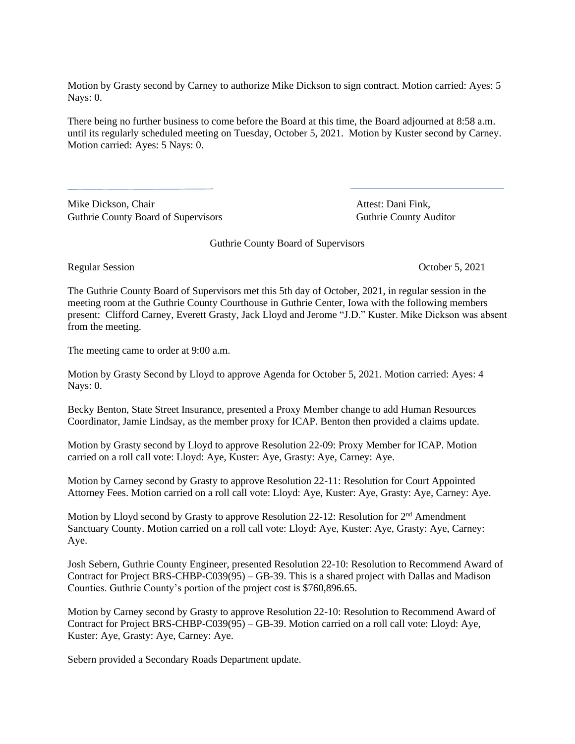Motion by Grasty second by Carney to authorize Mike Dickson to sign contract. Motion carried: Ayes: 5 Nays: 0.

There being no further business to come before the Board at this time, the Board adjourned at 8:58 a.m. until its regularly scheduled meeting on Tuesday, October 5, 2021. Motion by Kuster second by Carney. Motion carried: Ayes: 5 Nays: 0.

Mike Dickson, Chair **Attest: Dani Fink**, Guthrie County Board of Supervisors Guthrie County Auditor

Guthrie County Board of Supervisors

Regular Session Contract Contract Contract Contract Contract Contract Contract Contract Contract Contract Contract Contract Contract Contract Contract Contract Contract Contract Contract Contract Contract Contract Contract

The Guthrie County Board of Supervisors met this 5th day of October, 2021, in regular session in the meeting room at the Guthrie County Courthouse in Guthrie Center, Iowa with the following members present: Clifford Carney, Everett Grasty, Jack Lloyd and Jerome "J.D." Kuster. Mike Dickson was absent from the meeting.

The meeting came to order at 9:00 a.m.

Motion by Grasty Second by Lloyd to approve Agenda for October 5, 2021. Motion carried: Ayes: 4 Nays: 0.

Becky Benton, State Street Insurance, presented a Proxy Member change to add Human Resources Coordinator, Jamie Lindsay, as the member proxy for ICAP. Benton then provided a claims update.

Motion by Grasty second by Lloyd to approve Resolution 22-09: Proxy Member for ICAP. Motion carried on a roll call vote: Lloyd: Aye, Kuster: Aye, Grasty: Aye, Carney: Aye.

Motion by Carney second by Grasty to approve Resolution 22-11: Resolution for Court Appointed Attorney Fees. Motion carried on a roll call vote: Lloyd: Aye, Kuster: Aye, Grasty: Aye, Carney: Aye.

Motion by Lloyd second by Grasty to approve Resolution 22-12: Resolution for 2<sup>nd</sup> Amendment Sanctuary County. Motion carried on a roll call vote: Lloyd: Aye, Kuster: Aye, Grasty: Aye, Carney: Aye.

Josh Sebern, Guthrie County Engineer, presented Resolution 22-10: Resolution to Recommend Award of Contract for Project BRS-CHBP-C039(95) – GB-39. This is a shared project with Dallas and Madison Counties. Guthrie County's portion of the project cost is \$760,896.65.

Motion by Carney second by Grasty to approve Resolution 22-10: Resolution to Recommend Award of Contract for Project BRS-CHBP-C039(95) – GB-39. Motion carried on a roll call vote: Lloyd: Aye, Kuster: Aye, Grasty: Aye, Carney: Aye.

Sebern provided a Secondary Roads Department update.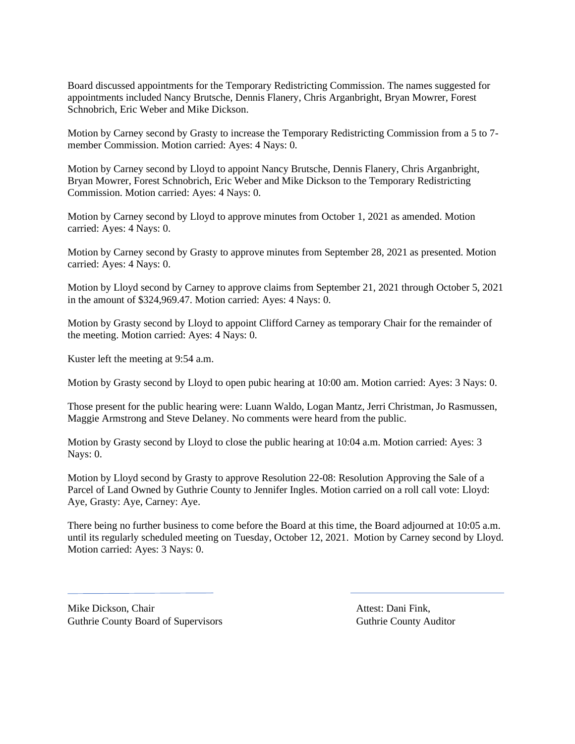Board discussed appointments for the Temporary Redistricting Commission. The names suggested for appointments included Nancy Brutsche, Dennis Flanery, Chris Arganbright, Bryan Mowrer, Forest Schnobrich, Eric Weber and Mike Dickson.

Motion by Carney second by Grasty to increase the Temporary Redistricting Commission from a 5 to 7 member Commission. Motion carried: Ayes: 4 Nays: 0.

Motion by Carney second by Lloyd to appoint Nancy Brutsche, Dennis Flanery, Chris Arganbright, Bryan Mowrer, Forest Schnobrich, Eric Weber and Mike Dickson to the Temporary Redistricting Commission. Motion carried: Ayes: 4 Nays: 0.

Motion by Carney second by Lloyd to approve minutes from October 1, 2021 as amended. Motion carried: Ayes: 4 Nays: 0.

Motion by Carney second by Grasty to approve minutes from September 28, 2021 as presented. Motion carried: Ayes: 4 Nays: 0.

Motion by Lloyd second by Carney to approve claims from September 21, 2021 through October 5, 2021 in the amount of \$324,969.47. Motion carried: Ayes: 4 Nays: 0.

Motion by Grasty second by Lloyd to appoint Clifford Carney as temporary Chair for the remainder of the meeting. Motion carried: Ayes: 4 Nays: 0.

Kuster left the meeting at 9:54 a.m.

Motion by Grasty second by Lloyd to open pubic hearing at 10:00 am. Motion carried: Ayes: 3 Nays: 0.

Those present for the public hearing were: Luann Waldo, Logan Mantz, Jerri Christman, Jo Rasmussen, Maggie Armstrong and Steve Delaney. No comments were heard from the public.

Motion by Grasty second by Lloyd to close the public hearing at 10:04 a.m. Motion carried: Ayes: 3 Nays: 0.

Motion by Lloyd second by Grasty to approve Resolution 22-08: Resolution Approving the Sale of a Parcel of Land Owned by Guthrie County to Jennifer Ingles. Motion carried on a roll call vote: Lloyd: Aye, Grasty: Aye, Carney: Aye.

There being no further business to come before the Board at this time, the Board adjourned at 10:05 a.m. until its regularly scheduled meeting on Tuesday, October 12, 2021. Motion by Carney second by Lloyd. Motion carried: Ayes: 3 Nays: 0.

Mike Dickson, Chair **Attest: Dani Fink**, Guthrie County Board of Supervisors **Guthrie County Auditor** Guthrie County Auditor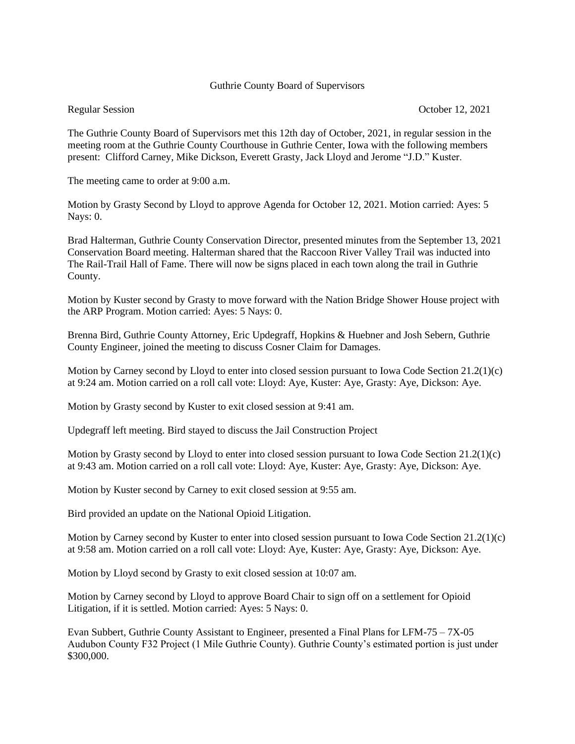# Guthrie County Board of Supervisors

Regular Session October 12, 2021

The Guthrie County Board of Supervisors met this 12th day of October, 2021, in regular session in the meeting room at the Guthrie County Courthouse in Guthrie Center, Iowa with the following members present: Clifford Carney, Mike Dickson, Everett Grasty, Jack Lloyd and Jerome "J.D." Kuster.

The meeting came to order at 9:00 a.m.

Motion by Grasty Second by Lloyd to approve Agenda for October 12, 2021. Motion carried: Ayes: 5 Nays: 0.

Brad Halterman, Guthrie County Conservation Director, presented minutes from the September 13, 2021 Conservation Board meeting. Halterman shared that the Raccoon River Valley Trail was inducted into The Rail-Trail Hall of Fame. There will now be signs placed in each town along the trail in Guthrie County.

Motion by Kuster second by Grasty to move forward with the Nation Bridge Shower House project with the ARP Program. Motion carried: Ayes: 5 Nays: 0.

Brenna Bird, Guthrie County Attorney, Eric Updegraff, Hopkins & Huebner and Josh Sebern, Guthrie County Engineer, joined the meeting to discuss Cosner Claim for Damages.

Motion by Carney second by Lloyd to enter into closed session pursuant to Iowa Code Section 21.2(1)(c) at 9:24 am. Motion carried on a roll call vote: Lloyd: Aye, Kuster: Aye, Grasty: Aye, Dickson: Aye.

Motion by Grasty second by Kuster to exit closed session at 9:41 am.

Updegraff left meeting. Bird stayed to discuss the Jail Construction Project

Motion by Grasty second by Lloyd to enter into closed session pursuant to Iowa Code Section 21.2(1)(c) at 9:43 am. Motion carried on a roll call vote: Lloyd: Aye, Kuster: Aye, Grasty: Aye, Dickson: Aye.

Motion by Kuster second by Carney to exit closed session at 9:55 am.

Bird provided an update on the National Opioid Litigation.

Motion by Carney second by Kuster to enter into closed session pursuant to Iowa Code Section 21.2(1)(c) at 9:58 am. Motion carried on a roll call vote: Lloyd: Aye, Kuster: Aye, Grasty: Aye, Dickson: Aye.

Motion by Lloyd second by Grasty to exit closed session at 10:07 am.

Motion by Carney second by Lloyd to approve Board Chair to sign off on a settlement for Opioid Litigation, if it is settled. Motion carried: Ayes: 5 Nays: 0.

Evan Subbert, Guthrie County Assistant to Engineer, presented a Final Plans for LFM-75 – 7X-05 Audubon County F32 Project (1 Mile Guthrie County). Guthrie County's estimated portion is just under \$300,000.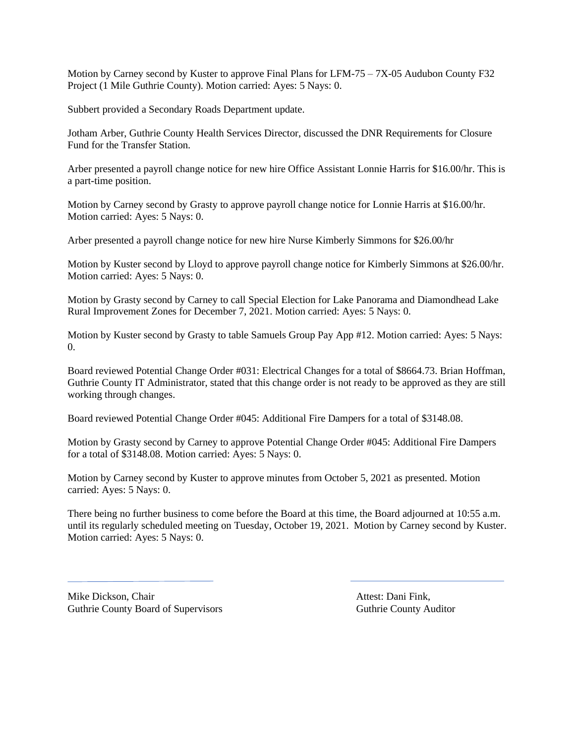Motion by Carney second by Kuster to approve Final Plans for LFM-75 – 7X-05 Audubon County F32 Project (1 Mile Guthrie County). Motion carried: Ayes: 5 Nays: 0.

Subbert provided a Secondary Roads Department update.

Jotham Arber, Guthrie County Health Services Director, discussed the DNR Requirements for Closure Fund for the Transfer Station.

Arber presented a payroll change notice for new hire Office Assistant Lonnie Harris for \$16.00/hr. This is a part-time position.

Motion by Carney second by Grasty to approve payroll change notice for Lonnie Harris at \$16.00/hr. Motion carried: Ayes: 5 Nays: 0.

Arber presented a payroll change notice for new hire Nurse Kimberly Simmons for \$26.00/hr

Motion by Kuster second by Lloyd to approve payroll change notice for Kimberly Simmons at \$26.00/hr. Motion carried: Ayes: 5 Nays: 0.

Motion by Grasty second by Carney to call Special Election for Lake Panorama and Diamondhead Lake Rural Improvement Zones for December 7, 2021. Motion carried: Ayes: 5 Nays: 0.

Motion by Kuster second by Grasty to table Samuels Group Pay App #12. Motion carried: Ayes: 5 Nays: 0.

Board reviewed Potential Change Order #031: Electrical Changes for a total of \$8664.73. Brian Hoffman, Guthrie County IT Administrator, stated that this change order is not ready to be approved as they are still working through changes.

Board reviewed Potential Change Order #045: Additional Fire Dampers for a total of \$3148.08.

Motion by Grasty second by Carney to approve Potential Change Order #045: Additional Fire Dampers for a total of \$3148.08. Motion carried: Ayes: 5 Nays: 0.

Motion by Carney second by Kuster to approve minutes from October 5, 2021 as presented. Motion carried: Ayes: 5 Nays: 0.

There being no further business to come before the Board at this time, the Board adjourned at 10:55 a.m. until its regularly scheduled meeting on Tuesday, October 19, 2021. Motion by Carney second by Kuster. Motion carried: Ayes: 5 Nays: 0.

Mike Dickson, Chair **Attest: Dani Fink**, Attest: Dani Fink, Guthrie County Board of Supervisors **Guthrie County Auditor** Guthrie County Auditor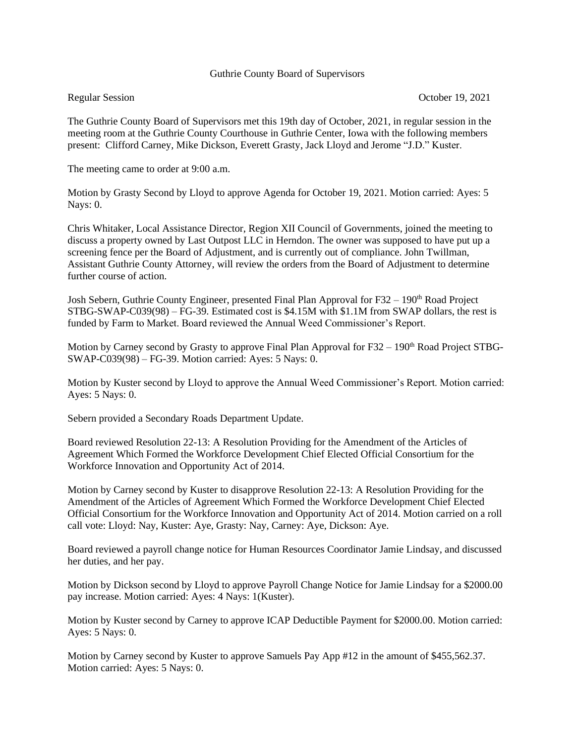### Guthrie County Board of Supervisors

The Guthrie County Board of Supervisors met this 19th day of October, 2021, in regular session in the meeting room at the Guthrie County Courthouse in Guthrie Center, Iowa with the following members present: Clifford Carney, Mike Dickson, Everett Grasty, Jack Lloyd and Jerome "J.D." Kuster.

The meeting came to order at 9:00 a.m.

Motion by Grasty Second by Lloyd to approve Agenda for October 19, 2021. Motion carried: Ayes: 5 Nays: 0.

Chris Whitaker, Local Assistance Director, Region XII Council of Governments, joined the meeting to discuss a property owned by Last Outpost LLC in Herndon. The owner was supposed to have put up a screening fence per the Board of Adjustment, and is currently out of compliance. John Twillman, Assistant Guthrie County Attorney, will review the orders from the Board of Adjustment to determine further course of action.

Josh Sebern, Guthrie County Engineer, presented Final Plan Approval for F32 – 190<sup>th</sup> Road Project STBG-SWAP-C039(98) – FG-39. Estimated cost is \$4.15M with \$1.1M from SWAP dollars, the rest is funded by Farm to Market. Board reviewed the Annual Weed Commissioner's Report.

Motion by Carney second by Grasty to approve Final Plan Approval for  $F32 - 190<sup>th</sup>$  Road Project STBG-SWAP-C039(98) – FG-39. Motion carried: Ayes: 5 Nays: 0.

Motion by Kuster second by Lloyd to approve the Annual Weed Commissioner's Report. Motion carried: Ayes: 5 Nays: 0.

Sebern provided a Secondary Roads Department Update.

Board reviewed Resolution 22-13: A Resolution Providing for the Amendment of the Articles of Agreement Which Formed the Workforce Development Chief Elected Official Consortium for the Workforce Innovation and Opportunity Act of 2014.

Motion by Carney second by Kuster to disapprove Resolution 22-13: A Resolution Providing for the Amendment of the Articles of Agreement Which Formed the Workforce Development Chief Elected Official Consortium for the Workforce Innovation and Opportunity Act of 2014. Motion carried on a roll call vote: Lloyd: Nay, Kuster: Aye, Grasty: Nay, Carney: Aye, Dickson: Aye.

Board reviewed a payroll change notice for Human Resources Coordinator Jamie Lindsay, and discussed her duties, and her pay.

Motion by Dickson second by Lloyd to approve Payroll Change Notice for Jamie Lindsay for a \$2000.00 pay increase. Motion carried: Ayes: 4 Nays: 1(Kuster).

Motion by Kuster second by Carney to approve ICAP Deductible Payment for \$2000.00. Motion carried: Ayes: 5 Nays: 0.

Motion by Carney second by Kuster to approve Samuels Pay App #12 in the amount of \$455,562.37. Motion carried: Ayes: 5 Nays: 0.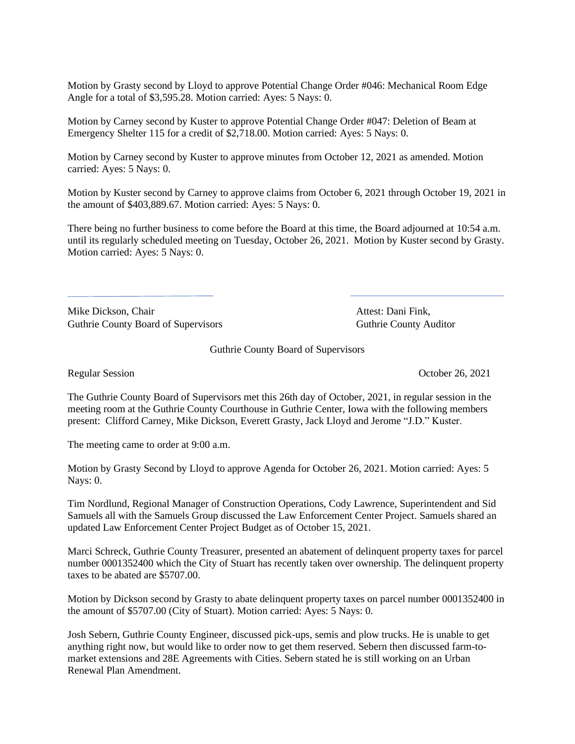Motion by Grasty second by Lloyd to approve Potential Change Order #046: Mechanical Room Edge Angle for a total of \$3,595.28. Motion carried: Ayes: 5 Nays: 0.

Motion by Carney second by Kuster to approve Potential Change Order #047: Deletion of Beam at Emergency Shelter 115 for a credit of \$2,718.00. Motion carried: Ayes: 5 Nays: 0.

Motion by Carney second by Kuster to approve minutes from October 12, 2021 as amended. Motion carried: Ayes: 5 Nays: 0.

Motion by Kuster second by Carney to approve claims from October 6, 2021 through October 19, 2021 in the amount of \$403,889.67. Motion carried: Ayes: 5 Nays: 0.

There being no further business to come before the Board at this time, the Board adjourned at 10:54 a.m. until its regularly scheduled meeting on Tuesday, October 26, 2021. Motion by Kuster second by Grasty. Motion carried: Ayes: 5 Nays: 0.

Mike Dickson, Chair **Attest: Dani Fink**, Guthrie County Board of Supervisors **Guthrie County Auditor** Guthrie County Auditor

Guthrie County Board of Supervisors

Regular Session October 26, 2021

The Guthrie County Board of Supervisors met this 26th day of October, 2021, in regular session in the meeting room at the Guthrie County Courthouse in Guthrie Center, Iowa with the following members present: Clifford Carney, Mike Dickson, Everett Grasty, Jack Lloyd and Jerome "J.D." Kuster.

The meeting came to order at 9:00 a.m.

Motion by Grasty Second by Lloyd to approve Agenda for October 26, 2021. Motion carried: Ayes: 5 Nays: 0.

Tim Nordlund, Regional Manager of Construction Operations, Cody Lawrence, Superintendent and Sid Samuels all with the Samuels Group discussed the Law Enforcement Center Project. Samuels shared an updated Law Enforcement Center Project Budget as of October 15, 2021.

Marci Schreck, Guthrie County Treasurer, presented an abatement of delinquent property taxes for parcel number 0001352400 which the City of Stuart has recently taken over ownership. The delinquent property taxes to be abated are \$5707.00.

Motion by Dickson second by Grasty to abate delinquent property taxes on parcel number 0001352400 in the amount of \$5707.00 (City of Stuart). Motion carried: Ayes: 5 Nays: 0.

Josh Sebern, Guthrie County Engineer, discussed pick-ups, semis and plow trucks. He is unable to get anything right now, but would like to order now to get them reserved. Sebern then discussed farm-tomarket extensions and 28E Agreements with Cities. Sebern stated he is still working on an Urban Renewal Plan Amendment.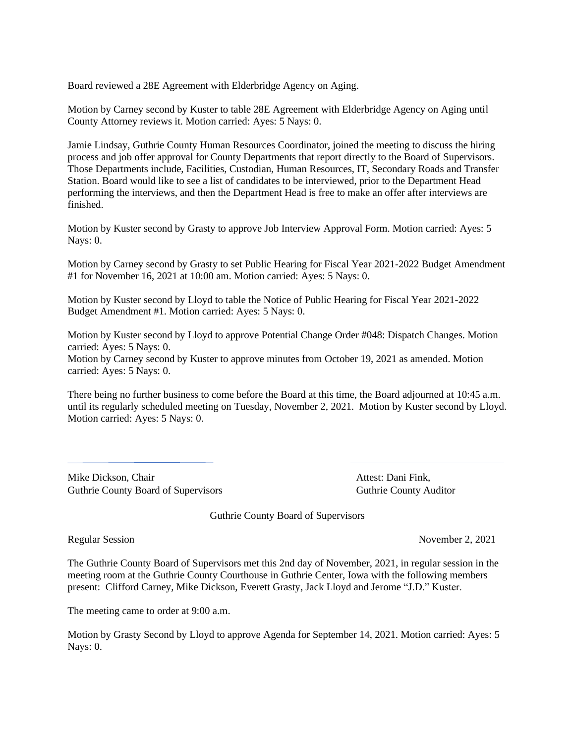Board reviewed a 28E Agreement with Elderbridge Agency on Aging.

Motion by Carney second by Kuster to table 28E Agreement with Elderbridge Agency on Aging until County Attorney reviews it. Motion carried: Ayes: 5 Nays: 0.

Jamie Lindsay, Guthrie County Human Resources Coordinator, joined the meeting to discuss the hiring process and job offer approval for County Departments that report directly to the Board of Supervisors. Those Departments include, Facilities, Custodian, Human Resources, IT, Secondary Roads and Transfer Station. Board would like to see a list of candidates to be interviewed, prior to the Department Head performing the interviews, and then the Department Head is free to make an offer after interviews are finished.

Motion by Kuster second by Grasty to approve Job Interview Approval Form. Motion carried: Ayes: 5 Nays: 0.

Motion by Carney second by Grasty to set Public Hearing for Fiscal Year 2021-2022 Budget Amendment #1 for November 16, 2021 at 10:00 am. Motion carried: Ayes: 5 Nays: 0.

Motion by Kuster second by Lloyd to table the Notice of Public Hearing for Fiscal Year 2021-2022 Budget Amendment #1. Motion carried: Ayes: 5 Nays: 0.

Motion by Kuster second by Lloyd to approve Potential Change Order #048: Dispatch Changes. Motion carried: Ayes: 5 Nays: 0.

Motion by Carney second by Kuster to approve minutes from October 19, 2021 as amended. Motion carried: Ayes: 5 Nays: 0.

There being no further business to come before the Board at this time, the Board adjourned at 10:45 a.m. until its regularly scheduled meeting on Tuesday, November 2, 2021. Motion by Kuster second by Lloyd. Motion carried: Ayes: 5 Nays: 0.

Mike Dickson, Chair **Attest:** Dani Fink, Guthrie County Board of Supervisors **Guthrie County Auditor** Guthrie County Auditor

Guthrie County Board of Supervisors

Regular Session November 2, 2021

The Guthrie County Board of Supervisors met this 2nd day of November, 2021, in regular session in the meeting room at the Guthrie County Courthouse in Guthrie Center, Iowa with the following members present: Clifford Carney, Mike Dickson, Everett Grasty, Jack Lloyd and Jerome "J.D." Kuster.

The meeting came to order at 9:00 a.m.

Motion by Grasty Second by Lloyd to approve Agenda for September 14, 2021. Motion carried: Ayes: 5 Nays: 0.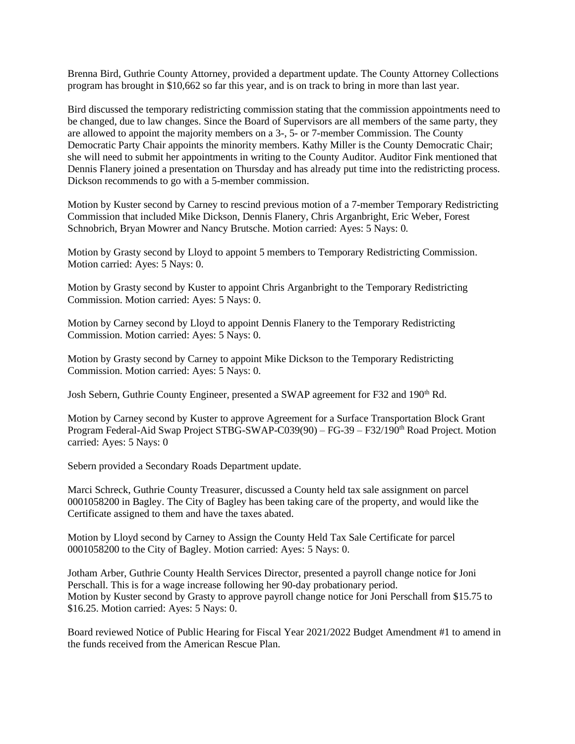Brenna Bird, Guthrie County Attorney, provided a department update. The County Attorney Collections program has brought in \$10,662 so far this year, and is on track to bring in more than last year.

Bird discussed the temporary redistricting commission stating that the commission appointments need to be changed, due to law changes. Since the Board of Supervisors are all members of the same party, they are allowed to appoint the majority members on a 3-, 5- or 7-member Commission. The County Democratic Party Chair appoints the minority members. Kathy Miller is the County Democratic Chair; she will need to submit her appointments in writing to the County Auditor. Auditor Fink mentioned that Dennis Flanery joined a presentation on Thursday and has already put time into the redistricting process. Dickson recommends to go with a 5-member commission.

Motion by Kuster second by Carney to rescind previous motion of a 7-member Temporary Redistricting Commission that included Mike Dickson, Dennis Flanery, Chris Arganbright, Eric Weber, Forest Schnobrich, Bryan Mowrer and Nancy Brutsche. Motion carried: Ayes: 5 Nays: 0.

Motion by Grasty second by Lloyd to appoint 5 members to Temporary Redistricting Commission. Motion carried: Ayes: 5 Nays: 0.

Motion by Grasty second by Kuster to appoint Chris Arganbright to the Temporary Redistricting Commission. Motion carried: Ayes: 5 Nays: 0.

Motion by Carney second by Lloyd to appoint Dennis Flanery to the Temporary Redistricting Commission. Motion carried: Ayes: 5 Nays: 0.

Motion by Grasty second by Carney to appoint Mike Dickson to the Temporary Redistricting Commission. Motion carried: Ayes: 5 Nays: 0.

Josh Sebern, Guthrie County Engineer, presented a SWAP agreement for F32 and 190<sup>th</sup> Rd.

Motion by Carney second by Kuster to approve Agreement for a Surface Transportation Block Grant Program Federal-Aid Swap Project STBG-SWAP-C039(90) – FG-39 – F32/190<sup>th</sup> Road Project. Motion carried: Ayes: 5 Nays: 0

Sebern provided a Secondary Roads Department update.

Marci Schreck, Guthrie County Treasurer, discussed a County held tax sale assignment on parcel 0001058200 in Bagley. The City of Bagley has been taking care of the property, and would like the Certificate assigned to them and have the taxes abated.

Motion by Lloyd second by Carney to Assign the County Held Tax Sale Certificate for parcel 0001058200 to the City of Bagley. Motion carried: Ayes: 5 Nays: 0.

Jotham Arber, Guthrie County Health Services Director, presented a payroll change notice for Joni Perschall. This is for a wage increase following her 90-day probationary period. Motion by Kuster second by Grasty to approve payroll change notice for Joni Perschall from \$15.75 to \$16.25. Motion carried: Ayes: 5 Nays: 0.

Board reviewed Notice of Public Hearing for Fiscal Year 2021/2022 Budget Amendment #1 to amend in the funds received from the American Rescue Plan.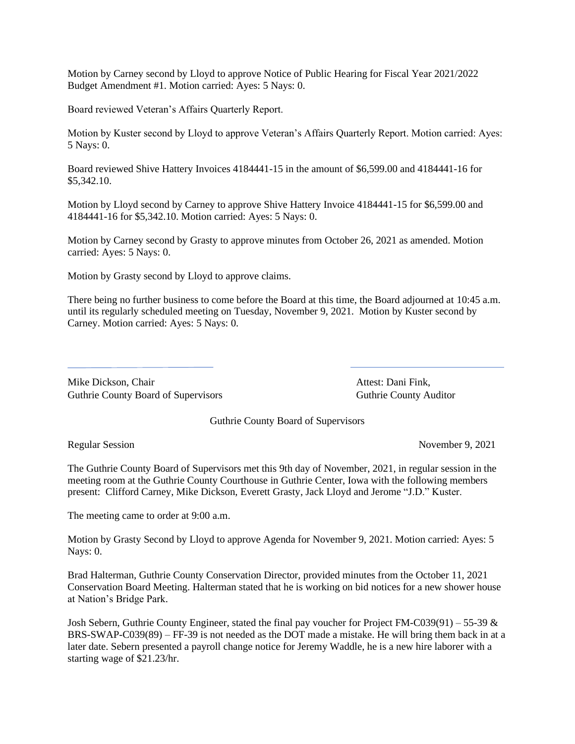Motion by Carney second by Lloyd to approve Notice of Public Hearing for Fiscal Year 2021/2022 Budget Amendment #1. Motion carried: Ayes: 5 Nays: 0.

Board reviewed Veteran's Affairs Quarterly Report.

Motion by Kuster second by Lloyd to approve Veteran's Affairs Quarterly Report. Motion carried: Ayes: 5 Nays: 0.

Board reviewed Shive Hattery Invoices 4184441-15 in the amount of \$6,599.00 and 4184441-16 for \$5,342.10.

Motion by Lloyd second by Carney to approve Shive Hattery Invoice 4184441-15 for \$6,599.00 and 4184441-16 for \$5,342.10. Motion carried: Ayes: 5 Nays: 0.

Motion by Carney second by Grasty to approve minutes from October 26, 2021 as amended. Motion carried: Ayes: 5 Nays: 0.

Motion by Grasty second by Lloyd to approve claims.

There being no further business to come before the Board at this time, the Board adjourned at 10:45 a.m. until its regularly scheduled meeting on Tuesday, November 9, 2021. Motion by Kuster second by Carney. Motion carried: Ayes: 5 Nays: 0.

Mike Dickson, Chair **Attest: Dani Fink**, Guthrie County Board of Supervisors **Guthrie County Auditor** Guthrie County Auditor

Guthrie County Board of Supervisors

Regular Session November 9, 2021

The Guthrie County Board of Supervisors met this 9th day of November, 2021, in regular session in the meeting room at the Guthrie County Courthouse in Guthrie Center, Iowa with the following members present: Clifford Carney, Mike Dickson, Everett Grasty, Jack Lloyd and Jerome "J.D." Kuster.

The meeting came to order at 9:00 a.m.

Motion by Grasty Second by Lloyd to approve Agenda for November 9, 2021. Motion carried: Ayes: 5 Nays: 0.

Brad Halterman, Guthrie County Conservation Director, provided minutes from the October 11, 2021 Conservation Board Meeting. Halterman stated that he is working on bid notices for a new shower house at Nation's Bridge Park.

Josh Sebern, Guthrie County Engineer, stated the final pay voucher for Project FM-C039(91) – 55-39 & BRS-SWAP-C039(89) – FF-39 is not needed as the DOT made a mistake. He will bring them back in at a later date. Sebern presented a payroll change notice for Jeremy Waddle, he is a new hire laborer with a starting wage of \$21.23/hr.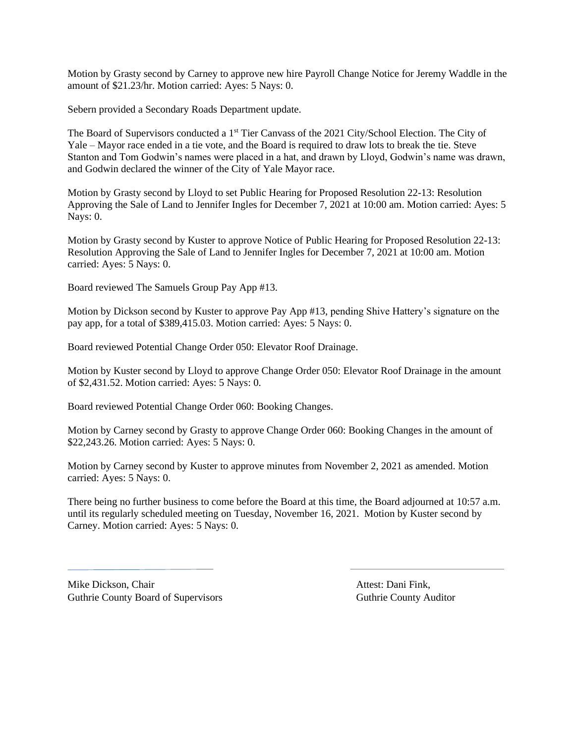Motion by Grasty second by Carney to approve new hire Payroll Change Notice for Jeremy Waddle in the amount of \$21.23/hr. Motion carried: Ayes: 5 Nays: 0.

Sebern provided a Secondary Roads Department update.

The Board of Supervisors conducted a 1<sup>st</sup> Tier Canvass of the 2021 City/School Election. The City of Yale – Mayor race ended in a tie vote, and the Board is required to draw lots to break the tie. Steve Stanton and Tom Godwin's names were placed in a hat, and drawn by Lloyd, Godwin's name was drawn, and Godwin declared the winner of the City of Yale Mayor race.

Motion by Grasty second by Lloyd to set Public Hearing for Proposed Resolution 22-13: Resolution Approving the Sale of Land to Jennifer Ingles for December 7, 2021 at 10:00 am. Motion carried: Ayes: 5 Nays: 0.

Motion by Grasty second by Kuster to approve Notice of Public Hearing for Proposed Resolution 22-13: Resolution Approving the Sale of Land to Jennifer Ingles for December 7, 2021 at 10:00 am. Motion carried: Ayes: 5 Nays: 0.

Board reviewed The Samuels Group Pay App #13.

Motion by Dickson second by Kuster to approve Pay App #13, pending Shive Hattery's signature on the pay app, for a total of \$389,415.03. Motion carried: Ayes: 5 Nays: 0.

Board reviewed Potential Change Order 050: Elevator Roof Drainage.

Motion by Kuster second by Lloyd to approve Change Order 050: Elevator Roof Drainage in the amount of \$2,431.52. Motion carried: Ayes: 5 Nays: 0.

Board reviewed Potential Change Order 060: Booking Changes.

Motion by Carney second by Grasty to approve Change Order 060: Booking Changes in the amount of \$22,243.26. Motion carried: Ayes: 5 Nays: 0.

Motion by Carney second by Kuster to approve minutes from November 2, 2021 as amended. Motion carried: Ayes: 5 Nays: 0.

There being no further business to come before the Board at this time, the Board adjourned at 10:57 a.m. until its regularly scheduled meeting on Tuesday, November 16, 2021. Motion by Kuster second by Carney. Motion carried: Ayes: 5 Nays: 0.

Mike Dickson, Chair **Attest: Dani Fink**, Guthrie County Board of Supervisors **Guthrie County Auditor** Guthrie County Auditor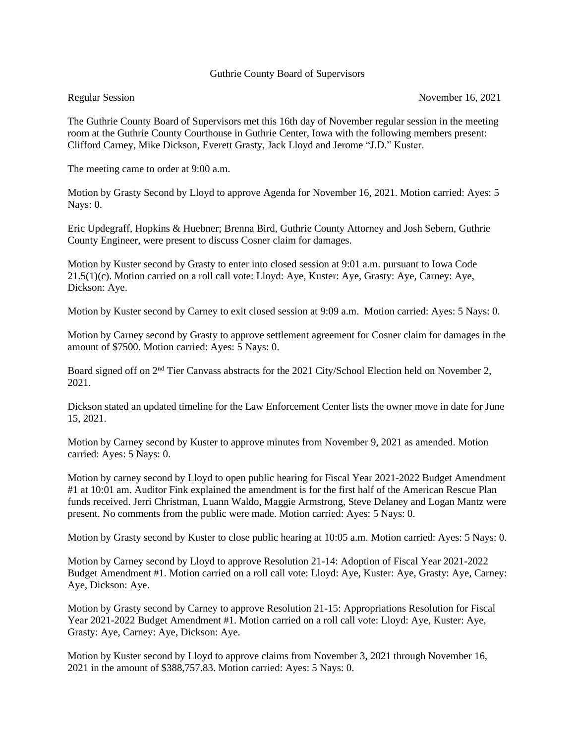## Guthrie County Board of Supervisors

The Guthrie County Board of Supervisors met this 16th day of November regular session in the meeting room at the Guthrie County Courthouse in Guthrie Center, Iowa with the following members present: Clifford Carney, Mike Dickson, Everett Grasty, Jack Lloyd and Jerome "J.D." Kuster.

The meeting came to order at 9:00 a.m.

Motion by Grasty Second by Lloyd to approve Agenda for November 16, 2021. Motion carried: Ayes: 5 Nays: 0.

Eric Updegraff, Hopkins & Huebner; Brenna Bird, Guthrie County Attorney and Josh Sebern, Guthrie County Engineer, were present to discuss Cosner claim for damages.

Motion by Kuster second by Grasty to enter into closed session at 9:01 a.m. pursuant to Iowa Code 21.5(1)(c). Motion carried on a roll call vote: Lloyd: Aye, Kuster: Aye, Grasty: Aye, Carney: Aye, Dickson: Aye.

Motion by Kuster second by Carney to exit closed session at 9:09 a.m. Motion carried: Ayes: 5 Nays: 0.

Motion by Carney second by Grasty to approve settlement agreement for Cosner claim for damages in the amount of \$7500. Motion carried: Ayes: 5 Nays: 0.

Board signed off on 2nd Tier Canvass abstracts for the 2021 City/School Election held on November 2, 2021.

Dickson stated an updated timeline for the Law Enforcement Center lists the owner move in date for June 15, 2021.

Motion by Carney second by Kuster to approve minutes from November 9, 2021 as amended. Motion carried: Ayes: 5 Nays: 0.

Motion by carney second by Lloyd to open public hearing for Fiscal Year 2021-2022 Budget Amendment #1 at 10:01 am. Auditor Fink explained the amendment is for the first half of the American Rescue Plan funds received. Jerri Christman, Luann Waldo, Maggie Armstrong, Steve Delaney and Logan Mantz were present. No comments from the public were made. Motion carried: Ayes: 5 Nays: 0.

Motion by Grasty second by Kuster to close public hearing at 10:05 a.m. Motion carried: Ayes: 5 Nays: 0.

Motion by Carney second by Lloyd to approve Resolution 21-14: Adoption of Fiscal Year 2021-2022 Budget Amendment #1. Motion carried on a roll call vote: Lloyd: Aye, Kuster: Aye, Grasty: Aye, Carney: Aye, Dickson: Aye.

Motion by Grasty second by Carney to approve Resolution 21-15: Appropriations Resolution for Fiscal Year 2021-2022 Budget Amendment #1. Motion carried on a roll call vote: Lloyd: Aye, Kuster: Aye, Grasty: Aye, Carney: Aye, Dickson: Aye.

Motion by Kuster second by Lloyd to approve claims from November 3, 2021 through November 16, 2021 in the amount of \$388,757.83. Motion carried: Ayes: 5 Nays: 0.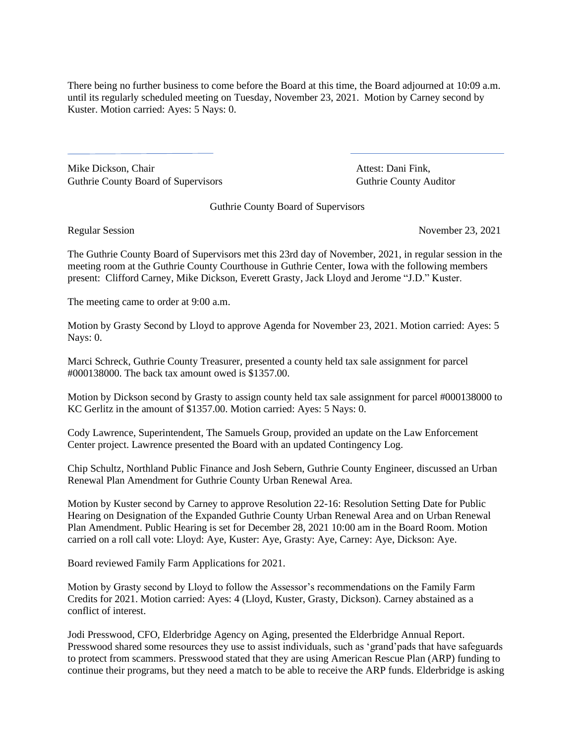There being no further business to come before the Board at this time, the Board adjourned at 10:09 a.m. until its regularly scheduled meeting on Tuesday, November 23, 2021. Motion by Carney second by Kuster. Motion carried: Ayes: 5 Nays: 0.

Mike Dickson, Chair **Attest: Dani Fink**, Attest: Dani Fink, Guthrie County Board of Supervisors Guthrie County Auditor

Guthrie County Board of Supervisors

Regular Session November 23, 2021

The Guthrie County Board of Supervisors met this 23rd day of November, 2021, in regular session in the meeting room at the Guthrie County Courthouse in Guthrie Center, Iowa with the following members present: Clifford Carney, Mike Dickson, Everett Grasty, Jack Lloyd and Jerome "J.D." Kuster.

The meeting came to order at 9:00 a.m.

Motion by Grasty Second by Lloyd to approve Agenda for November 23, 2021. Motion carried: Ayes: 5 Nays: 0.

Marci Schreck, Guthrie County Treasurer, presented a county held tax sale assignment for parcel #000138000. The back tax amount owed is \$1357.00.

Motion by Dickson second by Grasty to assign county held tax sale assignment for parcel #000138000 to KC Gerlitz in the amount of \$1357.00. Motion carried: Ayes: 5 Nays: 0.

Cody Lawrence, Superintendent, The Samuels Group, provided an update on the Law Enforcement Center project. Lawrence presented the Board with an updated Contingency Log.

Chip Schultz, Northland Public Finance and Josh Sebern, Guthrie County Engineer, discussed an Urban Renewal Plan Amendment for Guthrie County Urban Renewal Area.

Motion by Kuster second by Carney to approve Resolution 22-16: Resolution Setting Date for Public Hearing on Designation of the Expanded Guthrie County Urban Renewal Area and on Urban Renewal Plan Amendment. Public Hearing is set for December 28, 2021 10:00 am in the Board Room. Motion carried on a roll call vote: Lloyd: Aye, Kuster: Aye, Grasty: Aye, Carney: Aye, Dickson: Aye.

Board reviewed Family Farm Applications for 2021.

Motion by Grasty second by Lloyd to follow the Assessor's recommendations on the Family Farm Credits for 2021. Motion carried: Ayes: 4 (Lloyd, Kuster, Grasty, Dickson). Carney abstained as a conflict of interest.

Jodi Presswood, CFO, Elderbridge Agency on Aging, presented the Elderbridge Annual Report. Presswood shared some resources they use to assist individuals, such as 'grand'pads that have safeguards to protect from scammers. Presswood stated that they are using American Rescue Plan (ARP) funding to continue their programs, but they need a match to be able to receive the ARP funds. Elderbridge is asking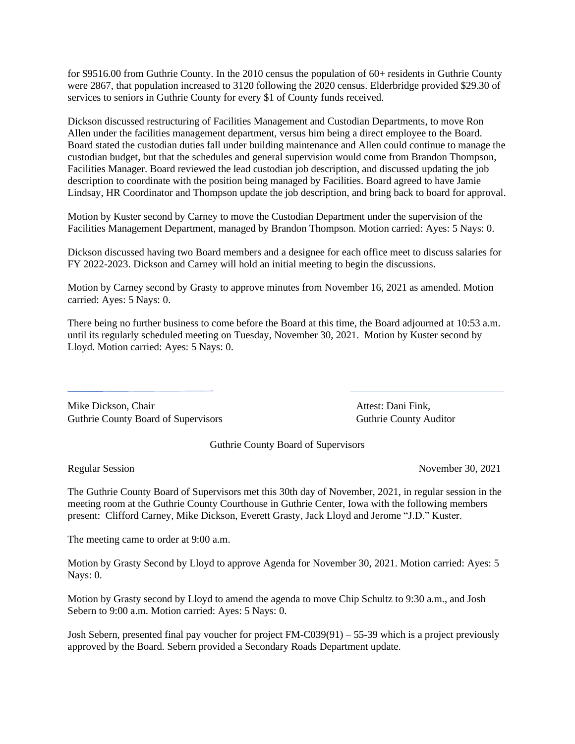for \$9516.00 from Guthrie County. In the 2010 census the population of 60+ residents in Guthrie County were 2867, that population increased to 3120 following the 2020 census. Elderbridge provided \$29.30 of services to seniors in Guthrie County for every \$1 of County funds received.

Dickson discussed restructuring of Facilities Management and Custodian Departments, to move Ron Allen under the facilities management department, versus him being a direct employee to the Board. Board stated the custodian duties fall under building maintenance and Allen could continue to manage the custodian budget, but that the schedules and general supervision would come from Brandon Thompson, Facilities Manager. Board reviewed the lead custodian job description, and discussed updating the job description to coordinate with the position being managed by Facilities. Board agreed to have Jamie Lindsay, HR Coordinator and Thompson update the job description, and bring back to board for approval.

Motion by Kuster second by Carney to move the Custodian Department under the supervision of the Facilities Management Department, managed by Brandon Thompson. Motion carried: Ayes: 5 Nays: 0.

Dickson discussed having two Board members and a designee for each office meet to discuss salaries for FY 2022-2023. Dickson and Carney will hold an initial meeting to begin the discussions.

Motion by Carney second by Grasty to approve minutes from November 16, 2021 as amended. Motion carried: Ayes: 5 Nays: 0.

There being no further business to come before the Board at this time, the Board adjourned at 10:53 a.m. until its regularly scheduled meeting on Tuesday, November 30, 2021. Motion by Kuster second by Lloyd. Motion carried: Ayes: 5 Nays: 0.

Mike Dickson, Chair **Attest: Dani Fink**, Attest: Dani Fink, Guthrie County Board of Supervisors **Guthrie County Auditor** Guthrie County Auditor

Guthrie County Board of Supervisors

Regular Session November 30, 2021

The Guthrie County Board of Supervisors met this 30th day of November, 2021, in regular session in the meeting room at the Guthrie County Courthouse in Guthrie Center, Iowa with the following members present: Clifford Carney, Mike Dickson, Everett Grasty, Jack Lloyd and Jerome "J.D." Kuster.

The meeting came to order at 9:00 a.m.

Motion by Grasty Second by Lloyd to approve Agenda for November 30, 2021. Motion carried: Ayes: 5 Nays: 0.

Motion by Grasty second by Lloyd to amend the agenda to move Chip Schultz to 9:30 a.m., and Josh Sebern to 9:00 a.m. Motion carried: Ayes: 5 Nays: 0.

Josh Sebern, presented final pay voucher for project FM-C039(91) – 55-39 which is a project previously approved by the Board. Sebern provided a Secondary Roads Department update.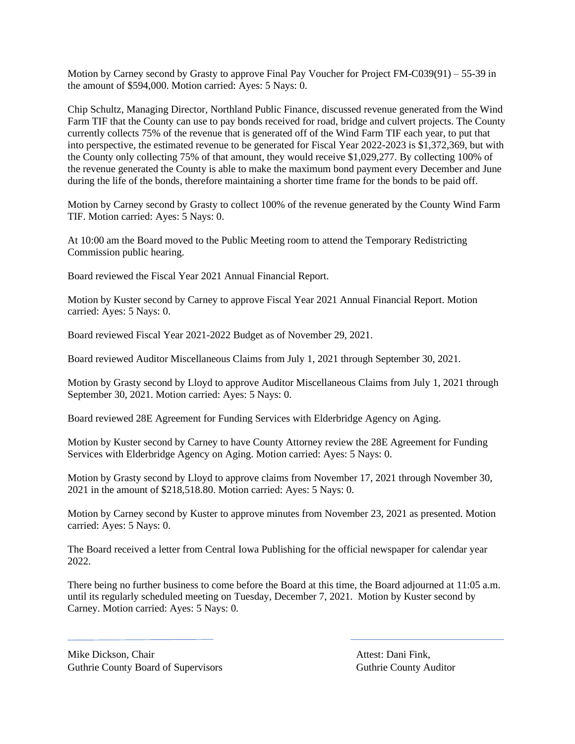Motion by Carney second by Grasty to approve Final Pay Voucher for Project FM-C039(91) – 55-39 in the amount of \$594,000. Motion carried: Ayes: 5 Nays: 0.

Chip Schultz, Managing Director, Northland Public Finance, discussed revenue generated from the Wind Farm TIF that the County can use to pay bonds received for road, bridge and culvert projects. The County currently collects 75% of the revenue that is generated off of the Wind Farm TIF each year, to put that into perspective, the estimated revenue to be generated for Fiscal Year 2022-2023 is \$1,372,369, but with the County only collecting 75% of that amount, they would receive \$1,029,277. By collecting 100% of the revenue generated the County is able to make the maximum bond payment every December and June during the life of the bonds, therefore maintaining a shorter time frame for the bonds to be paid off.

Motion by Carney second by Grasty to collect 100% of the revenue generated by the County Wind Farm TIF. Motion carried: Ayes: 5 Nays: 0.

At 10:00 am the Board moved to the Public Meeting room to attend the Temporary Redistricting Commission public hearing.

Board reviewed the Fiscal Year 2021 Annual Financial Report.

Motion by Kuster second by Carney to approve Fiscal Year 2021 Annual Financial Report. Motion carried: Ayes: 5 Nays: 0.

Board reviewed Fiscal Year 2021-2022 Budget as of November 29, 2021.

Board reviewed Auditor Miscellaneous Claims from July 1, 2021 through September 30, 2021.

Motion by Grasty second by Lloyd to approve Auditor Miscellaneous Claims from July 1, 2021 through September 30, 2021. Motion carried: Ayes: 5 Nays: 0.

Board reviewed 28E Agreement for Funding Services with Elderbridge Agency on Aging.

Motion by Kuster second by Carney to have County Attorney review the 28E Agreement for Funding Services with Elderbridge Agency on Aging. Motion carried: Ayes: 5 Nays: 0.

Motion by Grasty second by Lloyd to approve claims from November 17, 2021 through November 30, 2021 in the amount of \$218,518.80. Motion carried: Ayes: 5 Nays: 0.

Motion by Carney second by Kuster to approve minutes from November 23, 2021 as presented. Motion carried: Ayes: 5 Nays: 0.

The Board received a letter from Central Iowa Publishing for the official newspaper for calendar year 2022.

There being no further business to come before the Board at this time, the Board adjourned at 11:05 a.m. until its regularly scheduled meeting on Tuesday, December 7, 2021. Motion by Kuster second by Carney. Motion carried: Ayes: 5 Nays: 0.

Mike Dickson, Chair **Attest: Dani Fink**, Attest: Dani Fink, Guthrie County Board of Supervisors **Guthrie County Auditor** Guthrie County Auditor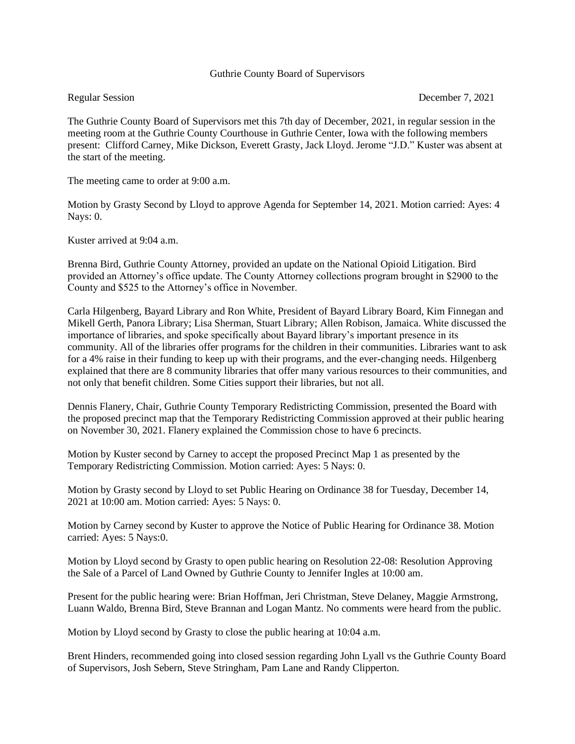## Guthrie County Board of Supervisors

Regular Session December 7, 2021

The Guthrie County Board of Supervisors met this 7th day of December, 2021, in regular session in the meeting room at the Guthrie County Courthouse in Guthrie Center, Iowa with the following members present: Clifford Carney, Mike Dickson, Everett Grasty, Jack Lloyd. Jerome "J.D." Kuster was absent at the start of the meeting.

The meeting came to order at 9:00 a.m.

Motion by Grasty Second by Lloyd to approve Agenda for September 14, 2021. Motion carried: Ayes: 4 Nays: 0.

Kuster arrived at 9:04 a.m.

Brenna Bird, Guthrie County Attorney, provided an update on the National Opioid Litigation. Bird provided an Attorney's office update. The County Attorney collections program brought in \$2900 to the County and \$525 to the Attorney's office in November.

Carla Hilgenberg, Bayard Library and Ron White, President of Bayard Library Board, Kim Finnegan and Mikell Gerth, Panora Library; Lisa Sherman, Stuart Library; Allen Robison, Jamaica. White discussed the importance of libraries, and spoke specifically about Bayard library's important presence in its community. All of the libraries offer programs for the children in their communities. Libraries want to ask for a 4% raise in their funding to keep up with their programs, and the ever-changing needs. Hilgenberg explained that there are 8 community libraries that offer many various resources to their communities, and not only that benefit children. Some Cities support their libraries, but not all.

Dennis Flanery, Chair, Guthrie County Temporary Redistricting Commission, presented the Board with the proposed precinct map that the Temporary Redistricting Commission approved at their public hearing on November 30, 2021. Flanery explained the Commission chose to have 6 precincts.

Motion by Kuster second by Carney to accept the proposed Precinct Map 1 as presented by the Temporary Redistricting Commission. Motion carried: Ayes: 5 Nays: 0.

Motion by Grasty second by Lloyd to set Public Hearing on Ordinance 38 for Tuesday, December 14, 2021 at 10:00 am. Motion carried: Ayes: 5 Nays: 0.

Motion by Carney second by Kuster to approve the Notice of Public Hearing for Ordinance 38. Motion carried: Ayes: 5 Nays:0.

Motion by Lloyd second by Grasty to open public hearing on Resolution 22-08: Resolution Approving the Sale of a Parcel of Land Owned by Guthrie County to Jennifer Ingles at 10:00 am.

Present for the public hearing were: Brian Hoffman, Jeri Christman, Steve Delaney, Maggie Armstrong, Luann Waldo, Brenna Bird, Steve Brannan and Logan Mantz. No comments were heard from the public.

Motion by Lloyd second by Grasty to close the public hearing at 10:04 a.m.

Brent Hinders, recommended going into closed session regarding John Lyall vs the Guthrie County Board of Supervisors, Josh Sebern, Steve Stringham, Pam Lane and Randy Clipperton.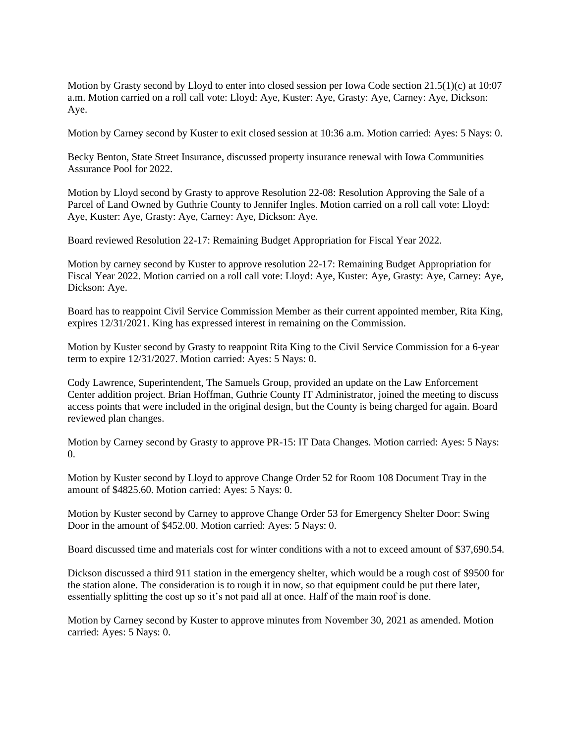Motion by Grasty second by Lloyd to enter into closed session per Iowa Code section 21.5(1)(c) at 10:07 a.m. Motion carried on a roll call vote: Lloyd: Aye, Kuster: Aye, Grasty: Aye, Carney: Aye, Dickson: Aye.

Motion by Carney second by Kuster to exit closed session at 10:36 a.m. Motion carried: Ayes: 5 Nays: 0.

Becky Benton, State Street Insurance, discussed property insurance renewal with Iowa Communities Assurance Pool for 2022.

Motion by Lloyd second by Grasty to approve Resolution 22-08: Resolution Approving the Sale of a Parcel of Land Owned by Guthrie County to Jennifer Ingles. Motion carried on a roll call vote: Lloyd: Aye, Kuster: Aye, Grasty: Aye, Carney: Aye, Dickson: Aye.

Board reviewed Resolution 22-17: Remaining Budget Appropriation for Fiscal Year 2022.

Motion by carney second by Kuster to approve resolution 22-17: Remaining Budget Appropriation for Fiscal Year 2022. Motion carried on a roll call vote: Lloyd: Aye, Kuster: Aye, Grasty: Aye, Carney: Aye, Dickson: Aye.

Board has to reappoint Civil Service Commission Member as their current appointed member, Rita King, expires 12/31/2021. King has expressed interest in remaining on the Commission.

Motion by Kuster second by Grasty to reappoint Rita King to the Civil Service Commission for a 6-year term to expire 12/31/2027. Motion carried: Ayes: 5 Nays: 0.

Cody Lawrence, Superintendent, The Samuels Group, provided an update on the Law Enforcement Center addition project. Brian Hoffman, Guthrie County IT Administrator, joined the meeting to discuss access points that were included in the original design, but the County is being charged for again. Board reviewed plan changes.

Motion by Carney second by Grasty to approve PR-15: IT Data Changes. Motion carried: Ayes: 5 Nays: 0.

Motion by Kuster second by Lloyd to approve Change Order 52 for Room 108 Document Tray in the amount of \$4825.60. Motion carried: Ayes: 5 Nays: 0.

Motion by Kuster second by Carney to approve Change Order 53 for Emergency Shelter Door: Swing Door in the amount of \$452.00. Motion carried: Ayes: 5 Nays: 0.

Board discussed time and materials cost for winter conditions with a not to exceed amount of \$37,690.54.

Dickson discussed a third 911 station in the emergency shelter, which would be a rough cost of \$9500 for the station alone. The consideration is to rough it in now, so that equipment could be put there later, essentially splitting the cost up so it's not paid all at once. Half of the main roof is done.

Motion by Carney second by Kuster to approve minutes from November 30, 2021 as amended. Motion carried: Ayes: 5 Nays: 0.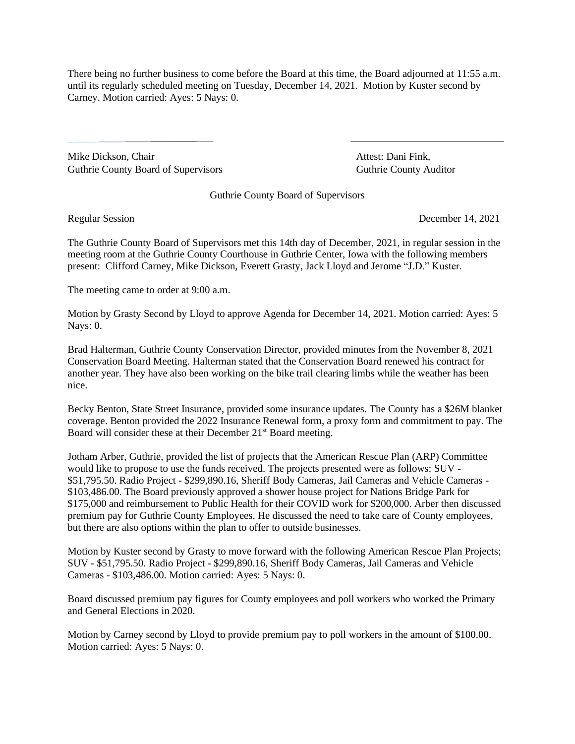There being no further business to come before the Board at this time, the Board adjourned at 11:55 a.m. until its regularly scheduled meeting on Tuesday, December 14, 2021. Motion by Kuster second by Carney. Motion carried: Ayes: 5 Nays: 0.

Mike Dickson, Chair **Attest: Dani Fink**, Guthrie County Board of Supervisors **Guthrie County Auditor** Guthrie County Auditor

Guthrie County Board of Supervisors

Regular Session December 14, 2021

The Guthrie County Board of Supervisors met this 14th day of December, 2021, in regular session in the meeting room at the Guthrie County Courthouse in Guthrie Center, Iowa with the following members present: Clifford Carney, Mike Dickson, Everett Grasty, Jack Lloyd and Jerome "J.D." Kuster.

The meeting came to order at 9:00 a.m.

Motion by Grasty Second by Lloyd to approve Agenda for December 14, 2021. Motion carried: Ayes: 5 Nays: 0.

Brad Halterman, Guthrie County Conservation Director, provided minutes from the November 8, 2021 Conservation Board Meeting. Halterman stated that the Conservation Board renewed his contract for another year. They have also been working on the bike trail clearing limbs while the weather has been nice.

Becky Benton, State Street Insurance, provided some insurance updates. The County has a \$26M blanket coverage. Benton provided the 2022 Insurance Renewal form, a proxy form and commitment to pay. The Board will consider these at their December 21<sup>st</sup> Board meeting.

Jotham Arber, Guthrie, provided the list of projects that the American Rescue Plan (ARP) Committee would like to propose to use the funds received. The projects presented were as follows: SUV - \$51,795.50. Radio Project - \$299,890.16, Sheriff Body Cameras, Jail Cameras and Vehicle Cameras - \$103,486.00. The Board previously approved a shower house project for Nations Bridge Park for \$175,000 and reimbursement to Public Health for their COVID work for \$200,000. Arber then discussed premium pay for Guthrie County Employees. He discussed the need to take care of County employees, but there are also options within the plan to offer to outside businesses.

Motion by Kuster second by Grasty to move forward with the following American Rescue Plan Projects; SUV - \$51,795.50. Radio Project - \$299,890.16, Sheriff Body Cameras, Jail Cameras and Vehicle Cameras - \$103,486.00. Motion carried: Ayes: 5 Nays: 0.

Board discussed premium pay figures for County employees and poll workers who worked the Primary and General Elections in 2020.

Motion by Carney second by Lloyd to provide premium pay to poll workers in the amount of \$100.00. Motion carried: Ayes: 5 Nays: 0.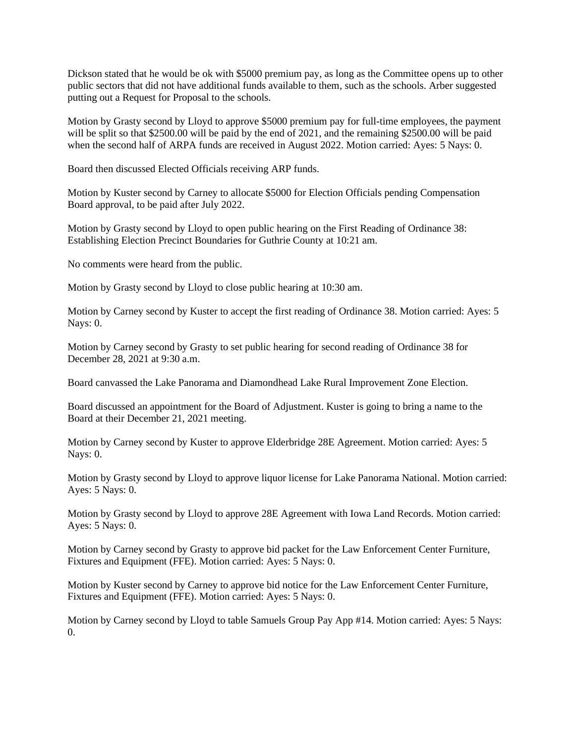Dickson stated that he would be ok with \$5000 premium pay, as long as the Committee opens up to other public sectors that did not have additional funds available to them, such as the schools. Arber suggested putting out a Request for Proposal to the schools.

Motion by Grasty second by Lloyd to approve \$5000 premium pay for full-time employees, the payment will be split so that \$2500.00 will be paid by the end of 2021, and the remaining \$2500.00 will be paid when the second half of ARPA funds are received in August 2022. Motion carried: Ayes: 5 Nays: 0.

Board then discussed Elected Officials receiving ARP funds.

Motion by Kuster second by Carney to allocate \$5000 for Election Officials pending Compensation Board approval, to be paid after July 2022.

Motion by Grasty second by Lloyd to open public hearing on the First Reading of Ordinance 38: Establishing Election Precinct Boundaries for Guthrie County at 10:21 am.

No comments were heard from the public.

Motion by Grasty second by Lloyd to close public hearing at 10:30 am.

Motion by Carney second by Kuster to accept the first reading of Ordinance 38. Motion carried: Ayes: 5 Nays: 0.

Motion by Carney second by Grasty to set public hearing for second reading of Ordinance 38 for December 28, 2021 at 9:30 a.m.

Board canvassed the Lake Panorama and Diamondhead Lake Rural Improvement Zone Election.

Board discussed an appointment for the Board of Adjustment. Kuster is going to bring a name to the Board at their December 21, 2021 meeting.

Motion by Carney second by Kuster to approve Elderbridge 28E Agreement. Motion carried: Ayes: 5 Nays: 0.

Motion by Grasty second by Lloyd to approve liquor license for Lake Panorama National. Motion carried: Ayes: 5 Nays: 0.

Motion by Grasty second by Lloyd to approve 28E Agreement with Iowa Land Records. Motion carried: Ayes: 5 Nays: 0.

Motion by Carney second by Grasty to approve bid packet for the Law Enforcement Center Furniture, Fixtures and Equipment (FFE). Motion carried: Ayes: 5 Nays: 0.

Motion by Kuster second by Carney to approve bid notice for the Law Enforcement Center Furniture, Fixtures and Equipment (FFE). Motion carried: Ayes: 5 Nays: 0.

Motion by Carney second by Lloyd to table Samuels Group Pay App #14. Motion carried: Ayes: 5 Nays: 0.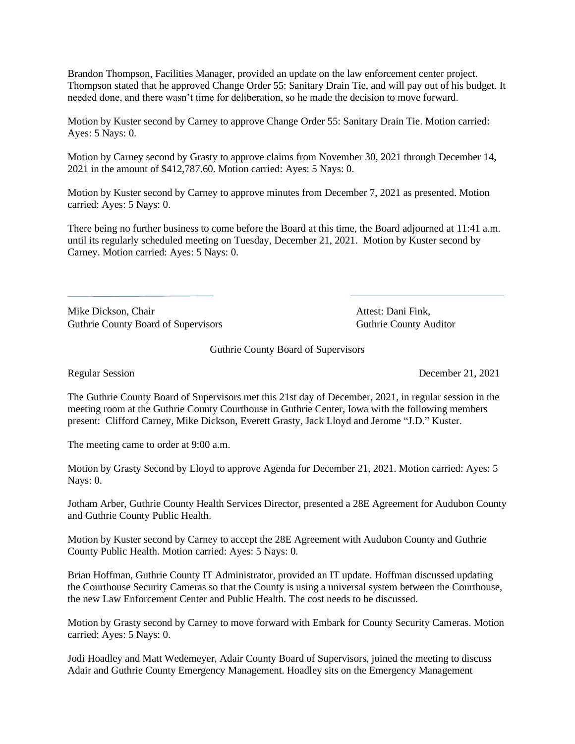Brandon Thompson, Facilities Manager, provided an update on the law enforcement center project. Thompson stated that he approved Change Order 55: Sanitary Drain Tie, and will pay out of his budget. It needed done, and there wasn't time for deliberation, so he made the decision to move forward.

Motion by Kuster second by Carney to approve Change Order 55: Sanitary Drain Tie. Motion carried: Ayes: 5 Nays: 0.

Motion by Carney second by Grasty to approve claims from November 30, 2021 through December 14, 2021 in the amount of \$412,787.60. Motion carried: Ayes: 5 Nays: 0.

Motion by Kuster second by Carney to approve minutes from December 7, 2021 as presented. Motion carried: Ayes: 5 Nays: 0.

There being no further business to come before the Board at this time, the Board adjourned at 11:41 a.m. until its regularly scheduled meeting on Tuesday, December 21, 2021. Motion by Kuster second by Carney. Motion carried: Ayes: 5 Nays: 0.

Mike Dickson, Chair **Attest: Dani Fink**, Guthrie County Board of Supervisors **Guthrie County Auditor** Guthrie County Auditor

Guthrie County Board of Supervisors

Regular Session December 21, 2021

The Guthrie County Board of Supervisors met this 21st day of December, 2021, in regular session in the meeting room at the Guthrie County Courthouse in Guthrie Center, Iowa with the following members present: Clifford Carney, Mike Dickson, Everett Grasty, Jack Lloyd and Jerome "J.D." Kuster.

The meeting came to order at 9:00 a.m.

Motion by Grasty Second by Lloyd to approve Agenda for December 21, 2021. Motion carried: Ayes: 5 Nays: 0.

Jotham Arber, Guthrie County Health Services Director, presented a 28E Agreement for Audubon County and Guthrie County Public Health.

Motion by Kuster second by Carney to accept the 28E Agreement with Audubon County and Guthrie County Public Health. Motion carried: Ayes: 5 Nays: 0.

Brian Hoffman, Guthrie County IT Administrator, provided an IT update. Hoffman discussed updating the Courthouse Security Cameras so that the County is using a universal system between the Courthouse, the new Law Enforcement Center and Public Health. The cost needs to be discussed.

Motion by Grasty second by Carney to move forward with Embark for County Security Cameras. Motion carried: Ayes: 5 Nays: 0.

Jodi Hoadley and Matt Wedemeyer, Adair County Board of Supervisors, joined the meeting to discuss Adair and Guthrie County Emergency Management. Hoadley sits on the Emergency Management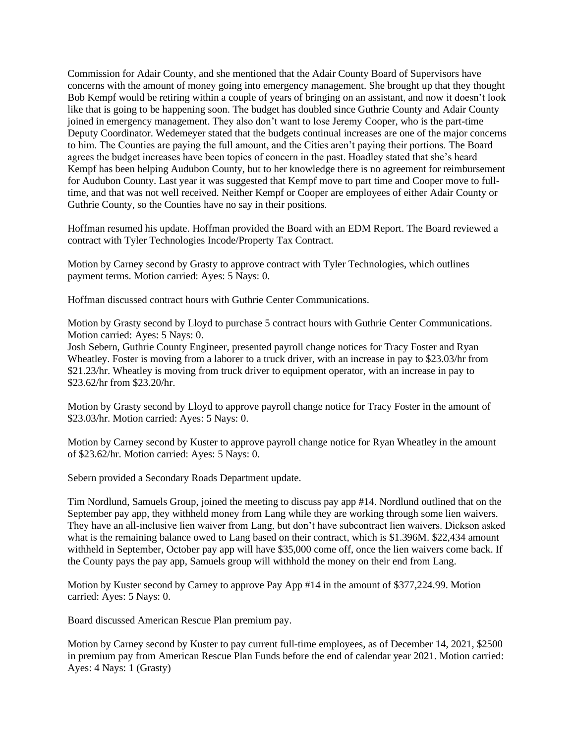Commission for Adair County, and she mentioned that the Adair County Board of Supervisors have concerns with the amount of money going into emergency management. She brought up that they thought Bob Kempf would be retiring within a couple of years of bringing on an assistant, and now it doesn't look like that is going to be happening soon. The budget has doubled since Guthrie County and Adair County joined in emergency management. They also don't want to lose Jeremy Cooper, who is the part-time Deputy Coordinator. Wedemeyer stated that the budgets continual increases are one of the major concerns to him. The Counties are paying the full amount, and the Cities aren't paying their portions. The Board agrees the budget increases have been topics of concern in the past. Hoadley stated that she's heard Kempf has been helping Audubon County, but to her knowledge there is no agreement for reimbursement for Audubon County. Last year it was suggested that Kempf move to part time and Cooper move to fulltime, and that was not well received. Neither Kempf or Cooper are employees of either Adair County or Guthrie County, so the Counties have no say in their positions.

Hoffman resumed his update. Hoffman provided the Board with an EDM Report. The Board reviewed a contract with Tyler Technologies Incode/Property Tax Contract.

Motion by Carney second by Grasty to approve contract with Tyler Technologies, which outlines payment terms. Motion carried: Ayes: 5 Nays: 0.

Hoffman discussed contract hours with Guthrie Center Communications.

Motion by Grasty second by Lloyd to purchase 5 contract hours with Guthrie Center Communications. Motion carried: Ayes: 5 Nays: 0.

Josh Sebern, Guthrie County Engineer, presented payroll change notices for Tracy Foster and Ryan Wheatley. Foster is moving from a laborer to a truck driver, with an increase in pay to \$23.03/hr from \$21.23/hr. Wheatley is moving from truck driver to equipment operator, with an increase in pay to \$23.62/hr from \$23.20/hr.

Motion by Grasty second by Lloyd to approve payroll change notice for Tracy Foster in the amount of \$23.03/hr. Motion carried: Ayes: 5 Nays: 0.

Motion by Carney second by Kuster to approve payroll change notice for Ryan Wheatley in the amount of \$23.62/hr. Motion carried: Ayes: 5 Nays: 0.

Sebern provided a Secondary Roads Department update.

Tim Nordlund, Samuels Group, joined the meeting to discuss pay app #14. Nordlund outlined that on the September pay app, they withheld money from Lang while they are working through some lien waivers. They have an all-inclusive lien waiver from Lang, but don't have subcontract lien waivers. Dickson asked what is the remaining balance owed to Lang based on their contract, which is \$1.396M. \$22,434 amount withheld in September, October pay app will have \$35,000 come off, once the lien waivers come back. If the County pays the pay app, Samuels group will withhold the money on their end from Lang.

Motion by Kuster second by Carney to approve Pay App #14 in the amount of \$377,224.99. Motion carried: Ayes: 5 Nays: 0.

Board discussed American Rescue Plan premium pay.

Motion by Carney second by Kuster to pay current full-time employees, as of December 14, 2021, \$2500 in premium pay from American Rescue Plan Funds before the end of calendar year 2021. Motion carried: Ayes: 4 Nays: 1 (Grasty)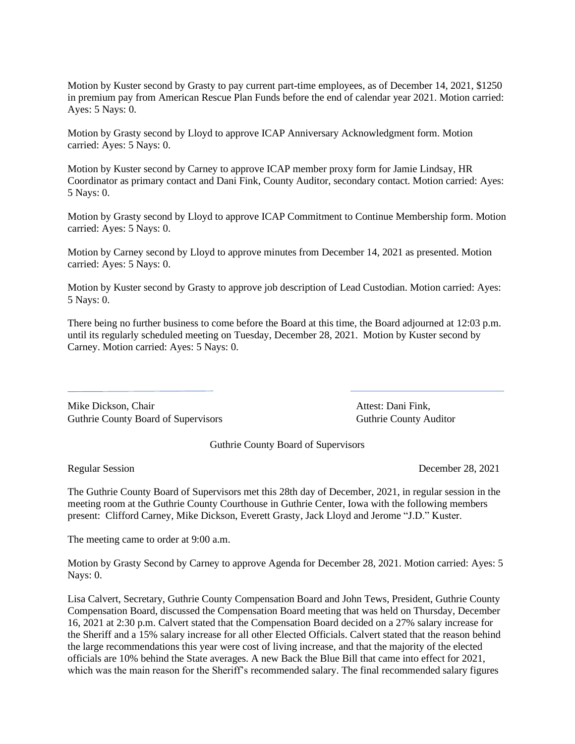Motion by Kuster second by Grasty to pay current part-time employees, as of December 14, 2021, \$1250 in premium pay from American Rescue Plan Funds before the end of calendar year 2021. Motion carried: Ayes: 5 Nays: 0.

Motion by Grasty second by Lloyd to approve ICAP Anniversary Acknowledgment form. Motion carried: Ayes: 5 Nays: 0.

Motion by Kuster second by Carney to approve ICAP member proxy form for Jamie Lindsay, HR Coordinator as primary contact and Dani Fink, County Auditor, secondary contact. Motion carried: Ayes: 5 Nays: 0.

Motion by Grasty second by Lloyd to approve ICAP Commitment to Continue Membership form. Motion carried: Ayes: 5 Nays: 0.

Motion by Carney second by Lloyd to approve minutes from December 14, 2021 as presented. Motion carried: Ayes: 5 Nays: 0.

Motion by Kuster second by Grasty to approve job description of Lead Custodian. Motion carried: Ayes: 5 Nays: 0.

There being no further business to come before the Board at this time, the Board adjourned at 12:03 p.m. until its regularly scheduled meeting on Tuesday, December 28, 2021. Motion by Kuster second by Carney. Motion carried: Ayes: 5 Nays: 0.

Mike Dickson, Chair **Attest: Dani Fink**, Attest: Dani Fink, Guthrie County Board of Supervisors Guthrie County Auditor

Guthrie County Board of Supervisors

Regular Session December 28, 2021

The Guthrie County Board of Supervisors met this 28th day of December, 2021, in regular session in the meeting room at the Guthrie County Courthouse in Guthrie Center, Iowa with the following members present: Clifford Carney, Mike Dickson, Everett Grasty, Jack Lloyd and Jerome "J.D." Kuster.

The meeting came to order at 9:00 a.m.

Motion by Grasty Second by Carney to approve Agenda for December 28, 2021. Motion carried: Ayes: 5 Nays: 0.

Lisa Calvert, Secretary, Guthrie County Compensation Board and John Tews, President, Guthrie County Compensation Board, discussed the Compensation Board meeting that was held on Thursday, December 16, 2021 at 2:30 p.m. Calvert stated that the Compensation Board decided on a 27% salary increase for the Sheriff and a 15% salary increase for all other Elected Officials. Calvert stated that the reason behind the large recommendations this year were cost of living increase, and that the majority of the elected officials are 10% behind the State averages. A new Back the Blue Bill that came into effect for 2021, which was the main reason for the Sheriff's recommended salary. The final recommended salary figures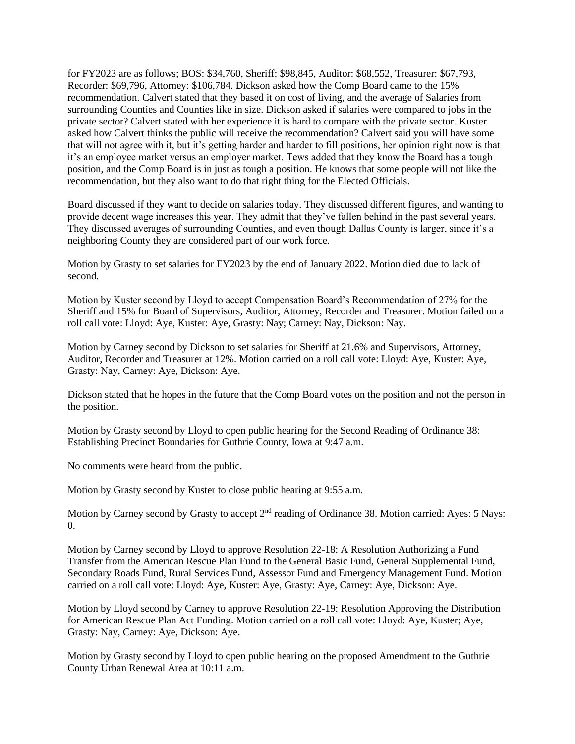for FY2023 are as follows; BOS: \$34,760, Sheriff: \$98,845, Auditor: \$68,552, Treasurer: \$67,793, Recorder: \$69,796, Attorney: \$106,784. Dickson asked how the Comp Board came to the 15% recommendation. Calvert stated that they based it on cost of living, and the average of Salaries from surrounding Counties and Counties like in size. Dickson asked if salaries were compared to jobs in the private sector? Calvert stated with her experience it is hard to compare with the private sector. Kuster asked how Calvert thinks the public will receive the recommendation? Calvert said you will have some that will not agree with it, but it's getting harder and harder to fill positions, her opinion right now is that it's an employee market versus an employer market. Tews added that they know the Board has a tough position, and the Comp Board is in just as tough a position. He knows that some people will not like the recommendation, but they also want to do that right thing for the Elected Officials.

Board discussed if they want to decide on salaries today. They discussed different figures, and wanting to provide decent wage increases this year. They admit that they've fallen behind in the past several years. They discussed averages of surrounding Counties, and even though Dallas County is larger, since it's a neighboring County they are considered part of our work force.

Motion by Grasty to set salaries for FY2023 by the end of January 2022. Motion died due to lack of second.

Motion by Kuster second by Lloyd to accept Compensation Board's Recommendation of 27% for the Sheriff and 15% for Board of Supervisors, Auditor, Attorney, Recorder and Treasurer. Motion failed on a roll call vote: Lloyd: Aye, Kuster: Aye, Grasty: Nay; Carney: Nay, Dickson: Nay.

Motion by Carney second by Dickson to set salaries for Sheriff at 21.6% and Supervisors, Attorney, Auditor, Recorder and Treasurer at 12%. Motion carried on a roll call vote: Lloyd: Aye, Kuster: Aye, Grasty: Nay, Carney: Aye, Dickson: Aye.

Dickson stated that he hopes in the future that the Comp Board votes on the position and not the person in the position.

Motion by Grasty second by Lloyd to open public hearing for the Second Reading of Ordinance 38: Establishing Precinct Boundaries for Guthrie County, Iowa at 9:47 a.m.

No comments were heard from the public.

Motion by Grasty second by Kuster to close public hearing at 9:55 a.m.

Motion by Carney second by Grasty to accept 2<sup>nd</sup> reading of Ordinance 38. Motion carried: Ayes: 5 Nays: 0.

Motion by Carney second by Lloyd to approve Resolution 22-18: A Resolution Authorizing a Fund Transfer from the American Rescue Plan Fund to the General Basic Fund, General Supplemental Fund, Secondary Roads Fund, Rural Services Fund, Assessor Fund and Emergency Management Fund. Motion carried on a roll call vote: Lloyd: Aye, Kuster: Aye, Grasty: Aye, Carney: Aye, Dickson: Aye.

Motion by Lloyd second by Carney to approve Resolution 22-19: Resolution Approving the Distribution for American Rescue Plan Act Funding. Motion carried on a roll call vote: Lloyd: Aye, Kuster; Aye, Grasty: Nay, Carney: Aye, Dickson: Aye.

Motion by Grasty second by Lloyd to open public hearing on the proposed Amendment to the Guthrie County Urban Renewal Area at 10:11 a.m.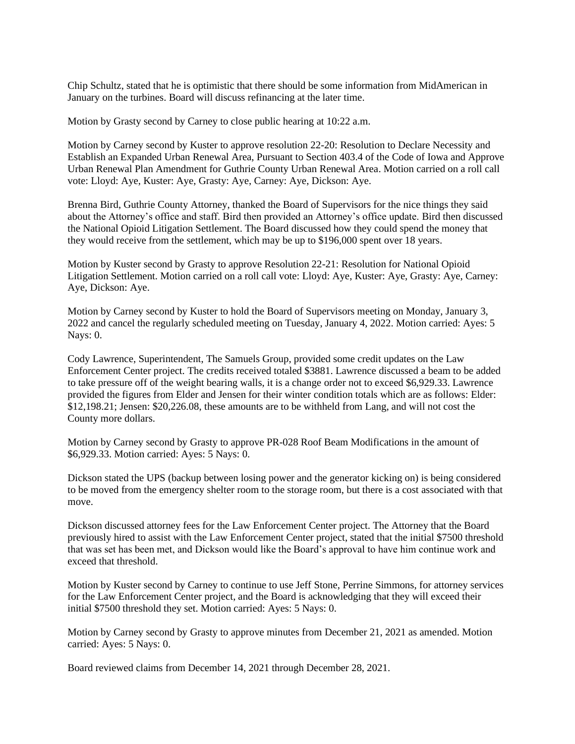Chip Schultz, stated that he is optimistic that there should be some information from MidAmerican in January on the turbines. Board will discuss refinancing at the later time.

Motion by Grasty second by Carney to close public hearing at 10:22 a.m.

Motion by Carney second by Kuster to approve resolution 22-20: Resolution to Declare Necessity and Establish an Expanded Urban Renewal Area, Pursuant to Section 403.4 of the Code of Iowa and Approve Urban Renewal Plan Amendment for Guthrie County Urban Renewal Area. Motion carried on a roll call vote: Lloyd: Aye, Kuster: Aye, Grasty: Aye, Carney: Aye, Dickson: Aye.

Brenna Bird, Guthrie County Attorney, thanked the Board of Supervisors for the nice things they said about the Attorney's office and staff. Bird then provided an Attorney's office update. Bird then discussed the National Opioid Litigation Settlement. The Board discussed how they could spend the money that they would receive from the settlement, which may be up to \$196,000 spent over 18 years.

Motion by Kuster second by Grasty to approve Resolution 22-21: Resolution for National Opioid Litigation Settlement. Motion carried on a roll call vote: Lloyd: Aye, Kuster: Aye, Grasty: Aye, Carney: Aye, Dickson: Aye.

Motion by Carney second by Kuster to hold the Board of Supervisors meeting on Monday, January 3, 2022 and cancel the regularly scheduled meeting on Tuesday, January 4, 2022. Motion carried: Ayes: 5 Nays: 0.

Cody Lawrence, Superintendent, The Samuels Group, provided some credit updates on the Law Enforcement Center project. The credits received totaled \$3881. Lawrence discussed a beam to be added to take pressure off of the weight bearing walls, it is a change order not to exceed \$6,929.33. Lawrence provided the figures from Elder and Jensen for their winter condition totals which are as follows: Elder: \$12,198.21; Jensen: \$20,226.08, these amounts are to be withheld from Lang, and will not cost the County more dollars.

Motion by Carney second by Grasty to approve PR-028 Roof Beam Modifications in the amount of \$6,929.33. Motion carried: Ayes: 5 Nays: 0.

Dickson stated the UPS (backup between losing power and the generator kicking on) is being considered to be moved from the emergency shelter room to the storage room, but there is a cost associated with that move.

Dickson discussed attorney fees for the Law Enforcement Center project. The Attorney that the Board previously hired to assist with the Law Enforcement Center project, stated that the initial \$7500 threshold that was set has been met, and Dickson would like the Board's approval to have him continue work and exceed that threshold.

Motion by Kuster second by Carney to continue to use Jeff Stone, Perrine Simmons, for attorney services for the Law Enforcement Center project, and the Board is acknowledging that they will exceed their initial \$7500 threshold they set. Motion carried: Ayes: 5 Nays: 0.

Motion by Carney second by Grasty to approve minutes from December 21, 2021 as amended. Motion carried: Ayes: 5 Nays: 0.

Board reviewed claims from December 14, 2021 through December 28, 2021.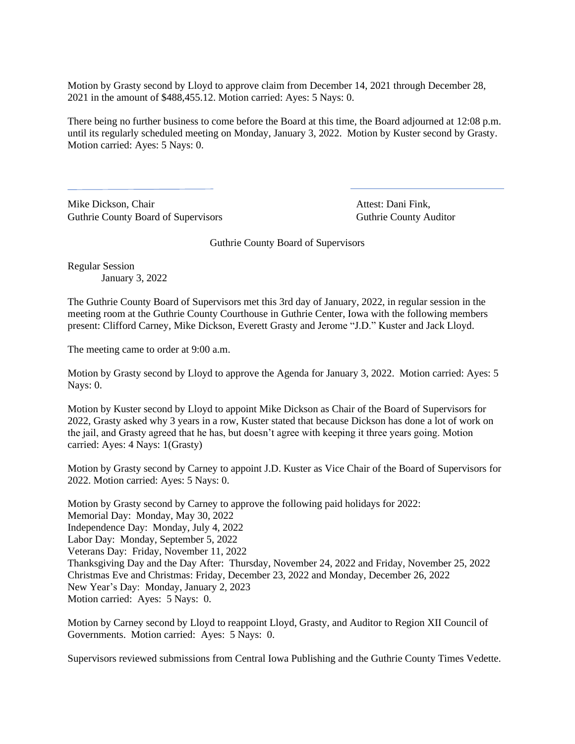Motion by Grasty second by Lloyd to approve claim from December 14, 2021 through December 28, 2021 in the amount of \$488,455.12. Motion carried: Ayes: 5 Nays: 0.

There being no further business to come before the Board at this time, the Board adjourned at 12:08 p.m. until its regularly scheduled meeting on Monday, January 3, 2022. Motion by Kuster second by Grasty. Motion carried: Ayes: 5 Nays: 0.

Mike Dickson, Chair **Attest: Dani Fink**, Guthrie County Board of Supervisors Guthrie County Auditor

Guthrie County Board of Supervisors

Regular Session January 3, 2022

The Guthrie County Board of Supervisors met this 3rd day of January, 2022, in regular session in the meeting room at the Guthrie County Courthouse in Guthrie Center, Iowa with the following members present: Clifford Carney, Mike Dickson, Everett Grasty and Jerome "J.D." Kuster and Jack Lloyd.

The meeting came to order at 9:00 a.m.

Motion by Grasty second by Lloyd to approve the Agenda for January 3, 2022. Motion carried: Ayes: 5 Nays: 0.

Motion by Kuster second by Lloyd to appoint Mike Dickson as Chair of the Board of Supervisors for 2022, Grasty asked why 3 years in a row, Kuster stated that because Dickson has done a lot of work on the jail, and Grasty agreed that he has, but doesn't agree with keeping it three years going. Motion carried: Ayes: 4 Nays: 1(Grasty)

Motion by Grasty second by Carney to appoint J.D. Kuster as Vice Chair of the Board of Supervisors for 2022. Motion carried: Ayes: 5 Nays: 0.

Motion by Grasty second by Carney to approve the following paid holidays for 2022: Memorial Day: Monday, May 30, 2022 Independence Day: Monday, July 4, 2022 Labor Day: Monday, September 5, 2022 Veterans Day: Friday, November 11, 2022 Thanksgiving Day and the Day After: Thursday, November 24, 2022 and Friday, November 25, 2022 Christmas Eve and Christmas: Friday, December 23, 2022 and Monday, December 26, 2022 New Year's Day: Monday, January 2, 2023 Motion carried: Ayes: 5 Nays: 0.

Motion by Carney second by Lloyd to reappoint Lloyd, Grasty, and Auditor to Region XII Council of Governments. Motion carried: Ayes: 5 Nays: 0.

Supervisors reviewed submissions from Central Iowa Publishing and the Guthrie County Times Vedette.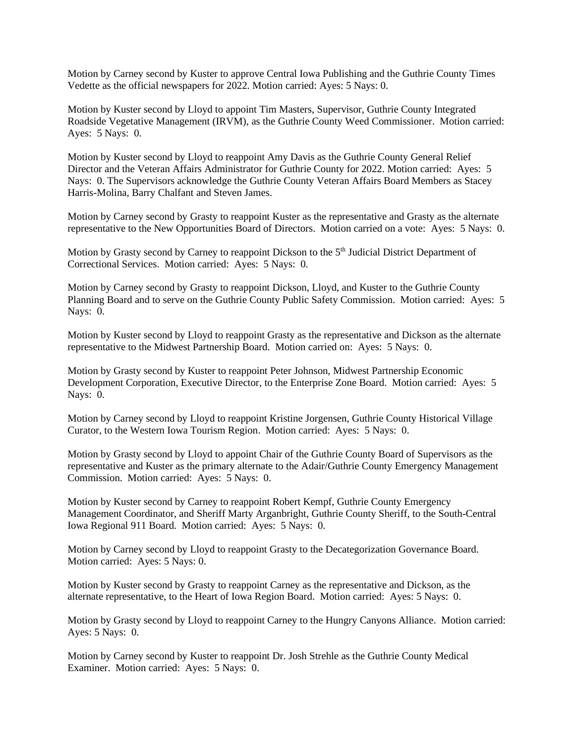Motion by Carney second by Kuster to approve Central Iowa Publishing and the Guthrie County Times Vedette as the official newspapers for 2022. Motion carried: Ayes: 5 Nays: 0.

Motion by Kuster second by Lloyd to appoint Tim Masters, Supervisor, Guthrie County Integrated Roadside Vegetative Management (IRVM), as the Guthrie County Weed Commissioner. Motion carried: Ayes: 5 Nays: 0.

Motion by Kuster second by Lloyd to reappoint Amy Davis as the Guthrie County General Relief Director and the Veteran Affairs Administrator for Guthrie County for 2022. Motion carried: Ayes: 5 Nays: 0. The Supervisors acknowledge the Guthrie County Veteran Affairs Board Members as Stacey Harris-Molina, Barry Chalfant and Steven James.

Motion by Carney second by Grasty to reappoint Kuster as the representative and Grasty as the alternate representative to the New Opportunities Board of Directors. Motion carried on a vote: Ayes: 5 Nays: 0.

Motion by Grasty second by Carney to reappoint Dickson to the 5<sup>th</sup> Judicial District Department of Correctional Services. Motion carried: Ayes: 5 Nays: 0.

Motion by Carney second by Grasty to reappoint Dickson, Lloyd, and Kuster to the Guthrie County Planning Board and to serve on the Guthrie County Public Safety Commission. Motion carried: Ayes: 5 Nays: 0.

Motion by Kuster second by Lloyd to reappoint Grasty as the representative and Dickson as the alternate representative to the Midwest Partnership Board. Motion carried on: Ayes: 5 Nays: 0.

Motion by Grasty second by Kuster to reappoint Peter Johnson, Midwest Partnership Economic Development Corporation, Executive Director, to the Enterprise Zone Board. Motion carried: Ayes: 5 Nays: 0.

Motion by Carney second by Lloyd to reappoint Kristine Jorgensen, Guthrie County Historical Village Curator, to the Western Iowa Tourism Region. Motion carried: Ayes: 5 Nays: 0.

Motion by Grasty second by Lloyd to appoint Chair of the Guthrie County Board of Supervisors as the representative and Kuster as the primary alternate to the Adair/Guthrie County Emergency Management Commission. Motion carried: Ayes: 5 Nays: 0.

Motion by Kuster second by Carney to reappoint Robert Kempf, Guthrie County Emergency Management Coordinator, and Sheriff Marty Arganbright, Guthrie County Sheriff, to the South-Central Iowa Regional 911 Board. Motion carried: Ayes: 5 Nays: 0.

Motion by Carney second by Lloyd to reappoint Grasty to the Decategorization Governance Board. Motion carried: Ayes: 5 Nays: 0.

Motion by Kuster second by Grasty to reappoint Carney as the representative and Dickson, as the alternate representative, to the Heart of Iowa Region Board. Motion carried: Ayes: 5 Nays: 0.

Motion by Grasty second by Lloyd to reappoint Carney to the Hungry Canyons Alliance. Motion carried: Ayes: 5 Nays: 0.

Motion by Carney second by Kuster to reappoint Dr. Josh Strehle as the Guthrie County Medical Examiner. Motion carried: Ayes: 5 Nays: 0.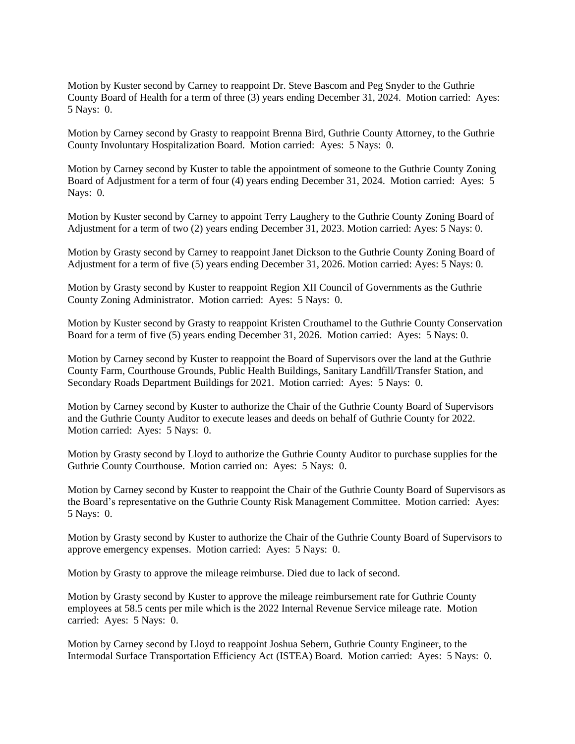Motion by Kuster second by Carney to reappoint Dr. Steve Bascom and Peg Snyder to the Guthrie County Board of Health for a term of three (3) years ending December 31, 2024. Motion carried: Ayes: 5 Nays: 0.

Motion by Carney second by Grasty to reappoint Brenna Bird, Guthrie County Attorney, to the Guthrie County Involuntary Hospitalization Board. Motion carried: Ayes: 5 Nays: 0.

Motion by Carney second by Kuster to table the appointment of someone to the Guthrie County Zoning Board of Adjustment for a term of four (4) years ending December 31, 2024. Motion carried: Ayes: 5 Nays: 0.

Motion by Kuster second by Carney to appoint Terry Laughery to the Guthrie County Zoning Board of Adjustment for a term of two (2) years ending December 31, 2023. Motion carried: Ayes: 5 Nays: 0.

Motion by Grasty second by Carney to reappoint Janet Dickson to the Guthrie County Zoning Board of Adjustment for a term of five (5) years ending December 31, 2026. Motion carried: Ayes: 5 Nays: 0.

Motion by Grasty second by Kuster to reappoint Region XII Council of Governments as the Guthrie County Zoning Administrator. Motion carried: Ayes: 5 Nays: 0.

Motion by Kuster second by Grasty to reappoint Kristen Crouthamel to the Guthrie County Conservation Board for a term of five (5) years ending December 31, 2026. Motion carried: Ayes: 5 Nays: 0.

Motion by Carney second by Kuster to reappoint the Board of Supervisors over the land at the Guthrie County Farm, Courthouse Grounds, Public Health Buildings, Sanitary Landfill/Transfer Station, and Secondary Roads Department Buildings for 2021. Motion carried: Ayes: 5 Nays: 0.

Motion by Carney second by Kuster to authorize the Chair of the Guthrie County Board of Supervisors and the Guthrie County Auditor to execute leases and deeds on behalf of Guthrie County for 2022. Motion carried: Ayes: 5 Nays: 0.

Motion by Grasty second by Lloyd to authorize the Guthrie County Auditor to purchase supplies for the Guthrie County Courthouse. Motion carried on: Ayes: 5 Nays: 0.

Motion by Carney second by Kuster to reappoint the Chair of the Guthrie County Board of Supervisors as the Board's representative on the Guthrie County Risk Management Committee. Motion carried: Ayes: 5 Nays: 0.

Motion by Grasty second by Kuster to authorize the Chair of the Guthrie County Board of Supervisors to approve emergency expenses. Motion carried: Ayes: 5 Nays: 0.

Motion by Grasty to approve the mileage reimburse. Died due to lack of second.

Motion by Grasty second by Kuster to approve the mileage reimbursement rate for Guthrie County employees at 58.5 cents per mile which is the 2022 Internal Revenue Service mileage rate. Motion carried: Ayes: 5 Nays: 0.

Motion by Carney second by Lloyd to reappoint Joshua Sebern, Guthrie County Engineer, to the Intermodal Surface Transportation Efficiency Act (ISTEA) Board. Motion carried: Ayes: 5 Nays: 0.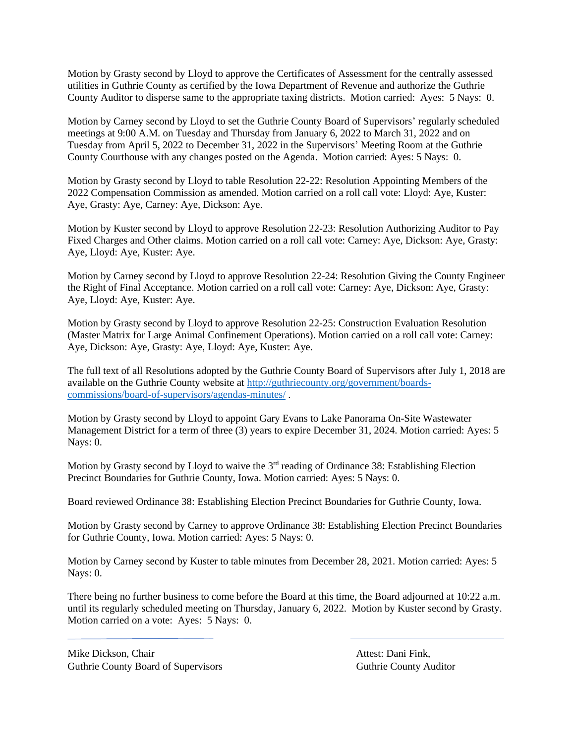Motion by Grasty second by Lloyd to approve the Certificates of Assessment for the centrally assessed utilities in Guthrie County as certified by the Iowa Department of Revenue and authorize the Guthrie County Auditor to disperse same to the appropriate taxing districts. Motion carried: Ayes: 5 Nays: 0.

Motion by Carney second by Lloyd to set the Guthrie County Board of Supervisors' regularly scheduled meetings at 9:00 A.M. on Tuesday and Thursday from January 6, 2022 to March 31, 2022 and on Tuesday from April 5, 2022 to December 31, 2022 in the Supervisors' Meeting Room at the Guthrie County Courthouse with any changes posted on the Agenda. Motion carried: Ayes: 5 Nays: 0.

Motion by Grasty second by Lloyd to table Resolution 22-22: Resolution Appointing Members of the 2022 Compensation Commission as amended. Motion carried on a roll call vote: Lloyd: Aye, Kuster: Aye, Grasty: Aye, Carney: Aye, Dickson: Aye.

Motion by Kuster second by Lloyd to approve Resolution 22-23: Resolution Authorizing Auditor to Pay Fixed Charges and Other claims. Motion carried on a roll call vote: Carney: Aye, Dickson: Aye, Grasty: Aye, Lloyd: Aye, Kuster: Aye.

Motion by Carney second by Lloyd to approve Resolution 22-24: Resolution Giving the County Engineer the Right of Final Acceptance. Motion carried on a roll call vote: Carney: Aye, Dickson: Aye, Grasty: Aye, Lloyd: Aye, Kuster: Aye.

Motion by Grasty second by Lloyd to approve Resolution 22-25: Construction Evaluation Resolution (Master Matrix for Large Animal Confinement Operations). Motion carried on a roll call vote: Carney: Aye, Dickson: Aye, Grasty: Aye, Lloyd: Aye, Kuster: Aye.

The full text of all Resolutions adopted by the Guthrie County Board of Supervisors after July 1, 2018 are available on the Guthrie County website at [http://guthriecounty.org/government/boards](http://guthriecounty.org/government/boards-commissions/board-of-supervisors/agendas-minutes/)[commissions/board-of-supervisors/agendas-minutes/](http://guthriecounty.org/government/boards-commissions/board-of-supervisors/agendas-minutes/) .

Motion by Grasty second by Lloyd to appoint Gary Evans to Lake Panorama On-Site Wastewater Management District for a term of three (3) years to expire December 31, 2024. Motion carried: Ayes: 5 Nays: 0.

Motion by Grasty second by Lloyd to waive the 3<sup>rd</sup> reading of Ordinance 38: Establishing Election Precinct Boundaries for Guthrie County, Iowa. Motion carried: Ayes: 5 Nays: 0.

Board reviewed Ordinance 38: Establishing Election Precinct Boundaries for Guthrie County, Iowa.

Motion by Grasty second by Carney to approve Ordinance 38: Establishing Election Precinct Boundaries for Guthrie County, Iowa. Motion carried: Ayes: 5 Nays: 0.

Motion by Carney second by Kuster to table minutes from December 28, 2021. Motion carried: Ayes: 5 Nays: 0.

There being no further business to come before the Board at this time, the Board adjourned at 10:22 a.m. until its regularly scheduled meeting on Thursday, January 6, 2022. Motion by Kuster second by Grasty. Motion carried on a vote: Ayes: 5 Nays: 0.

Mike Dickson, Chair **Attest:** Dani Fink, Guthrie County Board of Supervisors **Guthrie County Auditor** Guthrie County Auditor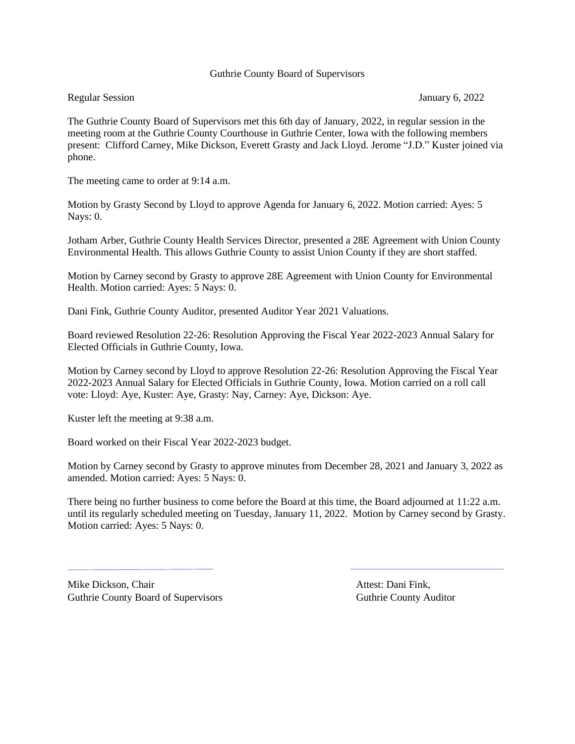# Guthrie County Board of Supervisors

# Regular Session January 6, 2022

The Guthrie County Board of Supervisors met this 6th day of January, 2022, in regular session in the meeting room at the Guthrie County Courthouse in Guthrie Center, Iowa with the following members present: Clifford Carney, Mike Dickson, Everett Grasty and Jack Lloyd. Jerome "J.D." Kuster joined via phone.

The meeting came to order at 9:14 a.m.

Motion by Grasty Second by Lloyd to approve Agenda for January 6, 2022. Motion carried: Ayes: 5 Nays: 0.

Jotham Arber, Guthrie County Health Services Director, presented a 28E Agreement with Union County Environmental Health. This allows Guthrie County to assist Union County if they are short staffed.

Motion by Carney second by Grasty to approve 28E Agreement with Union County for Environmental Health. Motion carried: Ayes: 5 Nays: 0.

Dani Fink, Guthrie County Auditor, presented Auditor Year 2021 Valuations.

Board reviewed Resolution 22-26: Resolution Approving the Fiscal Year 2022-2023 Annual Salary for Elected Officials in Guthrie County, Iowa.

Motion by Carney second by Lloyd to approve Resolution 22-26: Resolution Approving the Fiscal Year 2022-2023 Annual Salary for Elected Officials in Guthrie County, Iowa. Motion carried on a roll call vote: Lloyd: Aye, Kuster: Aye, Grasty: Nay, Carney: Aye, Dickson: Aye.

Kuster left the meeting at 9:38 a.m.

Board worked on their Fiscal Year 2022-2023 budget.

Motion by Carney second by Grasty to approve minutes from December 28, 2021 and January 3, 2022 as amended. Motion carried: Ayes: 5 Nays: 0.

There being no further business to come before the Board at this time, the Board adjourned at 11:22 a.m. until its regularly scheduled meeting on Tuesday, January 11, 2022. Motion by Carney second by Grasty. Motion carried: Ayes: 5 Nays: 0.

Mike Dickson, Chair **Attest: Dani Fink**, Guthrie County Board of Supervisors **Guthrie County Auditor** Guthrie County Auditor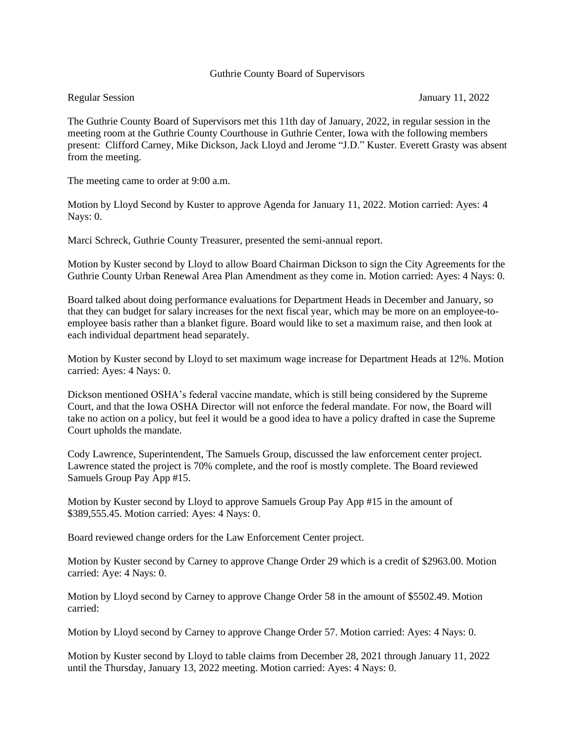## Guthrie County Board of Supervisors

# Regular Session January 11, 2022

The Guthrie County Board of Supervisors met this 11th day of January, 2022, in regular session in the meeting room at the Guthrie County Courthouse in Guthrie Center, Iowa with the following members present: Clifford Carney, Mike Dickson, Jack Lloyd and Jerome "J.D." Kuster. Everett Grasty was absent from the meeting.

The meeting came to order at 9:00 a.m.

Motion by Lloyd Second by Kuster to approve Agenda for January 11, 2022. Motion carried: Ayes: 4 Nays: 0.

Marci Schreck, Guthrie County Treasurer, presented the semi-annual report.

Motion by Kuster second by Lloyd to allow Board Chairman Dickson to sign the City Agreements for the Guthrie County Urban Renewal Area Plan Amendment as they come in. Motion carried: Ayes: 4 Nays: 0.

Board talked about doing performance evaluations for Department Heads in December and January, so that they can budget for salary increases for the next fiscal year, which may be more on an employee-toemployee basis rather than a blanket figure. Board would like to set a maximum raise, and then look at each individual department head separately.

Motion by Kuster second by Lloyd to set maximum wage increase for Department Heads at 12%. Motion carried: Ayes: 4 Nays: 0.

Dickson mentioned OSHA's federal vaccine mandate, which is still being considered by the Supreme Court, and that the Iowa OSHA Director will not enforce the federal mandate. For now, the Board will take no action on a policy, but feel it would be a good idea to have a policy drafted in case the Supreme Court upholds the mandate.

Cody Lawrence, Superintendent, The Samuels Group, discussed the law enforcement center project. Lawrence stated the project is 70% complete, and the roof is mostly complete. The Board reviewed Samuels Group Pay App #15.

Motion by Kuster second by Lloyd to approve Samuels Group Pay App #15 in the amount of \$389,555.45. Motion carried: Ayes: 4 Nays: 0.

Board reviewed change orders for the Law Enforcement Center project.

Motion by Kuster second by Carney to approve Change Order 29 which is a credit of \$2963.00. Motion carried: Aye: 4 Nays: 0.

Motion by Lloyd second by Carney to approve Change Order 58 in the amount of \$5502.49. Motion carried:

Motion by Lloyd second by Carney to approve Change Order 57. Motion carried: Ayes: 4 Nays: 0.

Motion by Kuster second by Lloyd to table claims from December 28, 2021 through January 11, 2022 until the Thursday, January 13, 2022 meeting. Motion carried: Ayes: 4 Nays: 0.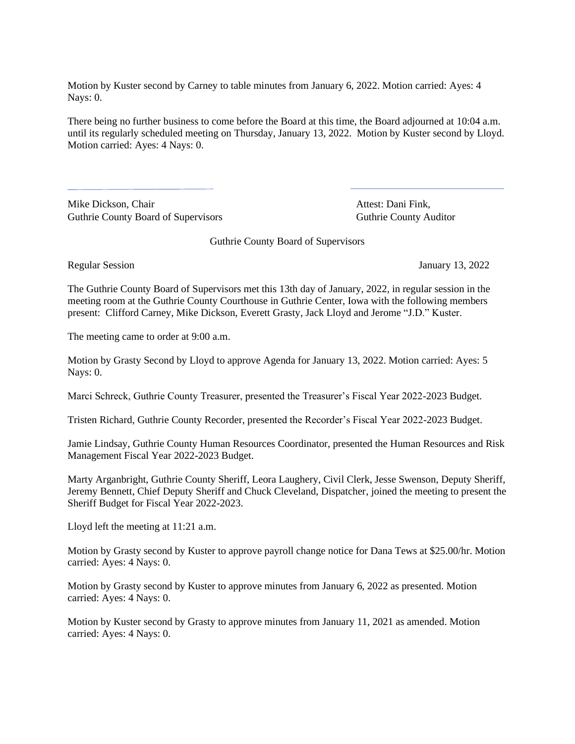Motion by Kuster second by Carney to table minutes from January 6, 2022. Motion carried: Ayes: 4 Nays: 0.

There being no further business to come before the Board at this time, the Board adjourned at 10:04 a.m. until its regularly scheduled meeting on Thursday, January 13, 2022. Motion by Kuster second by Lloyd. Motion carried: Ayes: 4 Nays: 0.

Mike Dickson, Chair **Attest: Dani Fink**, Guthrie County Board of Supervisors Guthrie County Auditor

Guthrie County Board of Supervisors

Regular Session January 13, 2022

The Guthrie County Board of Supervisors met this 13th day of January, 2022, in regular session in the meeting room at the Guthrie County Courthouse in Guthrie Center, Iowa with the following members present: Clifford Carney, Mike Dickson, Everett Grasty, Jack Lloyd and Jerome "J.D." Kuster.

The meeting came to order at 9:00 a.m.

Motion by Grasty Second by Lloyd to approve Agenda for January 13, 2022. Motion carried: Ayes: 5 Nays: 0.

Marci Schreck, Guthrie County Treasurer, presented the Treasurer's Fiscal Year 2022-2023 Budget.

Tristen Richard, Guthrie County Recorder, presented the Recorder's Fiscal Year 2022-2023 Budget.

Jamie Lindsay, Guthrie County Human Resources Coordinator, presented the Human Resources and Risk Management Fiscal Year 2022-2023 Budget.

Marty Arganbright, Guthrie County Sheriff, Leora Laughery, Civil Clerk, Jesse Swenson, Deputy Sheriff, Jeremy Bennett, Chief Deputy Sheriff and Chuck Cleveland, Dispatcher, joined the meeting to present the Sheriff Budget for Fiscal Year 2022-2023.

Lloyd left the meeting at 11:21 a.m.

Motion by Grasty second by Kuster to approve payroll change notice for Dana Tews at \$25.00/hr. Motion carried: Ayes: 4 Nays: 0.

Motion by Grasty second by Kuster to approve minutes from January 6, 2022 as presented. Motion carried: Ayes: 4 Nays: 0.

Motion by Kuster second by Grasty to approve minutes from January 11, 2021 as amended. Motion carried: Ayes: 4 Nays: 0.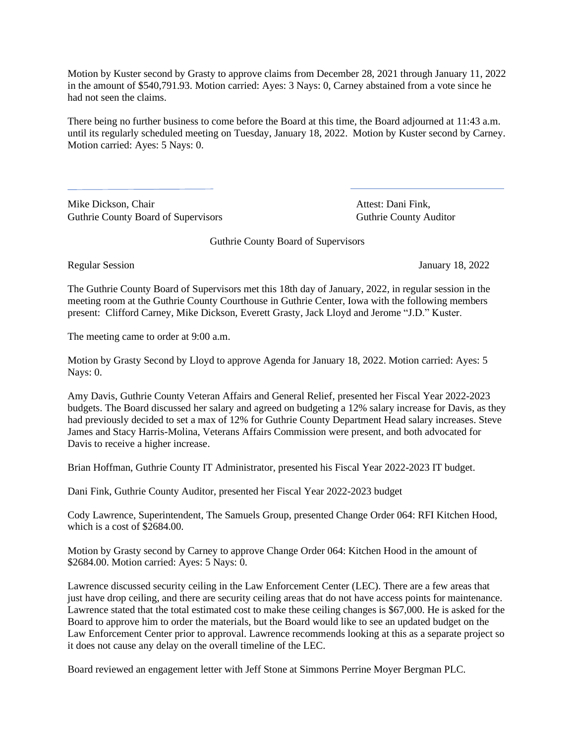Motion by Kuster second by Grasty to approve claims from December 28, 2021 through January 11, 2022 in the amount of \$540,791.93. Motion carried: Ayes: 3 Nays: 0, Carney abstained from a vote since he had not seen the claims.

There being no further business to come before the Board at this time, the Board adjourned at 11:43 a.m. until its regularly scheduled meeting on Tuesday, January 18, 2022. Motion by Kuster second by Carney. Motion carried: Ayes: 5 Nays: 0.

Mike Dickson, Chair **Attest: Dani Fink**, Guthrie County Board of Supervisors **Guthrie County Auditor** Guthrie County Auditor

Guthrie County Board of Supervisors

Regular Session January 18, 2022

The Guthrie County Board of Supervisors met this 18th day of January, 2022, in regular session in the meeting room at the Guthrie County Courthouse in Guthrie Center, Iowa with the following members present: Clifford Carney, Mike Dickson, Everett Grasty, Jack Lloyd and Jerome "J.D." Kuster.

The meeting came to order at 9:00 a.m.

Motion by Grasty Second by Lloyd to approve Agenda for January 18, 2022. Motion carried: Ayes: 5 Nays: 0.

Amy Davis, Guthrie County Veteran Affairs and General Relief, presented her Fiscal Year 2022-2023 budgets. The Board discussed her salary and agreed on budgeting a 12% salary increase for Davis, as they had previously decided to set a max of 12% for Guthrie County Department Head salary increases. Steve James and Stacy Harris-Molina, Veterans Affairs Commission were present, and both advocated for Davis to receive a higher increase.

Brian Hoffman, Guthrie County IT Administrator, presented his Fiscal Year 2022-2023 IT budget.

Dani Fink, Guthrie County Auditor, presented her Fiscal Year 2022-2023 budget

Cody Lawrence, Superintendent, The Samuels Group, presented Change Order 064: RFI Kitchen Hood, which is a cost of \$2684.00.

Motion by Grasty second by Carney to approve Change Order 064: Kitchen Hood in the amount of \$2684.00. Motion carried: Ayes: 5 Nays: 0.

Lawrence discussed security ceiling in the Law Enforcement Center (LEC). There are a few areas that just have drop ceiling, and there are security ceiling areas that do not have access points for maintenance. Lawrence stated that the total estimated cost to make these ceiling changes is \$67,000. He is asked for the Board to approve him to order the materials, but the Board would like to see an updated budget on the Law Enforcement Center prior to approval. Lawrence recommends looking at this as a separate project so it does not cause any delay on the overall timeline of the LEC.

Board reviewed an engagement letter with Jeff Stone at Simmons Perrine Moyer Bergman PLC.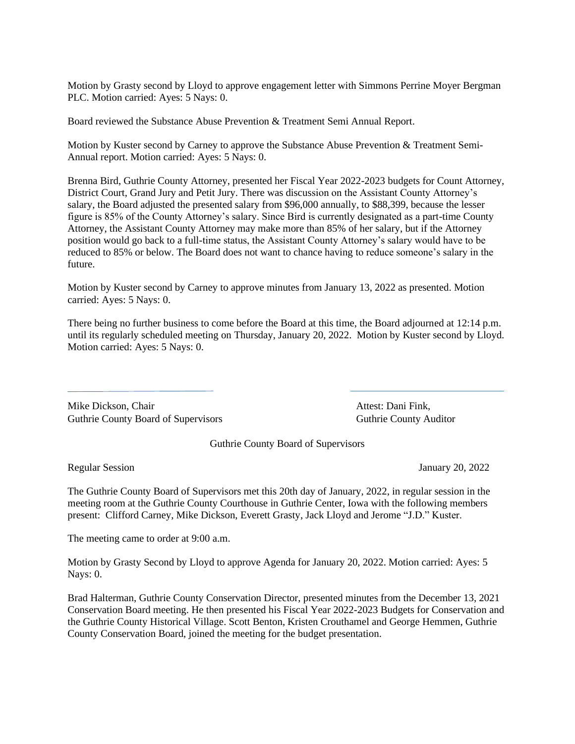Motion by Grasty second by Lloyd to approve engagement letter with Simmons Perrine Moyer Bergman PLC. Motion carried: Ayes: 5 Nays: 0.

Board reviewed the Substance Abuse Prevention & Treatment Semi Annual Report.

Motion by Kuster second by Carney to approve the Substance Abuse Prevention & Treatment Semi-Annual report. Motion carried: Ayes: 5 Nays: 0.

Brenna Bird, Guthrie County Attorney, presented her Fiscal Year 2022-2023 budgets for Count Attorney, District Court, Grand Jury and Petit Jury. There was discussion on the Assistant County Attorney's salary, the Board adjusted the presented salary from \$96,000 annually, to \$88,399, because the lesser figure is 85% of the County Attorney's salary. Since Bird is currently designated as a part-time County Attorney, the Assistant County Attorney may make more than 85% of her salary, but if the Attorney position would go back to a full-time status, the Assistant County Attorney's salary would have to be reduced to 85% or below. The Board does not want to chance having to reduce someone's salary in the future.

Motion by Kuster second by Carney to approve minutes from January 13, 2022 as presented. Motion carried: Ayes: 5 Nays: 0.

There being no further business to come before the Board at this time, the Board adjourned at 12:14 p.m. until its regularly scheduled meeting on Thursday, January 20, 2022. Motion by Kuster second by Lloyd. Motion carried: Ayes: 5 Nays: 0.

Mike Dickson, Chair **Attest: Dani Fink**, Attest: Dani Fink, Guthrie County Board of Supervisors **Guthrie County Auditor** Guthrie County Auditor

Guthrie County Board of Supervisors

Regular Session January 20, 2022

The Guthrie County Board of Supervisors met this 20th day of January, 2022, in regular session in the meeting room at the Guthrie County Courthouse in Guthrie Center, Iowa with the following members present: Clifford Carney, Mike Dickson, Everett Grasty, Jack Lloyd and Jerome "J.D." Kuster.

The meeting came to order at 9:00 a.m.

Motion by Grasty Second by Lloyd to approve Agenda for January 20, 2022. Motion carried: Ayes: 5 Nays: 0.

Brad Halterman, Guthrie County Conservation Director, presented minutes from the December 13, 2021 Conservation Board meeting. He then presented his Fiscal Year 2022-2023 Budgets for Conservation and the Guthrie County Historical Village. Scott Benton, Kristen Crouthamel and George Hemmen, Guthrie County Conservation Board, joined the meeting for the budget presentation.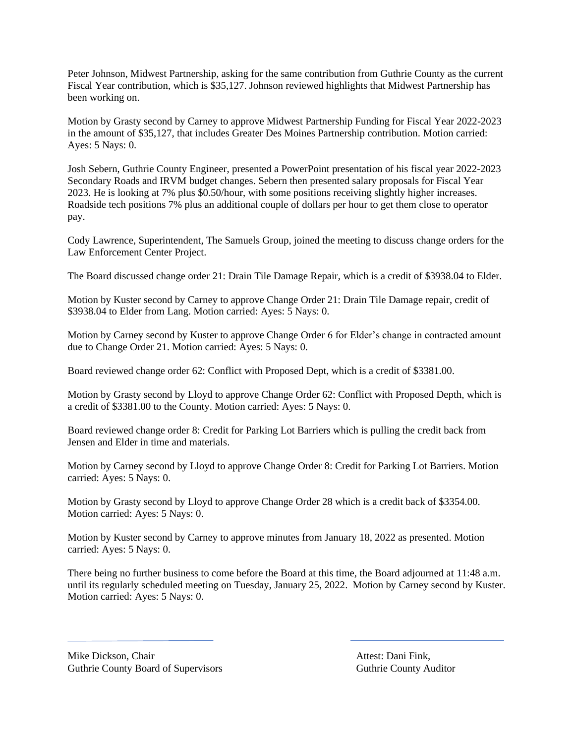Peter Johnson, Midwest Partnership, asking for the same contribution from Guthrie County as the current Fiscal Year contribution, which is \$35,127. Johnson reviewed highlights that Midwest Partnership has been working on.

Motion by Grasty second by Carney to approve Midwest Partnership Funding for Fiscal Year 2022-2023 in the amount of \$35,127, that includes Greater Des Moines Partnership contribution. Motion carried: Ayes: 5 Nays: 0.

Josh Sebern, Guthrie County Engineer, presented a PowerPoint presentation of his fiscal year 2022-2023 Secondary Roads and IRVM budget changes. Sebern then presented salary proposals for Fiscal Year 2023. He is looking at 7% plus \$0.50/hour, with some positions receiving slightly higher increases. Roadside tech positions 7% plus an additional couple of dollars per hour to get them close to operator pay.

Cody Lawrence, Superintendent, The Samuels Group, joined the meeting to discuss change orders for the Law Enforcement Center Project.

The Board discussed change order 21: Drain Tile Damage Repair, which is a credit of \$3938.04 to Elder.

Motion by Kuster second by Carney to approve Change Order 21: Drain Tile Damage repair, credit of \$3938.04 to Elder from Lang. Motion carried: Ayes: 5 Nays: 0.

Motion by Carney second by Kuster to approve Change Order 6 for Elder's change in contracted amount due to Change Order 21. Motion carried: Ayes: 5 Nays: 0.

Board reviewed change order 62: Conflict with Proposed Dept, which is a credit of \$3381.00.

Motion by Grasty second by Lloyd to approve Change Order 62: Conflict with Proposed Depth, which is a credit of \$3381.00 to the County. Motion carried: Ayes: 5 Nays: 0.

Board reviewed change order 8: Credit for Parking Lot Barriers which is pulling the credit back from Jensen and Elder in time and materials.

Motion by Carney second by Lloyd to approve Change Order 8: Credit for Parking Lot Barriers. Motion carried: Ayes: 5 Nays: 0.

Motion by Grasty second by Lloyd to approve Change Order 28 which is a credit back of \$3354.00. Motion carried: Ayes: 5 Nays: 0.

Motion by Kuster second by Carney to approve minutes from January 18, 2022 as presented. Motion carried: Ayes: 5 Nays: 0.

There being no further business to come before the Board at this time, the Board adjourned at 11:48 a.m. until its regularly scheduled meeting on Tuesday, January 25, 2022. Motion by Carney second by Kuster. Motion carried: Ayes: 5 Nays: 0.

Mike Dickson, Chair **Attest: Dani Fink**, Guthrie County Board of Supervisors **Guthrie County Auditor** Guthrie County Auditor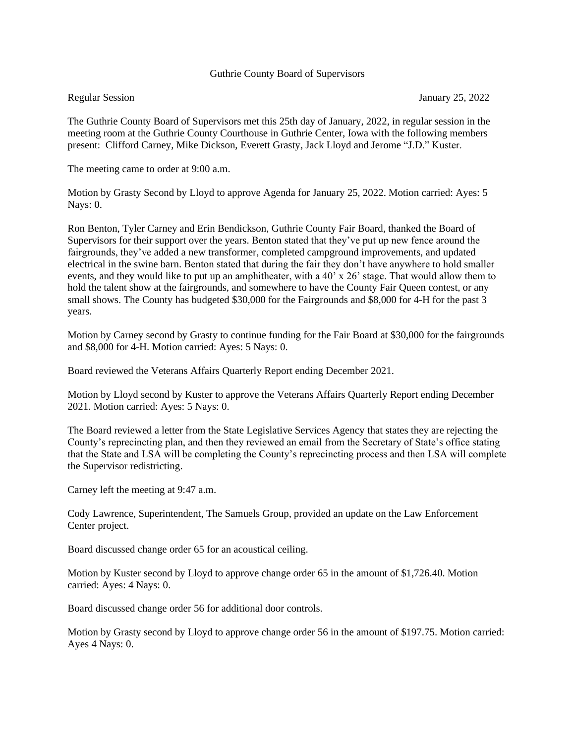## Guthrie County Board of Supervisors

The Guthrie County Board of Supervisors met this 25th day of January, 2022, in regular session in the meeting room at the Guthrie County Courthouse in Guthrie Center, Iowa with the following members present: Clifford Carney, Mike Dickson, Everett Grasty, Jack Lloyd and Jerome "J.D." Kuster.

The meeting came to order at 9:00 a.m.

Motion by Grasty Second by Lloyd to approve Agenda for January 25, 2022. Motion carried: Ayes: 5 Nays: 0.

Ron Benton, Tyler Carney and Erin Bendickson, Guthrie County Fair Board, thanked the Board of Supervisors for their support over the years. Benton stated that they've put up new fence around the fairgrounds, they've added a new transformer, completed campground improvements, and updated electrical in the swine barn. Benton stated that during the fair they don't have anywhere to hold smaller events, and they would like to put up an amphitheater, with a 40' x 26' stage. That would allow them to hold the talent show at the fairgrounds, and somewhere to have the County Fair Queen contest, or any small shows. The County has budgeted \$30,000 for the Fairgrounds and \$8,000 for 4-H for the past 3 years.

Motion by Carney second by Grasty to continue funding for the Fair Board at \$30,000 for the fairgrounds and \$8,000 for 4-H. Motion carried: Ayes: 5 Nays: 0.

Board reviewed the Veterans Affairs Quarterly Report ending December 2021.

Motion by Lloyd second by Kuster to approve the Veterans Affairs Quarterly Report ending December 2021. Motion carried: Ayes: 5 Nays: 0.

The Board reviewed a letter from the State Legislative Services Agency that states they are rejecting the County's reprecincting plan, and then they reviewed an email from the Secretary of State's office stating that the State and LSA will be completing the County's reprecincting process and then LSA will complete the Supervisor redistricting.

Carney left the meeting at 9:47 a.m.

Cody Lawrence, Superintendent, The Samuels Group, provided an update on the Law Enforcement Center project.

Board discussed change order 65 for an acoustical ceiling.

Motion by Kuster second by Lloyd to approve change order 65 in the amount of \$1,726.40. Motion carried: Ayes: 4 Nays: 0.

Board discussed change order 56 for additional door controls.

Motion by Grasty second by Lloyd to approve change order 56 in the amount of \$197.75. Motion carried: Ayes 4 Nays: 0.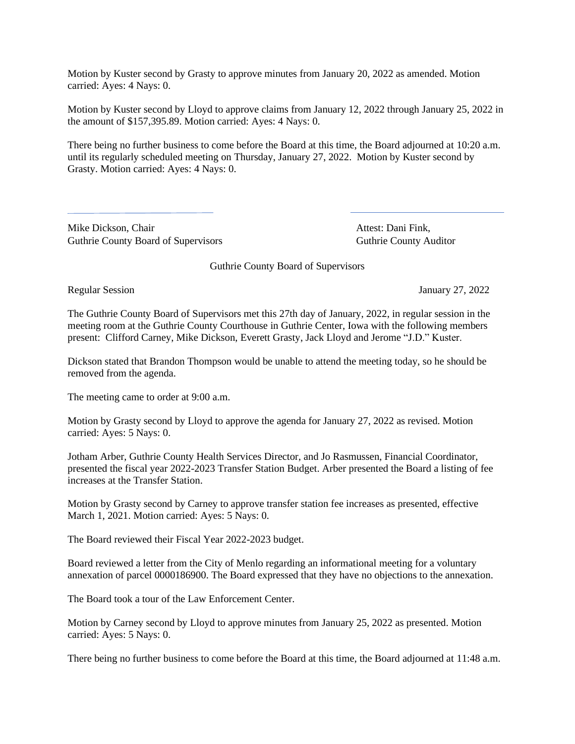Motion by Kuster second by Grasty to approve minutes from January 20, 2022 as amended. Motion carried: Ayes: 4 Nays: 0.

Motion by Kuster second by Lloyd to approve claims from January 12, 2022 through January 25, 2022 in the amount of \$157,395.89. Motion carried: Ayes: 4 Nays: 0.

There being no further business to come before the Board at this time, the Board adjourned at 10:20 a.m. until its regularly scheduled meeting on Thursday, January 27, 2022. Motion by Kuster second by Grasty. Motion carried: Ayes: 4 Nays: 0.

Mike Dickson, Chair **Attest: Dani Fink**, Guthrie County Board of Supervisors Guthrie County Auditor

Guthrie County Board of Supervisors

Regular Session January 27, 2022

The Guthrie County Board of Supervisors met this 27th day of January, 2022, in regular session in the meeting room at the Guthrie County Courthouse in Guthrie Center, Iowa with the following members present: Clifford Carney, Mike Dickson, Everett Grasty, Jack Lloyd and Jerome "J.D." Kuster.

Dickson stated that Brandon Thompson would be unable to attend the meeting today, so he should be removed from the agenda.

The meeting came to order at 9:00 a.m.

Motion by Grasty second by Lloyd to approve the agenda for January 27, 2022 as revised. Motion carried: Ayes: 5 Nays: 0.

Jotham Arber, Guthrie County Health Services Director, and Jo Rasmussen, Financial Coordinator, presented the fiscal year 2022-2023 Transfer Station Budget. Arber presented the Board a listing of fee increases at the Transfer Station.

Motion by Grasty second by Carney to approve transfer station fee increases as presented, effective March 1, 2021. Motion carried: Ayes: 5 Nays: 0.

The Board reviewed their Fiscal Year 2022-2023 budget.

Board reviewed a letter from the City of Menlo regarding an informational meeting for a voluntary annexation of parcel 0000186900. The Board expressed that they have no objections to the annexation.

The Board took a tour of the Law Enforcement Center.

Motion by Carney second by Lloyd to approve minutes from January 25, 2022 as presented. Motion carried: Ayes: 5 Nays: 0.

There being no further business to come before the Board at this time, the Board adjourned at 11:48 a.m.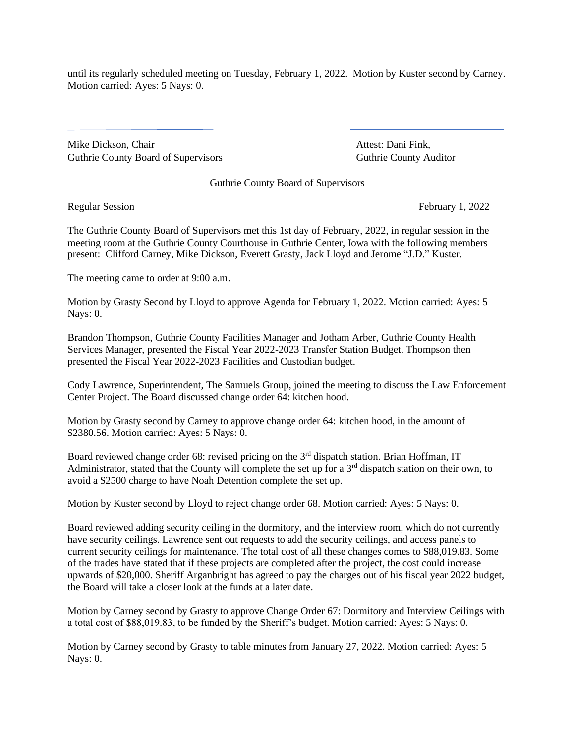until its regularly scheduled meeting on Tuesday, February 1, 2022. Motion by Kuster second by Carney. Motion carried: Ayes: 5 Nays: 0.

Mike Dickson, Chair **Attest: Dani Fink**, Guthrie County Board of Supervisors Guthrie County Auditor

Guthrie County Board of Supervisors

Regular Session February 1, 2022

The Guthrie County Board of Supervisors met this 1st day of February, 2022, in regular session in the meeting room at the Guthrie County Courthouse in Guthrie Center, Iowa with the following members present: Clifford Carney, Mike Dickson, Everett Grasty, Jack Lloyd and Jerome "J.D." Kuster.

The meeting came to order at 9:00 a.m.

Motion by Grasty Second by Lloyd to approve Agenda for February 1, 2022. Motion carried: Ayes: 5 Nays: 0.

Brandon Thompson, Guthrie County Facilities Manager and Jotham Arber, Guthrie County Health Services Manager, presented the Fiscal Year 2022-2023 Transfer Station Budget. Thompson then presented the Fiscal Year 2022-2023 Facilities and Custodian budget.

Cody Lawrence, Superintendent, The Samuels Group, joined the meeting to discuss the Law Enforcement Center Project. The Board discussed change order 64: kitchen hood.

Motion by Grasty second by Carney to approve change order 64: kitchen hood, in the amount of \$2380.56. Motion carried: Ayes: 5 Nays: 0.

Board reviewed change order 68: revised pricing on the 3rd dispatch station. Brian Hoffman, IT Administrator, stated that the County will complete the set up for a 3<sup>rd</sup> dispatch station on their own, to avoid a \$2500 charge to have Noah Detention complete the set up.

Motion by Kuster second by Lloyd to reject change order 68. Motion carried: Ayes: 5 Nays: 0.

Board reviewed adding security ceiling in the dormitory, and the interview room, which do not currently have security ceilings. Lawrence sent out requests to add the security ceilings, and access panels to current security ceilings for maintenance. The total cost of all these changes comes to \$88,019.83. Some of the trades have stated that if these projects are completed after the project, the cost could increase upwards of \$20,000. Sheriff Arganbright has agreed to pay the charges out of his fiscal year 2022 budget, the Board will take a closer look at the funds at a later date.

Motion by Carney second by Grasty to approve Change Order 67: Dormitory and Interview Ceilings with a total cost of \$88,019.83, to be funded by the Sheriff's budget. Motion carried: Ayes: 5 Nays: 0.

Motion by Carney second by Grasty to table minutes from January 27, 2022. Motion carried: Ayes: 5 Nays: 0.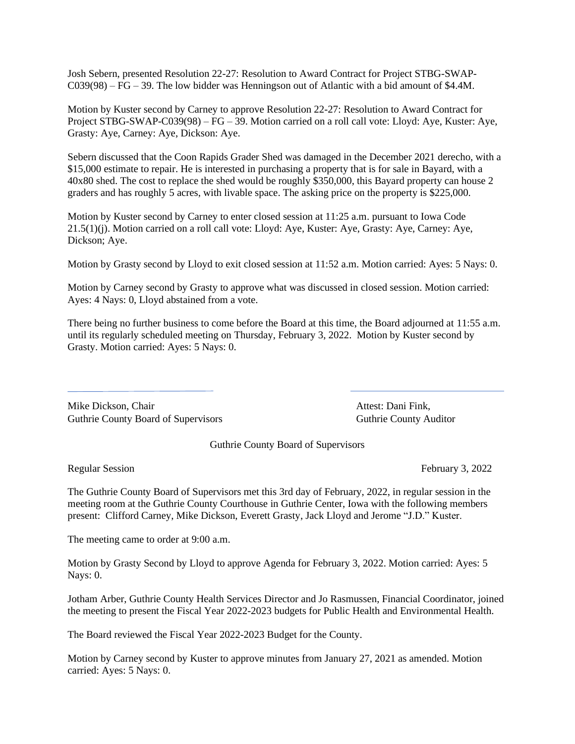Josh Sebern, presented Resolution 22-27: Resolution to Award Contract for Project STBG-SWAP-C039(98) – FG – 39. The low bidder was Henningson out of Atlantic with a bid amount of \$4.4M.

Motion by Kuster second by Carney to approve Resolution 22-27: Resolution to Award Contract for Project STBG-SWAP-C039(98) – FG – 39. Motion carried on a roll call vote: Lloyd: Aye, Kuster: Aye, Grasty: Aye, Carney: Aye, Dickson: Aye.

Sebern discussed that the Coon Rapids Grader Shed was damaged in the December 2021 derecho, with a \$15,000 estimate to repair. He is interested in purchasing a property that is for sale in Bayard, with a 40x80 shed. The cost to replace the shed would be roughly \$350,000, this Bayard property can house 2 graders and has roughly 5 acres, with livable space. The asking price on the property is \$225,000.

Motion by Kuster second by Carney to enter closed session at 11:25 a.m. pursuant to Iowa Code 21.5(1)(j). Motion carried on a roll call vote: Lloyd: Aye, Kuster: Aye, Grasty: Aye, Carney: Aye, Dickson; Aye.

Motion by Grasty second by Lloyd to exit closed session at 11:52 a.m. Motion carried: Ayes: 5 Nays: 0.

Motion by Carney second by Grasty to approve what was discussed in closed session. Motion carried: Ayes: 4 Nays: 0, Lloyd abstained from a vote.

There being no further business to come before the Board at this time, the Board adjourned at 11:55 a.m. until its regularly scheduled meeting on Thursday, February 3, 2022. Motion by Kuster second by Grasty. Motion carried: Ayes: 5 Nays: 0.

Mike Dickson, Chair **Attest: Dani Fink**, Attest: Dani Fink, Guthrie County Board of Supervisors **Guthrie County Auditor** Guthrie County Auditor

Guthrie County Board of Supervisors

Regular Session **February 3, 2022** 

The Guthrie County Board of Supervisors met this 3rd day of February, 2022, in regular session in the meeting room at the Guthrie County Courthouse in Guthrie Center, Iowa with the following members present: Clifford Carney, Mike Dickson, Everett Grasty, Jack Lloyd and Jerome "J.D." Kuster.

The meeting came to order at 9:00 a.m.

Motion by Grasty Second by Lloyd to approve Agenda for February 3, 2022. Motion carried: Ayes: 5 Nays: 0.

Jotham Arber, Guthrie County Health Services Director and Jo Rasmussen, Financial Coordinator, joined the meeting to present the Fiscal Year 2022-2023 budgets for Public Health and Environmental Health.

The Board reviewed the Fiscal Year 2022-2023 Budget for the County.

Motion by Carney second by Kuster to approve minutes from January 27, 2021 as amended. Motion carried: Ayes: 5 Nays: 0.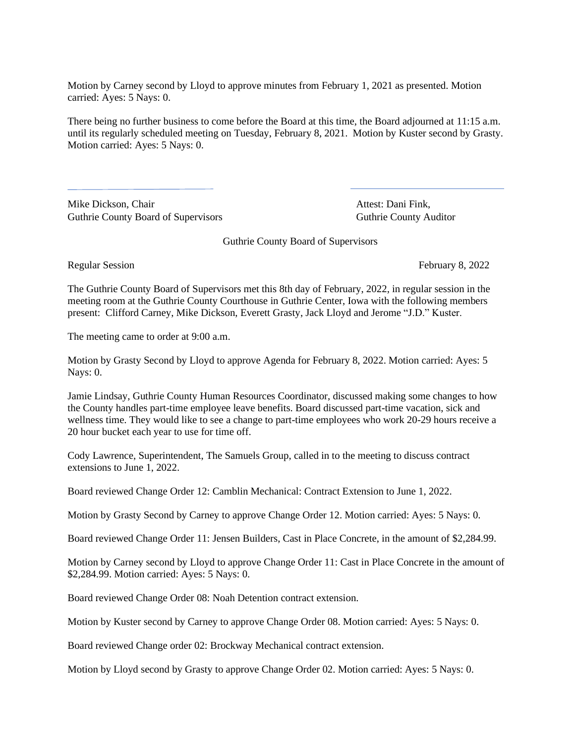Motion by Carney second by Lloyd to approve minutes from February 1, 2021 as presented. Motion carried: Ayes: 5 Nays: 0.

There being no further business to come before the Board at this time, the Board adjourned at 11:15 a.m. until its regularly scheduled meeting on Tuesday, February 8, 2021. Motion by Kuster second by Grasty. Motion carried: Ayes: 5 Nays: 0.

Mike Dickson, Chair **Attest: Dani Fink**, Guthrie County Board of Supervisors Guthrie County Auditor

Guthrie County Board of Supervisors

Regular Session February 8, 2022

The Guthrie County Board of Supervisors met this 8th day of February, 2022, in regular session in the meeting room at the Guthrie County Courthouse in Guthrie Center, Iowa with the following members present: Clifford Carney, Mike Dickson, Everett Grasty, Jack Lloyd and Jerome "J.D." Kuster.

The meeting came to order at 9:00 a.m.

Motion by Grasty Second by Lloyd to approve Agenda for February 8, 2022. Motion carried: Ayes: 5 Nays: 0.

Jamie Lindsay, Guthrie County Human Resources Coordinator, discussed making some changes to how the County handles part-time employee leave benefits. Board discussed part-time vacation, sick and wellness time. They would like to see a change to part-time employees who work 20-29 hours receive a 20 hour bucket each year to use for time off.

Cody Lawrence, Superintendent, The Samuels Group, called in to the meeting to discuss contract extensions to June 1, 2022.

Board reviewed Change Order 12: Camblin Mechanical: Contract Extension to June 1, 2022.

Motion by Grasty Second by Carney to approve Change Order 12. Motion carried: Ayes: 5 Nays: 0.

Board reviewed Change Order 11: Jensen Builders, Cast in Place Concrete, in the amount of \$2,284.99.

Motion by Carney second by Lloyd to approve Change Order 11: Cast in Place Concrete in the amount of \$2,284.99. Motion carried: Ayes: 5 Nays: 0.

Board reviewed Change Order 08: Noah Detention contract extension.

Motion by Kuster second by Carney to approve Change Order 08. Motion carried: Ayes: 5 Nays: 0.

Board reviewed Change order 02: Brockway Mechanical contract extension.

Motion by Lloyd second by Grasty to approve Change Order 02. Motion carried: Ayes: 5 Nays: 0.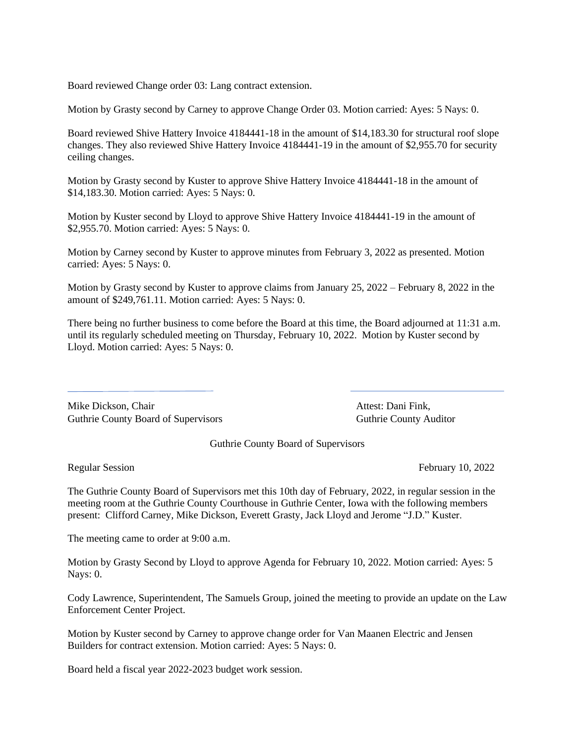Board reviewed Change order 03: Lang contract extension.

Motion by Grasty second by Carney to approve Change Order 03. Motion carried: Ayes: 5 Nays: 0.

Board reviewed Shive Hattery Invoice 4184441-18 in the amount of \$14,183.30 for structural roof slope changes. They also reviewed Shive Hattery Invoice 4184441-19 in the amount of \$2,955.70 for security ceiling changes.

Motion by Grasty second by Kuster to approve Shive Hattery Invoice 4184441-18 in the amount of \$14,183.30. Motion carried: Ayes: 5 Nays: 0.

Motion by Kuster second by Lloyd to approve Shive Hattery Invoice 4184441-19 in the amount of \$2,955.70. Motion carried: Ayes: 5 Nays: 0.

Motion by Carney second by Kuster to approve minutes from February 3, 2022 as presented. Motion carried: Ayes: 5 Nays: 0.

Motion by Grasty second by Kuster to approve claims from January 25, 2022 – February 8, 2022 in the amount of \$249,761.11. Motion carried: Ayes: 5 Nays: 0.

There being no further business to come before the Board at this time, the Board adjourned at 11:31 a.m. until its regularly scheduled meeting on Thursday, February 10, 2022. Motion by Kuster second by Lloyd. Motion carried: Ayes: 5 Nays: 0.

Mike Dickson, Chair **Attest: Dani Fink**, Attest: Dani Fink, Guthrie County Board of Supervisors Guthrie County Auditor

Guthrie County Board of Supervisors

Regular Session February 10, 2022

The Guthrie County Board of Supervisors met this 10th day of February, 2022, in regular session in the meeting room at the Guthrie County Courthouse in Guthrie Center, Iowa with the following members present: Clifford Carney, Mike Dickson, Everett Grasty, Jack Lloyd and Jerome "J.D." Kuster.

The meeting came to order at 9:00 a.m.

Motion by Grasty Second by Lloyd to approve Agenda for February 10, 2022. Motion carried: Ayes: 5 Nays: 0.

Cody Lawrence, Superintendent, The Samuels Group, joined the meeting to provide an update on the Law Enforcement Center Project.

Motion by Kuster second by Carney to approve change order for Van Maanen Electric and Jensen Builders for contract extension. Motion carried: Ayes: 5 Nays: 0.

Board held a fiscal year 2022-2023 budget work session.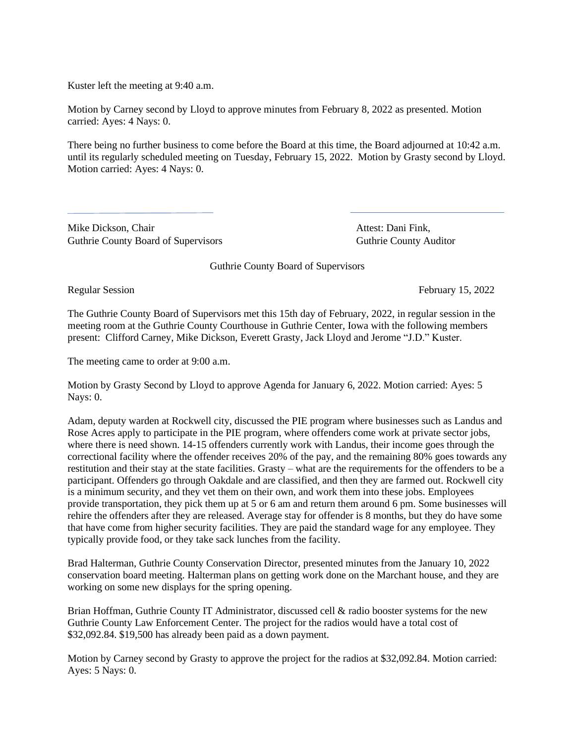Kuster left the meeting at 9:40 a.m.

Motion by Carney second by Lloyd to approve minutes from February 8, 2022 as presented. Motion carried: Ayes: 4 Nays: 0.

There being no further business to come before the Board at this time, the Board adjourned at 10:42 a.m. until its regularly scheduled meeting on Tuesday, February 15, 2022. Motion by Grasty second by Lloyd. Motion carried: Ayes: 4 Nays: 0.

Mike Dickson, Chair **Attest: Dani Fink**, Attest: Dani Fink, Guthrie County Board of Supervisors **Guthrie County Auditor** Guthrie County Auditor

Guthrie County Board of Supervisors

Regular Session February 15, 2022

The Guthrie County Board of Supervisors met this 15th day of February, 2022, in regular session in the meeting room at the Guthrie County Courthouse in Guthrie Center, Iowa with the following members present: Clifford Carney, Mike Dickson, Everett Grasty, Jack Lloyd and Jerome "J.D." Kuster.

The meeting came to order at 9:00 a.m.

Motion by Grasty Second by Lloyd to approve Agenda for January 6, 2022. Motion carried: Ayes: 5 Nays: 0.

Adam, deputy warden at Rockwell city, discussed the PIE program where businesses such as Landus and Rose Acres apply to participate in the PIE program, where offenders come work at private sector jobs, where there is need shown. 14-15 offenders currently work with Landus, their income goes through the correctional facility where the offender receives 20% of the pay, and the remaining 80% goes towards any restitution and their stay at the state facilities. Grasty – what are the requirements for the offenders to be a participant. Offenders go through Oakdale and are classified, and then they are farmed out. Rockwell city is a minimum security, and they vet them on their own, and work them into these jobs. Employees provide transportation, they pick them up at 5 or 6 am and return them around 6 pm. Some businesses will rehire the offenders after they are released. Average stay for offender is 8 months, but they do have some that have come from higher security facilities. They are paid the standard wage for any employee. They typically provide food, or they take sack lunches from the facility.

Brad Halterman, Guthrie County Conservation Director, presented minutes from the January 10, 2022 conservation board meeting. Halterman plans on getting work done on the Marchant house, and they are working on some new displays for the spring opening.

Brian Hoffman, Guthrie County IT Administrator, discussed cell & radio booster systems for the new Guthrie County Law Enforcement Center. The project for the radios would have a total cost of \$32,092.84. \$19,500 has already been paid as a down payment.

Motion by Carney second by Grasty to approve the project for the radios at \$32,092.84. Motion carried: Ayes: 5 Nays: 0.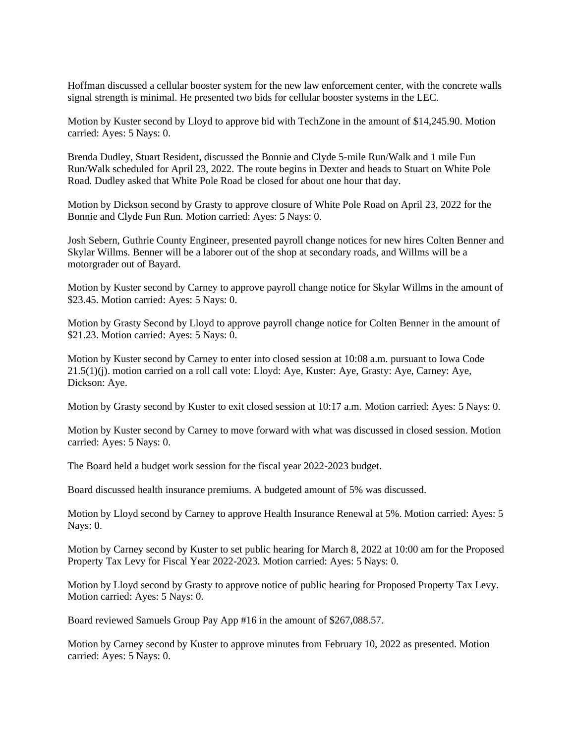Hoffman discussed a cellular booster system for the new law enforcement center, with the concrete walls signal strength is minimal. He presented two bids for cellular booster systems in the LEC.

Motion by Kuster second by Lloyd to approve bid with TechZone in the amount of \$14,245.90. Motion carried: Ayes: 5 Nays: 0.

Brenda Dudley, Stuart Resident, discussed the Bonnie and Clyde 5-mile Run/Walk and 1 mile Fun Run/Walk scheduled for April 23, 2022. The route begins in Dexter and heads to Stuart on White Pole Road. Dudley asked that White Pole Road be closed for about one hour that day.

Motion by Dickson second by Grasty to approve closure of White Pole Road on April 23, 2022 for the Bonnie and Clyde Fun Run. Motion carried: Ayes: 5 Nays: 0.

Josh Sebern, Guthrie County Engineer, presented payroll change notices for new hires Colten Benner and Skylar Willms. Benner will be a laborer out of the shop at secondary roads, and Willms will be a motorgrader out of Bayard.

Motion by Kuster second by Carney to approve payroll change notice for Skylar Willms in the amount of \$23.45. Motion carried: Ayes: 5 Nays: 0.

Motion by Grasty Second by Lloyd to approve payroll change notice for Colten Benner in the amount of \$21.23. Motion carried: Ayes: 5 Nays: 0.

Motion by Kuster second by Carney to enter into closed session at 10:08 a.m. pursuant to Iowa Code 21.5(1)(j). motion carried on a roll call vote: Lloyd: Aye, Kuster: Aye, Grasty: Aye, Carney: Aye, Dickson: Aye.

Motion by Grasty second by Kuster to exit closed session at 10:17 a.m. Motion carried: Ayes: 5 Nays: 0.

Motion by Kuster second by Carney to move forward with what was discussed in closed session. Motion carried: Ayes: 5 Nays: 0.

The Board held a budget work session for the fiscal year 2022-2023 budget.

Board discussed health insurance premiums. A budgeted amount of 5% was discussed.

Motion by Lloyd second by Carney to approve Health Insurance Renewal at 5%. Motion carried: Ayes: 5 Nays: 0.

Motion by Carney second by Kuster to set public hearing for March 8, 2022 at 10:00 am for the Proposed Property Tax Levy for Fiscal Year 2022-2023. Motion carried: Ayes: 5 Nays: 0.

Motion by Lloyd second by Grasty to approve notice of public hearing for Proposed Property Tax Levy. Motion carried: Ayes: 5 Nays: 0.

Board reviewed Samuels Group Pay App #16 in the amount of \$267,088.57.

Motion by Carney second by Kuster to approve minutes from February 10, 2022 as presented. Motion carried: Ayes: 5 Nays: 0.